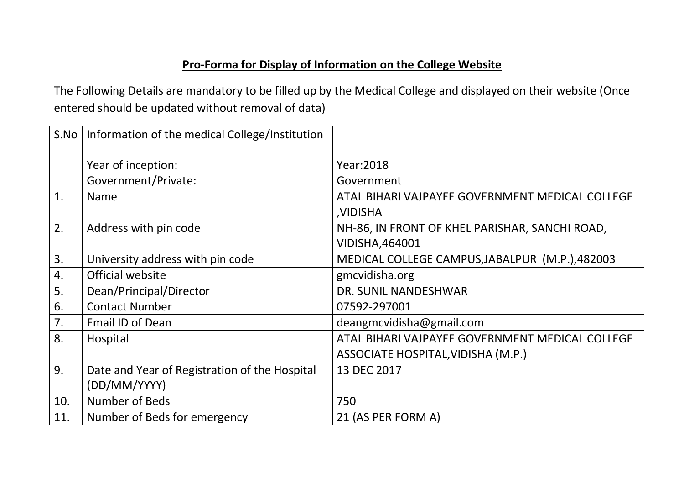## **Pro-Forma for Display of Information on the College Website**

The Following Details are mandatory to be filled up by the Medical College and displayed on their website (Once entered should be updated without removal of data)

| S.No | Information of the medical College/Institution |                                                                          |
|------|------------------------------------------------|--------------------------------------------------------------------------|
|      | Year of inception:                             | Year: 2018                                                               |
|      | Government/Private:                            | Government                                                               |
| 1.   | <b>Name</b>                                    | ATAL BIHARI VAJPAYEE GOVERNMENT MEDICAL COLLEGE<br>,VIDISHA              |
| 2.   | Address with pin code                          | NH-86, IN FRONT OF KHEL PARISHAR, SANCHI ROAD,<br><b>VIDISHA, 464001</b> |
| 3.   | University address with pin code               | MEDICAL COLLEGE CAMPUS, JABALPUR (M.P.), 482003                          |
| 4.   | Official website                               | gmcvidisha.org                                                           |
| 5.   | Dean/Principal/Director                        | DR. SUNIL NANDESHWAR                                                     |
| 6.   | <b>Contact Number</b>                          | 07592-297001                                                             |
| 7.   | Email ID of Dean                               | deangmcvidisha@gmail.com                                                 |
| 8.   | Hospital                                       | ATAL BIHARI VAJPAYEE GOVERNMENT MEDICAL COLLEGE                          |
|      |                                                | ASSOCIATE HOSPITAL, VIDISHA (M.P.)                                       |
| 9.   | Date and Year of Registration of the Hospital  | 13 DEC 2017                                                              |
|      | (DD/MM/YYYY)                                   |                                                                          |
| 10.  | Number of Beds                                 | 750                                                                      |
| 11.  | Number of Beds for emergency                   | 21 (AS PER FORM A)                                                       |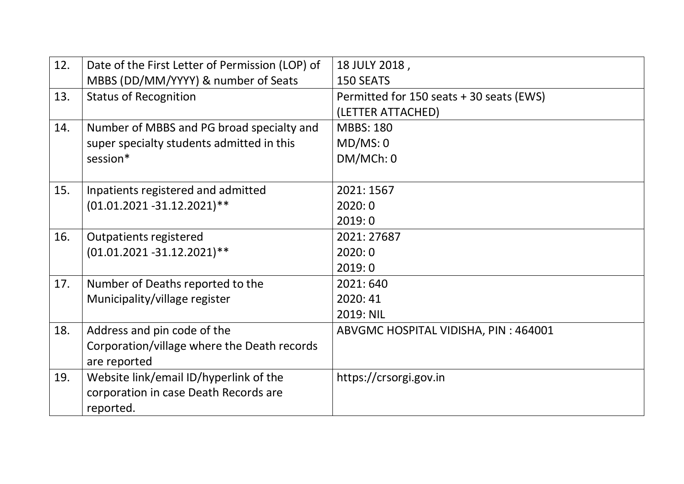| 12. | Date of the First Letter of Permission (LOP) of | 18 JULY 2018,                            |
|-----|-------------------------------------------------|------------------------------------------|
|     | MBBS (DD/MM/YYYY) & number of Seats             | <b>150 SEATS</b>                         |
| 13. | <b>Status of Recognition</b>                    | Permitted for 150 seats + 30 seats (EWS) |
|     |                                                 | (LETTER ATTACHED)                        |
| 14. | Number of MBBS and PG broad specialty and       | <b>MBBS: 180</b>                         |
|     | super specialty students admitted in this       | MD/MS: 0                                 |
|     | session*                                        | DM/MCh: 0                                |
|     |                                                 |                                          |
| 15. | Inpatients registered and admitted              | 2021: 1567                               |
|     | $(01.01.2021 - 31.12.2021)$ **                  | 2020:0                                   |
|     |                                                 | 2019:0                                   |
| 16. | Outpatients registered                          | 2021: 27687                              |
|     | $(01.01.2021 - 31.12.2021)$ **                  | 2020:0                                   |
|     |                                                 | 2019:0                                   |
| 17. | Number of Deaths reported to the                | 2021:640                                 |
|     | Municipality/village register                   | 2020:41                                  |
|     |                                                 | 2019: NIL                                |
| 18. | Address and pin code of the                     | ABVGMC HOSPITAL VIDISHA, PIN: 464001     |
|     | Corporation/village where the Death records     |                                          |
|     | are reported                                    |                                          |
| 19. | Website link/email ID/hyperlink of the          | https://crsorgi.gov.in                   |
|     | corporation in case Death Records are           |                                          |
|     | reported.                                       |                                          |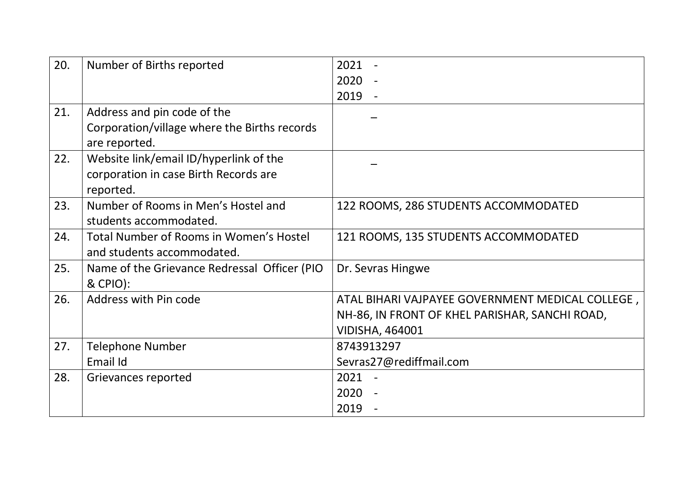| 20. | Number of Births reported                                     | 2021                                             |
|-----|---------------------------------------------------------------|--------------------------------------------------|
|     |                                                               | 2020                                             |
|     |                                                               | 2019<br>$\blacksquare$                           |
| 21. | Address and pin code of the                                   |                                                  |
|     | Corporation/village where the Births records<br>are reported. |                                                  |
| 22. | Website link/email ID/hyperlink of the                        |                                                  |
|     | corporation in case Birth Records are                         |                                                  |
|     | reported.                                                     |                                                  |
| 23. | Number of Rooms in Men's Hostel and                           | 122 ROOMS, 286 STUDENTS ACCOMMODATED             |
|     | students accommodated.                                        |                                                  |
| 24. | Total Number of Rooms in Women's Hostel                       | 121 ROOMS, 135 STUDENTS ACCOMMODATED             |
|     | and students accommodated.                                    |                                                  |
| 25. | Name of the Grievance Redressal Officer (PIO                  | Dr. Sevras Hingwe                                |
|     | & CPIO):                                                      |                                                  |
| 26. | Address with Pin code                                         | ATAL BIHARI VAJPAYEE GOVERNMENT MEDICAL COLLEGE, |
|     |                                                               | NH-86, IN FRONT OF KHEL PARISHAR, SANCHI ROAD,   |
|     |                                                               | <b>VIDISHA, 464001</b>                           |
| 27. | <b>Telephone Number</b>                                       | 8743913297                                       |
|     | Email Id                                                      | Sevras27@rediffmail.com                          |
| 28. | Grievances reported                                           | $2021 -$                                         |
|     |                                                               | 2020                                             |
|     |                                                               | 2019                                             |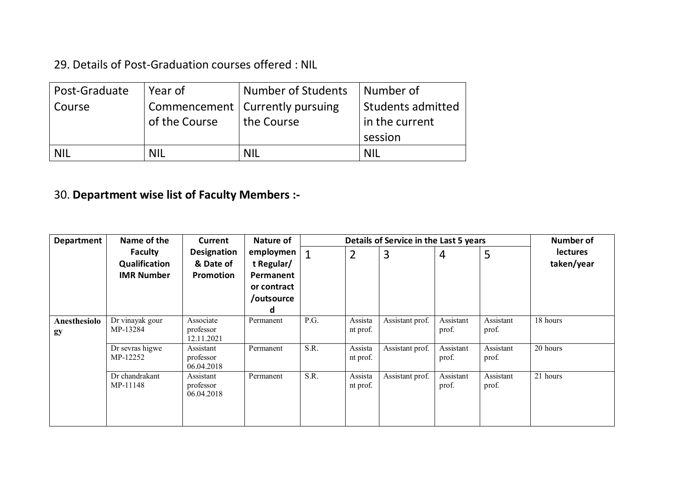29. Details of Post-Graduation courses offered : NIL

| Post-Graduate | Year of       | <b>Number of Students</b>         | Number of         |
|---------------|---------------|-----------------------------------|-------------------|
| Course        |               | Commencement   Currently pursuing | Students admitted |
|               | of the Course | the Course                        | in the current    |
|               |               |                                   | session           |
| <b>NIL</b>    | <b>NIL</b>    | <b>NIL</b>                        | <b>NIL</b>        |

## 30. **Department wise list of Faculty Members :-**

| <b>Department</b>         | Name of the                                          | <b>Current</b>                               | Nature of                                                              |      |                     | Details of Service in the Last 5 years |                    |                    | <b>Number of</b>              |
|---------------------------|------------------------------------------------------|----------------------------------------------|------------------------------------------------------------------------|------|---------------------|----------------------------------------|--------------------|--------------------|-------------------------------|
|                           | <b>Faculty</b><br>Qualification<br><b>IMR Number</b> | <b>Designation</b><br>& Date of<br>Promotion | employmen<br>t Regular/<br>Permanent<br>or contract<br>/outsource<br>d |      | $\overline{2}$      | 3                                      | $\overline{4}$     | 5                  | <b>lectures</b><br>taken/year |
| <b>Anesthesiolo</b><br>gy | Dr vinayak gour<br>MP-13284                          | Associate<br>professor<br>12.11.2021         | Permanent                                                              | P.G. | Assista<br>nt prof. | Assistant prof.                        | Assistant<br>prof. | Assistant<br>prof. | 18 hours                      |
|                           | Dr sevras higwe<br>MP-12252                          | Assistant<br>professor<br>06.04.2018         | Permanent                                                              | S.R. | Assista<br>nt prof. | Assistant prof.                        | Assistant<br>prof. | Assistant<br>prof. | 20 hours                      |
|                           | Dr chandrakant<br>MP-11148                           | Assistant<br>professor<br>06.04.2018         | Permanent                                                              | S.R. | Assista<br>nt prof. | Assistant prof.                        | Assistant<br>prof. | Assistant<br>prof. | 21 hours                      |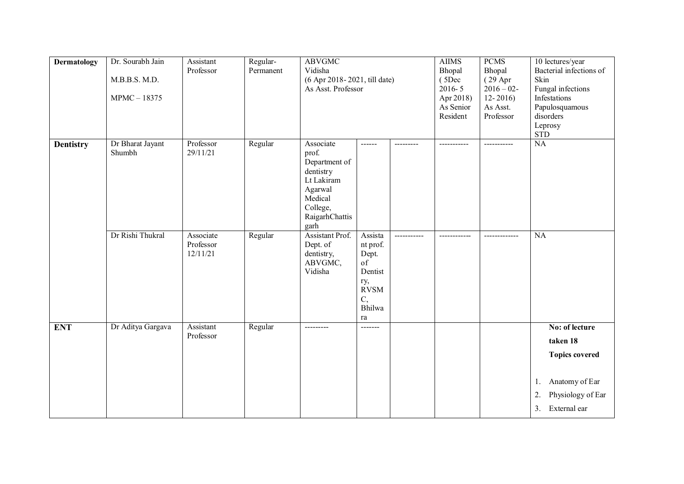| <b>Dermatology</b> | Dr. Sourabh Jain<br>M.B.B.S. M.D.<br>MPMC-18375 | Assistant<br>Professor             | Regular-<br>Permanent | <b>ABVGMC</b><br>Vidisha<br>(6 Apr 2018-2021, till date)<br>As Asst. Professor                                             |                                                                                                       | <b>AIIMS</b><br>Bhopal<br>(5Dec<br>$2016 - 5$<br>Apr 2018)<br>As Senior<br>Resident | <b>PCMS</b><br>Bhopal<br>(29 Apr<br>$2016 - 02$ -<br>$12 - 2016$<br>As Asst.<br>Professor | 10 lectures/year<br>Bacterial infections of<br>Skin<br>Fungal infections<br>Infestations<br>Papulosquamous<br>disorders<br>Leprosy<br><b>STD</b> |
|--------------------|-------------------------------------------------|------------------------------------|-----------------------|----------------------------------------------------------------------------------------------------------------------------|-------------------------------------------------------------------------------------------------------|-------------------------------------------------------------------------------------|-------------------------------------------------------------------------------------------|--------------------------------------------------------------------------------------------------------------------------------------------------|
| <b>Dentistry</b>   | Dr Bharat Jayant<br>Shumbh                      | Professor<br>29/11/21              | Regular               | Associate<br>prof.<br>Department of<br>dentistry<br>Lt Lakiram<br>Agarwal<br>Medical<br>College,<br>RaigarhChattis<br>garh | ------                                                                                                |                                                                                     | -----------                                                                               | NA                                                                                                                                               |
|                    | Dr Rishi Thukral                                | Associate<br>Professor<br>12/11/21 | Regular               | <b>Assistant Prof.</b><br>Dept. of<br>dentistry,<br>ABVGMC,<br>Vidisha                                                     | Assista<br>nt prof.<br>Dept.<br>of<br>Dentist<br>ry,<br><b>RVSM</b><br>$\mathcal{C},$<br>Bhilwa<br>ra |                                                                                     |                                                                                           | $\overline{NA}$                                                                                                                                  |
| <b>ENT</b>         | Dr Aditya Gargava                               | Assistant<br>Professor             | Regular               | ---------                                                                                                                  | -------                                                                                               |                                                                                     |                                                                                           | No: of lecture<br>taken 18<br><b>Topics covered</b><br>Anatomy of Ear<br>1.<br>Physiology of Ear<br>2.<br>External ear<br>3.                     |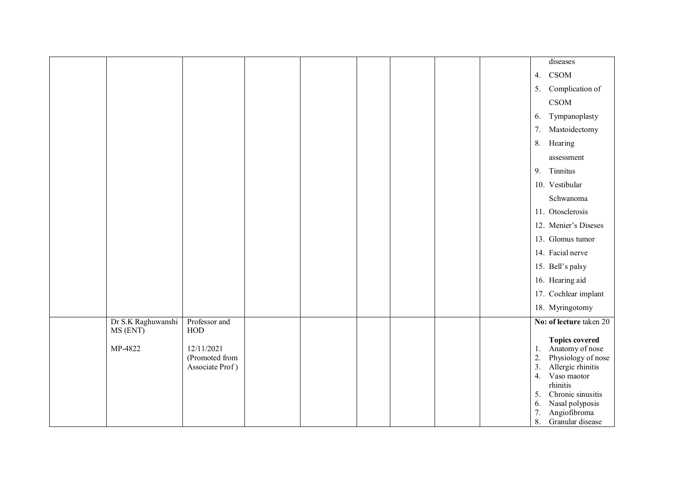|                                |                                                 |  |  |  |                                              | diseases                                                                                                                                                                                   |
|--------------------------------|-------------------------------------------------|--|--|--|----------------------------------------------|--------------------------------------------------------------------------------------------------------------------------------------------------------------------------------------------|
|                                |                                                 |  |  |  | 4.                                           | <b>CSOM</b>                                                                                                                                                                                |
|                                |                                                 |  |  |  | 5.                                           | Complication of                                                                                                                                                                            |
|                                |                                                 |  |  |  |                                              | <b>CSOM</b>                                                                                                                                                                                |
|                                |                                                 |  |  |  | 6.                                           | Tympanoplasty                                                                                                                                                                              |
|                                |                                                 |  |  |  | 7.                                           | Mastoidectomy                                                                                                                                                                              |
|                                |                                                 |  |  |  |                                              | 8. Hearing                                                                                                                                                                                 |
|                                |                                                 |  |  |  |                                              | assessment                                                                                                                                                                                 |
|                                |                                                 |  |  |  | 9.                                           | Tinnitus                                                                                                                                                                                   |
|                                |                                                 |  |  |  |                                              | 10. Vestibular                                                                                                                                                                             |
|                                |                                                 |  |  |  |                                              | Schwanoma                                                                                                                                                                                  |
|                                |                                                 |  |  |  |                                              | 11. Otosclerosis                                                                                                                                                                           |
|                                |                                                 |  |  |  |                                              | 12. Menier's Diseses                                                                                                                                                                       |
|                                |                                                 |  |  |  |                                              | 13. Glomus tumor                                                                                                                                                                           |
|                                |                                                 |  |  |  |                                              | 14. Facial nerve                                                                                                                                                                           |
|                                |                                                 |  |  |  |                                              | 15. Bell's palsy                                                                                                                                                                           |
|                                |                                                 |  |  |  |                                              | 16. Hearing aid                                                                                                                                                                            |
|                                |                                                 |  |  |  |                                              | 17. Cochlear implant                                                                                                                                                                       |
|                                |                                                 |  |  |  |                                              | 18. Myringotomy                                                                                                                                                                            |
| Dr S.K Raghuwanshi<br>MS (ENT) | Professor and<br>HOD                            |  |  |  |                                              | No: of lecture taken 20                                                                                                                                                                    |
| MP-4822                        | 12/11/2021<br>(Promoted from<br>Associate Prof) |  |  |  | 1.<br>2.<br>3.<br>4.<br>5.<br>6.<br>7.<br>8. | <b>Topics covered</b><br>Anatomy of nose<br>Physiology of nose<br>Allergic rhinitis<br>Vaso maotor<br>rhinitis<br>Chronic sinusitis<br>Nasal polyposis<br>Angiofibroma<br>Granular disease |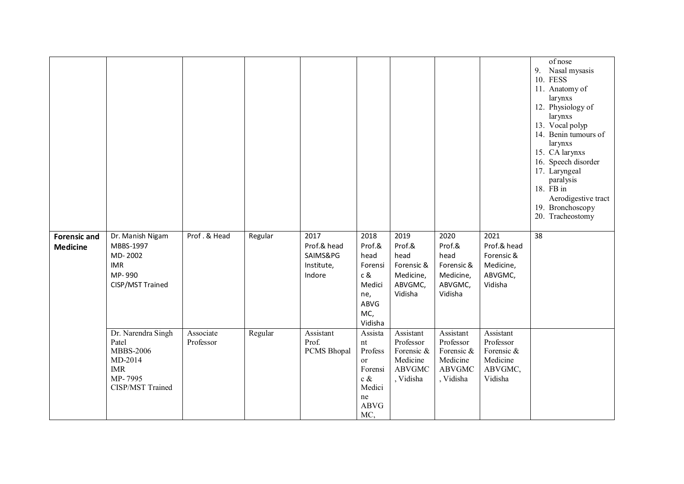|                                        |                                                                                                         |                        |         |                                                         |                                                                                                                   |                                                                                |                                                                                |                                                                        | of nose<br>9. Nasal mysasis<br>10. FESS<br>11. Anatomy of<br>larynxs<br>12. Physiology of<br>larynxs<br>13. Vocal polyp<br>14. Benin tumours of<br>larynxs<br>15. CA larynxs<br>16. Speech disorder<br>17. Laryngeal<br>paralysis<br>18. FB in<br>Aerodigestive tract<br>19. Bronchoscopy<br>20. Tracheostomy |
|----------------------------------------|---------------------------------------------------------------------------------------------------------|------------------------|---------|---------------------------------------------------------|-------------------------------------------------------------------------------------------------------------------|--------------------------------------------------------------------------------|--------------------------------------------------------------------------------|------------------------------------------------------------------------|---------------------------------------------------------------------------------------------------------------------------------------------------------------------------------------------------------------------------------------------------------------------------------------------------------------|
| <b>Forensic and</b><br><b>Medicine</b> | Dr. Manish Nigam<br>MBBS-1997<br>MD-2002<br><b>IMR</b><br>MP-990<br>CISP/MST Trained                    | Prof. & Head           | Regular | 2017<br>Prof.& head<br>SAIMS&PG<br>Institute,<br>Indore | 2018<br>Prof.&<br>head<br>Forensi<br>c &<br>Medici<br>ne,<br>ABVG<br>MC,<br>Vidisha                               | 2019<br>Prof.&<br>head<br>Forensic &<br>Medicine,<br>ABVGMC,<br>Vidisha        | 2020<br>Prof.&<br>head<br>Forensic &<br>Medicine,<br>ABVGMC,<br>Vidisha        | 2021<br>Prof.& head<br>Forensic &<br>Medicine,<br>ABVGMC,<br>Vidisha   | 38                                                                                                                                                                                                                                                                                                            |
|                                        | Dr. Narendra Singh<br>Patel<br><b>MBBS-2006</b><br>MD-2014<br><b>IMR</b><br>MP-7995<br>CISP/MST Trained | Associate<br>Professor | Regular | Assistant<br>Prof.<br>PCMS Bhopal                       | Assista<br>$\mathop{\rm nt}\nolimits$<br>Profess<br>or<br>Forensi<br>c $\&$<br>Medici<br>ne<br><b>ABVG</b><br>MC, | Assistant<br>Professor<br>Forensic &<br>Medicine<br><b>ABVGMC</b><br>, Vidisha | Assistant<br>Professor<br>Forensic &<br>Medicine<br><b>ABVGMC</b><br>, Vidisha | Assistant<br>Professor<br>Forensic &<br>Medicine<br>ABVGMC,<br>Vidisha |                                                                                                                                                                                                                                                                                                               |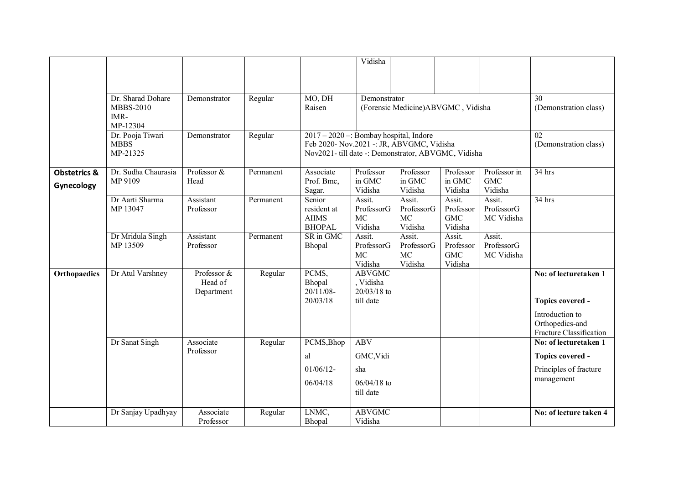|                                       |                                                           |                                      |           |                                                                                                                                            | Vidisha                                                |                                       |                                              |                                       |                                                               |
|---------------------------------------|-----------------------------------------------------------|--------------------------------------|-----------|--------------------------------------------------------------------------------------------------------------------------------------------|--------------------------------------------------------|---------------------------------------|----------------------------------------------|---------------------------------------|---------------------------------------------------------------|
|                                       |                                                           |                                      |           |                                                                                                                                            |                                                        |                                       |                                              |                                       |                                                               |
|                                       | Dr. Sharad Dohare<br><b>MBBS-2010</b><br>IMR-<br>MP-12304 | Demonstrator                         | Regular   | MO, DH<br>Raisen                                                                                                                           | Demonstrator                                           | (Forensic Medicine)ABVGMC, Vidisha    |                                              |                                       | 30<br>(Demonstration class)                                   |
|                                       | Dr. Pooja Tiwari<br><b>MBBS</b><br>MP-21325               | Demonstrator                         | Regular   | 2017 - 2020 -: Bombay hospital, Indore<br>Feb 2020- Nov.2021 -: JR, ABVGMC, Vidisha<br>Nov2021- till date -: Demonstrator, ABVGMC, Vidisha | 02<br>(Demonstration class)                            |                                       |                                              |                                       |                                                               |
| <b>Obstetrics &amp;</b><br>Gynecology | Dr. Sudha Chaurasia<br>MP 9109                            | Professor &<br>Head                  | Permanent | Associate<br>Prof. Bmc,<br>Sagar.                                                                                                          | Professor<br>in GMC<br>Vidisha                         | Professor<br>in GMC<br>Vidisha        | Professor<br>in GMC<br>Vidisha               | Professor in<br><b>GMC</b><br>Vidisha | $34$ hrs                                                      |
|                                       | Dr Aarti Sharma<br>MP 13047                               | Assistant<br>Professor               | Permanent | Senior<br>resident at<br><b>AIIMS</b><br><b>BHOPAL</b>                                                                                     | Assit.<br>ProfessorG<br><b>MC</b><br>Vidisha           | Assit.<br>ProfessorG<br>MC<br>Vidisha | Assit.<br>Professor<br><b>GMC</b><br>Vidisha | Assit.<br>ProfessorG<br>MC Vidisha    | 34 hrs                                                        |
|                                       | Dr Mridula Singh<br>MP 13509                              | Assistant<br>Professor               | Permanent | SR in GMC<br>Bhopal                                                                                                                        | Assit.<br>ProfessorG<br>MC<br>Vidisha                  | Assit.<br>ProfessorG<br>MC<br>Vidisha | Assit.<br>Professor<br><b>GMC</b><br>Vidisha | Assit.<br>ProfessorG<br>MC Vidisha    |                                                               |
| Orthopaedics                          | Dr Atul Varshney                                          | Professor &<br>Head of<br>Department | Regular   | PCMS,<br>Bhopal<br>$20/11/08$ -<br>20/03/18                                                                                                | <b>ABVGMC</b><br>, Vidisha<br>20/03/18 to<br>till date |                                       |                                              |                                       | No: of lecturetaken 1<br>Topics covered -                     |
|                                       |                                                           |                                      |           |                                                                                                                                            |                                                        |                                       |                                              |                                       | Introduction to<br>Orthopedics-and<br>Fracture Classification |
|                                       | Dr Sanat Singh                                            | Associate<br>Professor               | Regular   | PCMS, Bhop                                                                                                                                 | <b>ABV</b>                                             |                                       |                                              |                                       | No: of lecturetaken 1                                         |
|                                       |                                                           |                                      |           | al                                                                                                                                         | GMC, Vidi                                              |                                       |                                              |                                       | Topics covered -                                              |
|                                       |                                                           |                                      |           | $01/06/12$ -                                                                                                                               | sha                                                    |                                       |                                              |                                       | Principles of fracture                                        |
|                                       |                                                           |                                      |           | 06/04/18                                                                                                                                   | $06/04/18$ to<br>till date                             |                                       |                                              |                                       | management                                                    |
|                                       | Dr Sanjay Upadhyay                                        | Associate<br>Professor               | Regular   | LNMC,<br>Bhopal                                                                                                                            | <b>ABVGMC</b><br>Vidisha                               |                                       |                                              |                                       | No: of lecture taken 4                                        |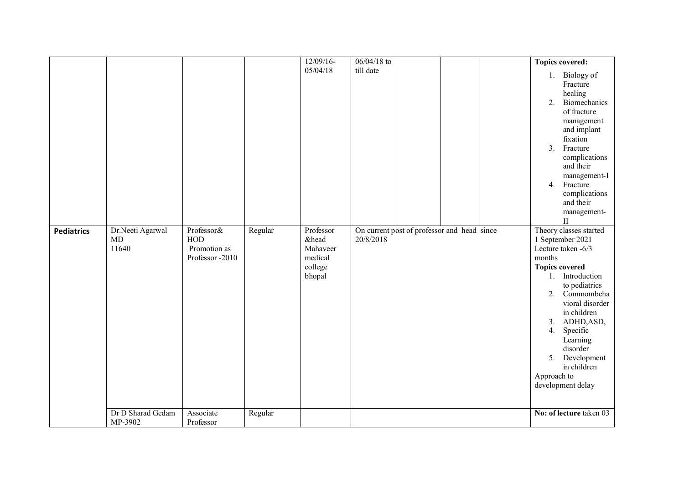|                   |                                 |                                                             |         | $12/09/16$ -                                                   | $06/04/18$ to                                            |  | <b>Topics covered:</b>                                                                                                                                                                                                                                                                                                           |
|-------------------|---------------------------------|-------------------------------------------------------------|---------|----------------------------------------------------------------|----------------------------------------------------------|--|----------------------------------------------------------------------------------------------------------------------------------------------------------------------------------------------------------------------------------------------------------------------------------------------------------------------------------|
|                   |                                 |                                                             |         | 05/04/18                                                       | till date                                                |  | 1. Biology of<br>Fracture<br>healing<br>Biomechanics<br>2.<br>of fracture<br>management<br>and implant<br>fixation<br>Fracture<br>3 <sub>1</sub><br>complications<br>and their<br>management-I<br>4. Fracture<br>complications<br>and their<br>management-<br>$_{\rm II}$                                                        |
| <b>Pediatrics</b> | Dr.Neeti Agarwal<br>MD<br>11640 | Professor&<br><b>HOD</b><br>Promotion as<br>Professor -2010 | Regular | Professor<br>&head<br>Mahaveer<br>medical<br>college<br>bhopal | On current post of professor and head since<br>20/8/2018 |  | Theory classes started<br>1 September 2021<br>Lecture taken -6/3<br>months<br><b>Topics covered</b><br>1. Introduction<br>to pediatrics<br>Commombeha<br>2.<br>vioral disorder<br>in children<br>ADHD, ASD,<br>3.<br>Specific<br>4.<br>Learning<br>disorder<br>5. Development<br>in children<br>Approach to<br>development delay |
|                   | Dr D Sharad Gedam<br>MP-3902    | Associate<br>Professor                                      | Regular |                                                                |                                                          |  | No: of lecture taken 03                                                                                                                                                                                                                                                                                                          |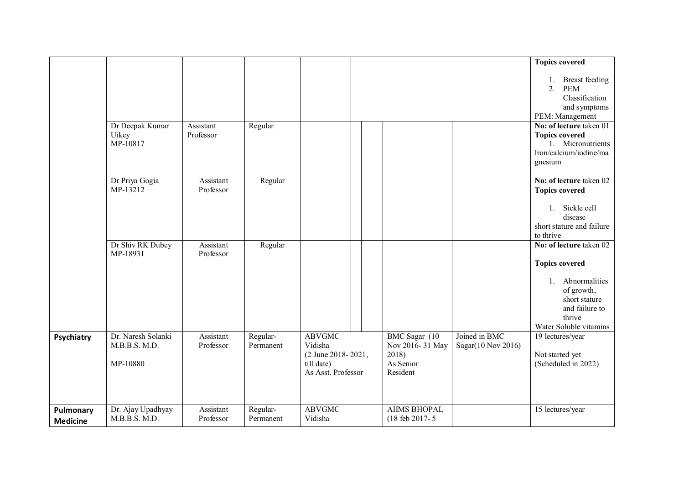|                              | Dr Deepak Kumar<br>Uikey<br>MP-10817            | Assistant<br>Professor | Regular               |                                                                                    |  |                                                                     |                                     | <b>Topics covered</b><br><b>Breast</b> feeding<br>1.<br><b>PEM</b><br>2.<br>Classification<br>and symptoms<br>PEM: Management<br>No: of lecture taken 01<br><b>Topics covered</b><br>1. Micronutrients<br>Iron/calcium/iodine/ma<br>gnesium |
|------------------------------|-------------------------------------------------|------------------------|-----------------------|------------------------------------------------------------------------------------|--|---------------------------------------------------------------------|-------------------------------------|---------------------------------------------------------------------------------------------------------------------------------------------------------------------------------------------------------------------------------------------|
|                              | Dr Priya Gogia<br>MP-13212                      | Assistant<br>Professor | Regular               |                                                                                    |  |                                                                     |                                     | No: of lecture taken 02<br><b>Topics covered</b><br>1. Sickle cell<br>disease<br>short stature and failure<br>to thrive                                                                                                                     |
|                              | Dr Shiv RK Dubey<br>MP-18931                    | Assistant<br>Professor | Regular               |                                                                                    |  |                                                                     |                                     | No: of lecture taken 02<br><b>Topics covered</b><br>Abnormalities<br>$1_{\cdot}$<br>of growth,<br>short stature<br>and failure to<br>thrive<br>Water Soluble vitamins                                                                       |
| Psychiatry                   | Dr. Naresh Solanki<br>M.B.B.S. M.D.<br>MP-10880 | Assistant<br>Professor | Regular-<br>Permanent | <b>ABVGMC</b><br>Vidisha<br>(2 June 2018-2021,<br>till date)<br>As Asst. Professor |  | BMC Sagar (10)<br>Nov 2016-31 May<br>2018)<br>As Senior<br>Resident | Joined in BMC<br>Sagar(10 Nov 2016) | 19 lectures/year<br>Not started yet<br>(Scheduled in 2022)                                                                                                                                                                                  |
| Pulmonary<br><b>Medicine</b> | Dr. Ajay Upadhyay<br>M.B.B.S. M.D.              | Assistant<br>Professor | Regular-<br>Permanent | <b>ABVGMC</b><br>Vidisha                                                           |  | <b>AIIMS BHOPAL</b><br>(18 feb 2017-5)                              |                                     | 15 lectures/year                                                                                                                                                                                                                            |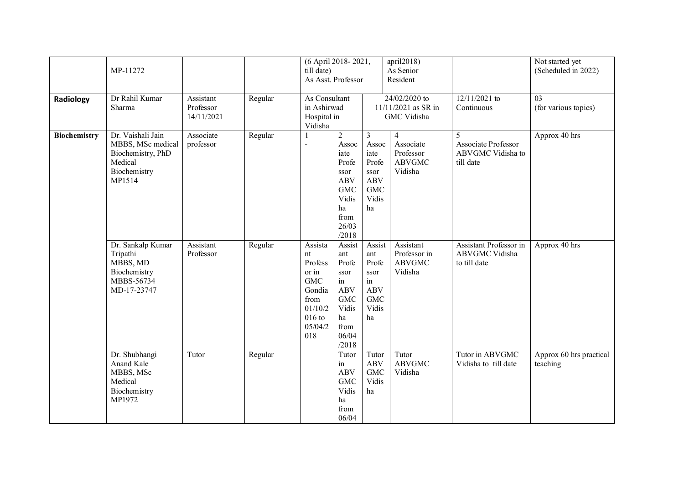|                     | MP-11272                                                                                         |                                      |         | (6 April 2018-2021,<br>till date)<br>As Asst. Professor                                                    |                                                                                                                            | april2018)<br>As Senior<br>Resident                                                              |                                                         |                                                            | Not started yet<br>(Scheduled in 2022)  |
|---------------------|--------------------------------------------------------------------------------------------------|--------------------------------------|---------|------------------------------------------------------------------------------------------------------------|----------------------------------------------------------------------------------------------------------------------------|--------------------------------------------------------------------------------------------------|---------------------------------------------------------|------------------------------------------------------------|-----------------------------------------|
| Radiology           | Dr Rahil Kumar<br>Sharma                                                                         | Assistant<br>Professor<br>14/11/2021 | Regular | As Consultant<br>in Ashirwad<br>Hospital in<br>Vidisha                                                     |                                                                                                                            | 24/02/2020 to<br>11/11/2021 as SR in<br>GMC Vidisha                                              |                                                         | $12/11/2021$ to<br>Continuous                              | $\overline{03}$<br>(for various topics) |
| <b>Biochemistry</b> | Dr. Vaishali Jain<br>MBBS, MSc medical<br>Biochemistry, PhD<br>Medical<br>Biochemistry<br>MP1514 | Associate<br>professor               | Regular |                                                                                                            | $\sqrt{2}$<br>Assoc<br>iate<br>Profe<br>ssor<br><b>ABV</b><br><b>GMC</b><br>Vidis<br>ha<br>from<br>26/03<br>/2018          | $\mathfrak{Z}$<br>Assoc<br>iate<br>Profe<br>ssor<br><b>ABV</b><br>${\rm GMC}$<br>Vidis<br>ha     | 4<br>Associate<br>Professor<br><b>ABVGMC</b><br>Vidisha | 5<br>Associate Professor<br>ABVGMC Vidisha to<br>till date | Approx 40 hrs                           |
|                     | Dr. Sankalp Kumar<br>Tripathi<br>MBBS, MD<br>Biochemistry<br>MBBS-56734<br>MD-17-23747           | Assistant<br>Professor               | Regular | Assista<br>nt<br>Profess<br>or in<br><b>GMC</b><br>Gondia<br>from<br>01/10/2<br>$016$ to<br>05/04/2<br>018 | Assist<br>ant<br>Profe<br>ssor<br>$\operatorname{in}$<br><b>ABV</b><br><b>GMC</b><br>Vidis<br>ha<br>from<br>06/04<br>/2018 | Assist<br>ant<br>Profe<br>ssor<br>$\operatorname{in}$<br><b>ABV</b><br><b>GMC</b><br>Vidis<br>ha | Assistant<br>Professor in<br><b>ABVGMC</b><br>Vidisha   | Assistant Professor in<br>ABVGMC Vidisha<br>to till date   | Approx 40 hrs                           |
|                     | Dr. Shubhangi<br>Anand Kale<br>MBBS, MSc<br>Medical<br>Biochemistry<br>MP1972                    | Tutor                                | Regular |                                                                                                            | Tutor<br>in<br><b>ABV</b><br><b>GMC</b><br>Vidis<br>ha<br>from<br>06/04                                                    | Tutor<br><b>ABV</b><br><b>GMC</b><br>Vidis<br>ha                                                 | Tutor<br><b>ABVGMC</b><br>Vidisha                       | Tutor in ABVGMC<br>Vidisha to till date                    | Approx 60 hrs practical<br>teaching     |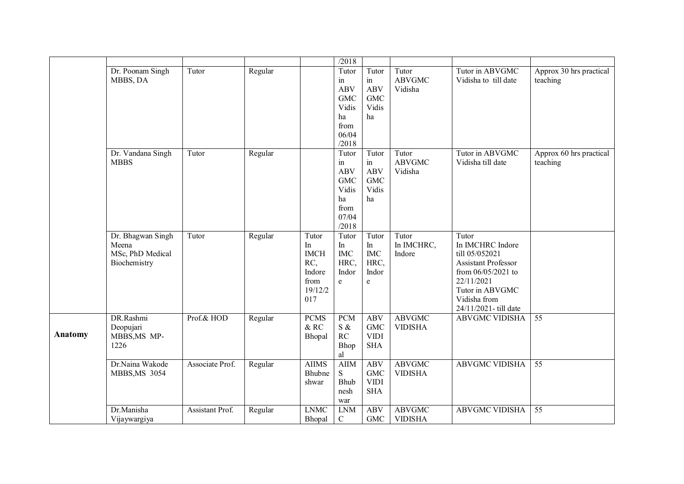|         |                                                                |                 |         |                                                                       | /2018                                                                                |                                                                                                                              |                                   |                                                                                                                                                                   |                                     |
|---------|----------------------------------------------------------------|-----------------|---------|-----------------------------------------------------------------------|--------------------------------------------------------------------------------------|------------------------------------------------------------------------------------------------------------------------------|-----------------------------------|-------------------------------------------------------------------------------------------------------------------------------------------------------------------|-------------------------------------|
|         | Dr. Poonam Singh<br>MBBS, DA                                   | Tutor           | Regular |                                                                       | Tutor<br>in<br><b>ABV</b><br><b>GMC</b><br>Vidis<br>ha<br>from<br>06/04<br>/2018     | Tutor<br>in<br><b>ABV</b><br><b>GMC</b><br>Vidis<br>ha                                                                       | Tutor<br><b>ABVGMC</b><br>Vidisha | Tutor in ABVGMC<br>Vidisha to till date                                                                                                                           | Approx 30 hrs practical<br>teaching |
|         | Dr. Vandana Singh<br><b>MBBS</b>                               | Tutor           | Regular |                                                                       | Tutor<br>$\sin$<br><b>ABV</b><br><b>GMC</b><br>Vidis<br>ha<br>from<br>07/04<br>/2018 | Tutor<br>in<br><b>ABV</b><br><b>GMC</b><br>Vidis<br>ha                                                                       | Tutor<br><b>ABVGMC</b><br>Vidisha | Tutor in ABVGMC<br>Vidisha till date                                                                                                                              | Approx 60 hrs practical<br>teaching |
|         | Dr. Bhagwan Singh<br>Meena<br>MSc, PhD Medical<br>Biochemistry | Tutor           | Regular | Tutor<br>In<br><b>IMCH</b><br>RC,<br>Indore<br>from<br>19/12/2<br>017 | Tutor<br>In<br>$IMC$<br>HRC,<br>Indor<br>$\mathbf e$                                 | Tutor<br>In<br><b>IMC</b><br>HRC,<br>Indor<br>$\mathbf{e}% _{B}=\mathbf{e}_{B}+\mathbf{e}_{B}+\mathbf{e}_{B}+\mathbf{e}_{B}$ | Tutor<br>In IMCHRC,<br>Indore     | Tutor<br>In IMCHRC Indore<br>till 05/052021<br>Assistant Professor<br>from 06/05/2021 to<br>22/11/2021<br>Tutor in ABVGMC<br>Vidisha from<br>24/11/2021-till date |                                     |
| Anatomy | DR.Rashmi<br>Deopujari<br>MBBS, MS MP-<br>1226                 | Prof.& HOD      | Regular | <b>PCMS</b><br>$\&$ RC<br>Bhopal                                      | <b>PCM</b><br>S &<br>RC<br>Bhop<br>al                                                | <b>ABV</b><br><b>GMC</b><br><b>VIDI</b><br><b>SHA</b>                                                                        | <b>ABVGMC</b><br><b>VIDISHA</b>   | <b>ABVGMC VIDISHA</b>                                                                                                                                             | 55                                  |
|         | Dr.Naina Wakode<br><b>MBBS, MS 3054</b>                        | Associate Prof. | Regular | <b>AIIMS</b><br>Bhubne<br>shwar                                       | <b>AIIM</b><br>S<br>Bhub<br>nesh<br>war                                              | <b>ABV</b><br><b>GMC</b><br><b>VIDI</b><br><b>SHA</b>                                                                        | <b>ABVGMC</b><br><b>VIDISHA</b>   | <b>ABVGMC VIDISHA</b>                                                                                                                                             | $\overline{55}$                     |
|         | Dr.Manisha<br>Vijaywargiya                                     | Assistant Prof. | Regular | <b>LNMC</b><br>Bhopal                                                 | <b>LNM</b><br>$\mathbf C$                                                            | <b>ABV</b><br><b>GMC</b>                                                                                                     | <b>ABVGMC</b><br><b>VIDISHA</b>   | <b>ABVGMC VIDISHA</b>                                                                                                                                             | 55                                  |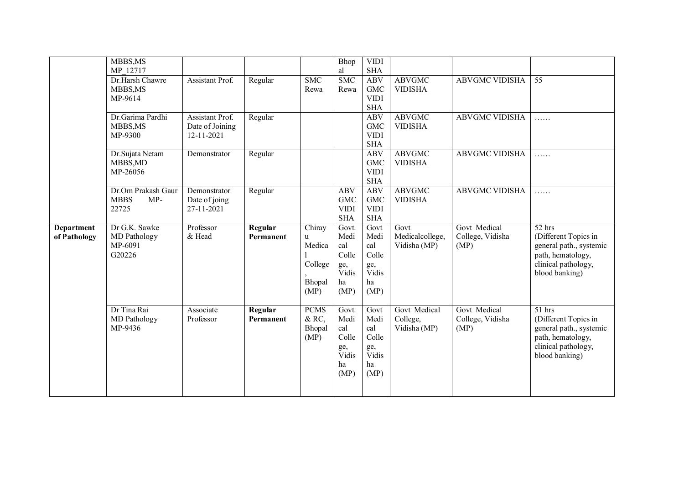|                                   | MBBS, MS<br>MP 12717                                |                                                  |                      |                                          | <b>Bhop</b><br>al                                     | <b>VIDI</b><br><b>SHA</b>                             |                                 |                          |                                                                                                               |
|-----------------------------------|-----------------------------------------------------|--------------------------------------------------|----------------------|------------------------------------------|-------------------------------------------------------|-------------------------------------------------------|---------------------------------|--------------------------|---------------------------------------------------------------------------------------------------------------|
|                                   | Dr.Harsh Chawre<br>MBBS, MS<br>MP-9614              | Assistant Prof.                                  | Regular              | $\overline{\text{SMC}}$<br>Rewa          | <b>SMC</b><br>Rewa                                    | <b>ABV</b><br><b>GMC</b><br><b>VIDI</b><br><b>SHA</b> | <b>ABVGMC</b><br><b>VIDISHA</b> | <b>ABVGMC VIDISHA</b>    | $\overline{55}$                                                                                               |
|                                   | Dr.Garima Pardhi<br>MBBS, MS<br>MP-9300             | Assistant Prof.<br>Date of Joining<br>12-11-2021 | Regular              |                                          |                                                       | <b>ABV</b><br><b>GMC</b><br><b>VIDI</b><br><b>SHA</b> | <b>ABVGMC</b><br><b>VIDISHA</b> | <b>ABVGMC VIDISHA</b>    | .                                                                                                             |
|                                   | Dr.Sujata Netam<br>MBBS, MD<br>MP-26056             | Demonstrator                                     | Regular              |                                          |                                                       | <b>ABV</b><br><b>GMC</b><br><b>VIDI</b><br><b>SHA</b> | <b>ABVGMC</b><br><b>VIDISHA</b> | <b>ABVGMC VIDISHA</b>    | .                                                                                                             |
|                                   | Dr.Om Prakash Gaur<br><b>MBBS</b><br>$MP-$<br>22725 | Demonstrator<br>Date of joing<br>27-11-2021      | Regular              |                                          | <b>ABV</b><br><b>GMC</b><br><b>VIDI</b><br><b>SHA</b> | <b>ABV</b><br><b>GMC</b><br><b>VIDI</b><br><b>SHA</b> | <b>ABVGMC</b><br><b>VIDISHA</b> | <b>ABVGMC VIDISHA</b>    | .                                                                                                             |
| <b>Department</b><br>of Pathology | Dr G.K. Sawke<br>MD Pathology                       | Professor<br>& Head                              | Regular<br>Permanent | Chiray                                   | Govt.<br>Medi                                         | Govt<br>Medi                                          | Govt                            | Govt Medical             | $52$ hrs                                                                                                      |
|                                   | MP-6091<br>G20226                                   |                                                  |                      | u<br>Medica<br>College<br>Bhopal<br>(MP) | cal<br>Colle<br>ge,<br>Vidis<br>ha<br>(MP)            | cal<br>Colle<br>ge,<br>Vidis<br>ha<br>(MP)            | Medicalcollege,<br>Vidisha (MP) | College, Vidisha<br>(MP) | (Different Topics in<br>general path., systemic<br>path, hematology,<br>clinical pathology,<br>blood banking) |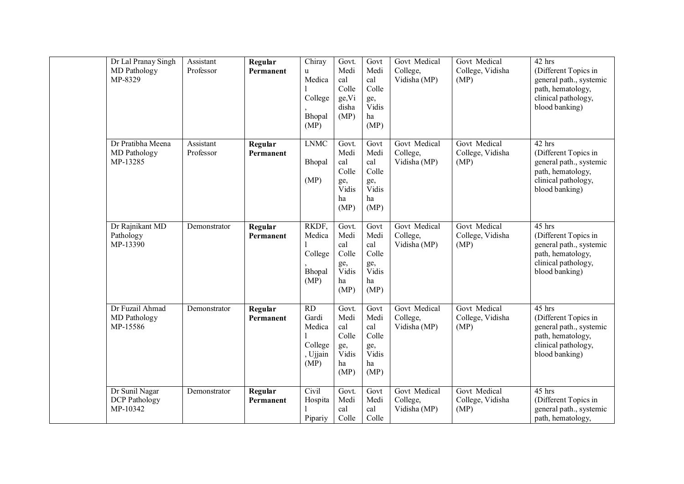| Dr Lal Pranay Singh<br>MD Pathology<br>MP-8329     | Assistant<br>Professor | Regular<br>Permanent | Chiray<br>u<br>Medica<br>College<br>Bhopal<br>(MP)                | Govt.<br>Medi<br>cal<br>Colle<br>ge, Vi<br>disha<br>(MP)    | Govt<br>Medi<br>cal<br>Colle<br>ge,<br>Vidis<br>ha<br>(MP) | Govt Medical<br>College,<br>Vidisha (MP) | Govt Medical<br>College, Vidisha<br>(MP) | 42 hrs<br>(Different Topics in<br>general path., systemic<br>path, hematology,<br>clinical pathology,<br>blood banking) |
|----------------------------------------------------|------------------------|----------------------|-------------------------------------------------------------------|-------------------------------------------------------------|------------------------------------------------------------|------------------------------------------|------------------------------------------|-------------------------------------------------------------------------------------------------------------------------|
| Dr Pratibha Meena<br>MD Pathology<br>MP-13285      | Assistant<br>Professor | Regular<br>Permanent | <b>LNMC</b><br>Bhopal<br>(MP)                                     | Govt.<br>Medi<br>cal<br>Colle<br>ge,<br>Vidis<br>ha<br>(MP) | Govt<br>Medi<br>cal<br>Colle<br>ge,<br>Vidis<br>ha<br>(MP) | Govt Medical<br>College,<br>Vidisha (MP) | Govt Medical<br>College, Vidisha<br>(MP) | 42 hrs<br>(Different Topics in<br>general path., systemic<br>path, hematology,<br>clinical pathology,<br>blood banking) |
| Dr Rajnikant MD<br>Pathology<br>MP-13390           | Demonstrator           | Regular<br>Permanent | RKDF,<br>Medica<br>College<br>Bhopal<br>(MP)                      | Govt.<br>Medi<br>cal<br>Colle<br>ge,<br>Vidis<br>ha<br>(MP) | Govt<br>Medi<br>cal<br>Colle<br>ge,<br>Vidis<br>ha<br>(MP) | Govt Medical<br>College,<br>Vidisha (MP) | Govt Medical<br>College, Vidisha<br>(MP) | 45 hrs<br>(Different Topics in<br>general path., systemic<br>path, hematology,<br>clinical pathology,<br>blood banking) |
| Dr Fuzail Ahmad<br>MD Pathology<br>MP-15586        | Demonstrator           | Regular<br>Permanent | $\overline{RD}$<br>Gardi<br>Medica<br>College<br>, Ujjain<br>(MP) | Govt.<br>Medi<br>cal<br>Colle<br>ge,<br>Vidis<br>ha<br>(MP) | Govt<br>Medi<br>cal<br>Colle<br>ge,<br>Vidis<br>ha<br>(MP) | Govt Medical<br>College,<br>Vidisha (MP) | Govt Medical<br>College, Vidisha<br>(MP) | 45 hrs<br>(Different Topics in<br>general path., systemic<br>path, hematology,<br>clinical pathology,<br>blood banking) |
| Dr Sunil Nagar<br><b>DCP</b> Pathology<br>MP-10342 | Demonstrator           | Regular<br>Permanent | Civil<br>Hospita<br>Pipariy                                       | Govt.<br>Medi<br>cal<br>Colle                               | Govt<br>Medi<br>cal<br>Colle                               | Govt Medical<br>College,<br>Vidisha (MP) | Govt Medical<br>College, Vidisha<br>(MP) | $45$ hrs<br>(Different Topics in<br>general path., systemic<br>path, hematology,                                        |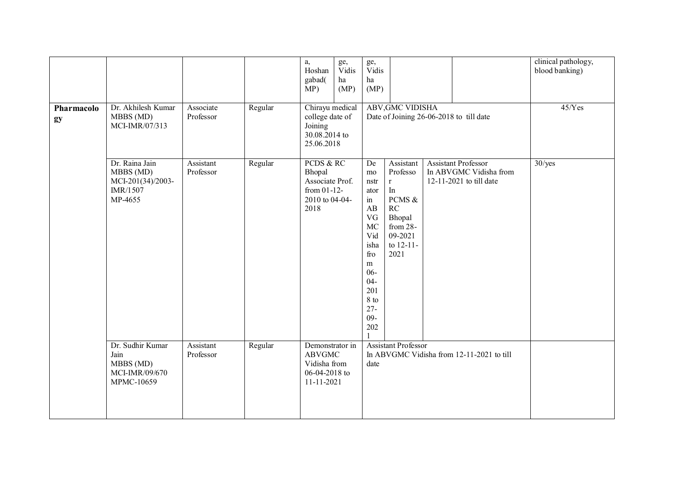| Pharmacolo<br>gy | Dr. Akhilesh Kumar<br>MBBS (MD)<br>MCI-IMR/07/313                       | Associate<br>Professor | Regular | a,<br>Hoshan<br>gabad(<br>MP)<br>Chirayu medical<br>college date of<br>Joining<br>30.08.2014 to<br>25.06.2018 | ge,<br>Vidis<br>ha<br>(MP) | ge,<br>Vidis<br>ha<br>(MP)                                                                                                                | <b>ABV, GMC VIDISHA</b>                                                                                          | Date of Joining 26-06-2018 to till date                                  | clinical pathology,<br>blood banking)<br>$45/Y$ es |
|------------------|-------------------------------------------------------------------------|------------------------|---------|---------------------------------------------------------------------------------------------------------------|----------------------------|-------------------------------------------------------------------------------------------------------------------------------------------|------------------------------------------------------------------------------------------------------------------|--------------------------------------------------------------------------|----------------------------------------------------|
|                  | Dr. Raina Jain<br>MBBS (MD)<br>MCI-201(34)/2003-<br>IMR/1507<br>MP-4655 | Assistant<br>Professor | Regular | PCDS & RC<br>Bhopal<br>Associate Prof.<br>from $01-12$ -<br>2010 to 04-04-<br>2018                            |                            | De<br>mo<br>nstr<br>ator<br>in<br>AB<br>VG<br>MC<br>Vid<br>isha<br>fro<br>m<br>$06 -$<br>$04 -$<br>201<br>8 to<br>$27 -$<br>$09 -$<br>202 | Assistant<br>Professo<br>$\mathbf r$<br>In<br>PCMS &<br>RC<br>Bhopal<br>from 28-<br>09-2021<br>to 12-11-<br>2021 | Assistant Professor<br>In ABVGMC Vidisha from<br>12-11-2021 to till date | $30$ /yes                                          |
|                  | Dr. Sudhir Kumar<br>Jain<br>MBBS (MD)<br>MCI-IMR/09/670<br>MPMC-10659   | Assistant<br>Professor | Regular | Demonstrator in<br><b>ABVGMC</b><br>Vidisha from<br>06-04-2018 to<br>11-11-2021                               |                            | date                                                                                                                                      | <b>Assistant Professor</b>                                                                                       | In ABVGMC Vidisha from 12-11-2021 to till                                |                                                    |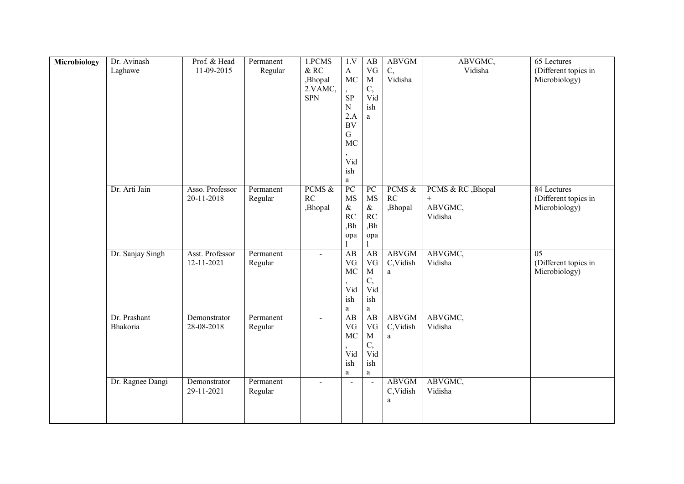| Microbiology | Dr. Avinash      | Prof. & Head                  | Permanent            | 1.PCMS             | 1.V                          | AB                       | <b>ABVGM</b>             | ABVGMC,            | $65$ Lectures                           |
|--------------|------------------|-------------------------------|----------------------|--------------------|------------------------------|--------------------------|--------------------------|--------------------|-----------------------------------------|
|              | Laghawe          | 11-09-2015                    | Regular              | $\&$ RC<br>,Bhopal | $\mathbf A$<br><b>MC</b>     | VG<br>$\mathbf M$        | C,<br>Vidisha            | Vidisha            | (Different topics in<br>Microbiology)   |
|              |                  |                               |                      | 2.VAMC,            |                              | C,                       |                          |                    |                                         |
|              |                  |                               |                      | <b>SPN</b>         | SP                           | Vid                      |                          |                    |                                         |
|              |                  |                               |                      |                    | $\mathbf N$<br>2.A           | ish<br>a                 |                          |                    |                                         |
|              |                  |                               |                      |                    | <b>BV</b>                    |                          |                          |                    |                                         |
|              |                  |                               |                      |                    | G                            |                          |                          |                    |                                         |
|              |                  |                               |                      |                    | MC                           |                          |                          |                    |                                         |
|              |                  |                               |                      |                    | Vid                          |                          |                          |                    |                                         |
|              |                  |                               |                      |                    | ish                          |                          |                          |                    |                                         |
|              | Dr. Arti Jain    | Asso. Professor               | Permanent            | PCMS &             | a<br>PC                      | PC                       | PCMS &                   | PCMS & RC , Bhopal | 84 Lectures                             |
|              |                  | 20-11-2018                    | Regular              | RC                 | <b>MS</b>                    | <b>MS</b>                | RC                       |                    | (Different topics in                    |
|              |                  |                               |                      | ,Bhopal            | $\&$                         | $\&$                     | ,Bhopal                  | ABVGMC,            | Microbiology)                           |
|              |                  |                               |                      |                    | RC<br>,Bh                    | RC<br>,Bh                |                          | Vidisha            |                                         |
|              |                  |                               |                      |                    | opa                          | opa                      |                          |                    |                                         |
|              |                  |                               |                      |                    |                              |                          |                          |                    |                                         |
|              | Dr. Sanjay Singh | Asst. Professor<br>12-11-2021 | Permanent<br>Regular | $\blacksquare$     | $\overline{AB}$<br>$\rm{VG}$ | AB<br>VG                 | <b>ABVGM</b><br>C,Vidish | ABVGMC,<br>Vidisha | $\overline{05}$<br>(Different topics in |
|              |                  |                               |                      |                    | MC                           | $\mathbf M$              | a                        |                    | Microbiology)                           |
|              |                  |                               |                      |                    |                              | C,                       |                          |                    |                                         |
|              |                  |                               |                      |                    | Vid<br>ish                   | Vid<br>ish               |                          |                    |                                         |
|              |                  |                               |                      |                    | a                            | a                        |                          |                    |                                         |
|              | Dr. Prashant     | Demonstrator                  | Permanent            | $\blacksquare$     | $\overline{AB}$              | AB                       | <b>ABVGM</b>             | ABVGMC,            |                                         |
|              | Bhakoria         | 28-08-2018                    | Regular              |                    | VG<br>MC                     | $\rm{VG}$<br>$\mathbf M$ | C,Vidish<br>a            | Vidisha            |                                         |
|              |                  |                               |                      |                    |                              | C,                       |                          |                    |                                         |
|              |                  |                               |                      |                    | Vid                          | Vid                      |                          |                    |                                         |
|              |                  |                               |                      |                    | ish<br>a                     | ish<br>a                 |                          |                    |                                         |
|              | Dr. Ragnee Dangi | Demonstrator                  | Permanent            | $\blacksquare$     | $\sim$                       | $\bar{\phantom{a}}$      | <b>ABVGM</b>             | ABVGMC,            |                                         |
|              |                  | 29-11-2021                    | Regular              |                    |                              |                          | C,Vidish                 | Vidisha            |                                         |
|              |                  |                               |                      |                    |                              |                          | a                        |                    |                                         |
|              |                  |                               |                      |                    |                              |                          |                          |                    |                                         |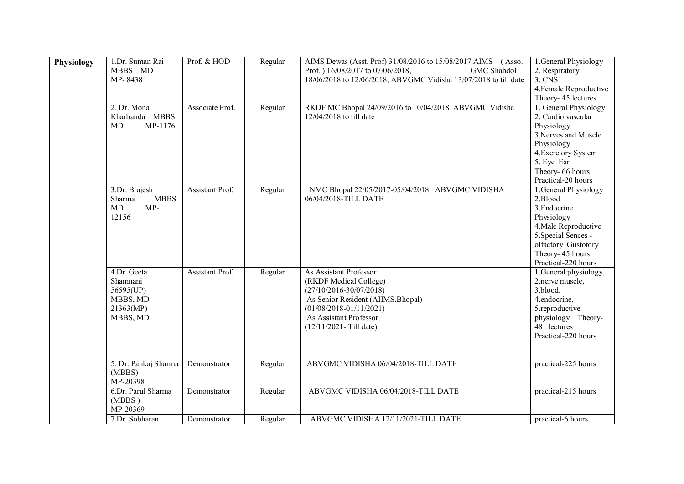| <b>Physiology</b> | 1.Dr. Suman Rai<br>MBBS MD<br>MP-8438<br>2. Dr. Mona                      | Prof. & HOD<br>Associate Prof. | Regular | AIMS Dewas (Asst. Prof) 31/08/2016 to 15/08/2017 AIMS (Asso.<br>Prof. ) 16/08/2017 to 07/06/2018,<br>GMC Shahdol<br>18/06/2018 to 12/06/2018, ABVGMC Vidisha 13/07/2018 to till date<br>RKDF MC Bhopal 24/09/2016 to 10/04/2018 ABVGMC Vidisha | 1. General Physiology<br>2. Respiratory<br>3. CNS<br>4. Female Reproductive<br>Theory- 45 lectures<br>1. General Physiology                                                     |
|-------------------|---------------------------------------------------------------------------|--------------------------------|---------|------------------------------------------------------------------------------------------------------------------------------------------------------------------------------------------------------------------------------------------------|---------------------------------------------------------------------------------------------------------------------------------------------------------------------------------|
|                   | Kharbanda MBBS<br>MP-1176<br>MD                                           |                                | Regular | 12/04/2018 to till date                                                                                                                                                                                                                        | 2. Cardio vascular<br>Physiology<br>3. Nerves and Muscle<br>Physiology<br>4. Excretory System<br>5. Eye Ear<br>Theory- 66 hours<br>Practical-20 hours                           |
|                   | 3.Dr. Brajesh<br><b>MBBS</b><br>Sharma<br>$MP-$<br>MD<br>12156            | Assistant Prof.                | Regular | LNMC Bhopal 22/05/2017-05/04/2018 ABVGMC VIDISHA<br>06/04/2018-TILL DATE                                                                                                                                                                       | 1. General Physiology<br>2.Blood<br>3. Endocrine<br>Physiology<br>4. Male Reproductive<br>5. Special Sences -<br>olfactory Gustotory<br>Theory- 45 hours<br>Practical-220 hours |
|                   | 4.Dr. Geeta<br>Shamnani<br>56595(UP)<br>MBBS, MD<br>21363(MP)<br>MBBS, MD | <b>Assistant Prof.</b>         | Regular | As Assistant Professor<br>(RKDF Medical College)<br>$(27/10/2016 - 30/07/2018)$<br>As Senior Resident (AIIMS, Bhopal)<br>$(01/08/2018 - 01/11/2021)$<br>As Assistant Professor<br>$(12/11/2021 - Till date)$                                   | 1. General physiology,<br>2.nerve muscle,<br>3.blood,<br>4.endocrine,<br>5.reproductive<br>physiology Theory-<br>48 lectures<br>Practical-220 hours                             |
|                   | 5. Dr. Pankaj Sharma<br>(MBBS)<br>MP-20398                                | Demonstrator                   | Regular | ABVGMC VIDISHA 06/04/2018-TILL DATE                                                                                                                                                                                                            | practical-225 hours                                                                                                                                                             |
|                   | 6.Dr. Parul Sharma<br>(MBBS)<br>MP-20369                                  | Demonstrator                   | Regular | ABVGMC VIDISHA 06/04/2018-TILL DATE                                                                                                                                                                                                            | practical-215 hours                                                                                                                                                             |
|                   | 7.Dr. Sobharan                                                            | Demonstrator                   | Regular | ABVGMC VIDISHA 12/11/2021-TILL DATE                                                                                                                                                                                                            | practical-6 hours                                                                                                                                                               |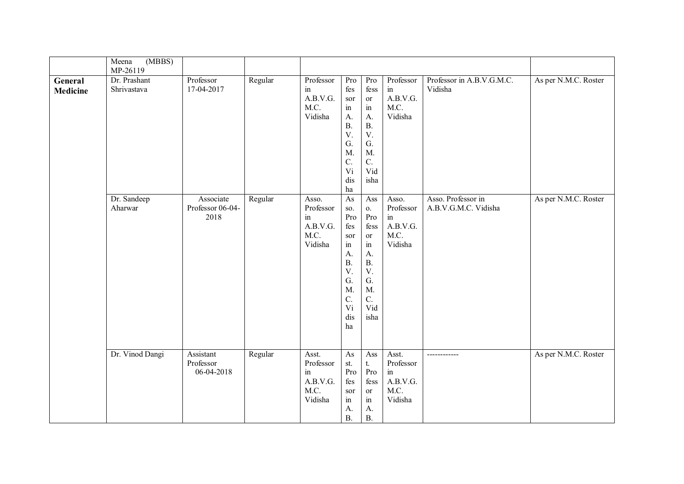|                            | Meena<br>(MBBS)<br>MP-26119 |                                       |         |                                                         |                                                                                                                                       |                                                                                                                                          |                                                                          |                                            |                      |
|----------------------------|-----------------------------|---------------------------------------|---------|---------------------------------------------------------|---------------------------------------------------------------------------------------------------------------------------------------|------------------------------------------------------------------------------------------------------------------------------------------|--------------------------------------------------------------------------|--------------------------------------------|----------------------|
| General<br><b>Medicine</b> | Dr. Prashant<br>Shrivastava | Professor<br>17-04-2017               | Regular | Professor<br>in<br>A.B.V.G.<br>M.C.<br>Vidisha          | Pro<br>fes<br>sor<br>$\operatorname{in}$<br>A.<br>B.<br>$\mathbf V.$<br>G.<br>$M$ .<br>$C$ .<br>Vi<br>dis<br>ha                       | Pro<br>fess<br>or<br>$\operatorname{in}$<br>A.<br>B.<br>$\mathbf V.$<br>G.<br>M.<br>C.<br>Vid<br>isha                                    | Professor<br>$\operatorname{in}$<br>A.B.V.G.<br>M.C.<br>Vidisha          | Professor in A.B.V.G.M.C.<br>Vidisha       | As per N.M.C. Roster |
|                            | Dr. Sandeep<br>Aharwar      | Associate<br>Professor 06-04-<br>2018 | Regular | Asso.<br>Professor<br>in<br>A.B.V.G.<br>M.C.<br>Vidisha | As<br>SO.<br>Pro<br>fes<br>sor<br>$\operatorname{in}$<br>A.<br>B.<br>$V_{\cdot}$<br>G.<br>$M$ .<br>$\mathcal{C}$ .<br>Vi<br>dis<br>ha | Ass<br>0.<br>Pro<br>fess<br><sub>or</sub><br>$\operatorname{in}$<br>$\mathbf{A}$ .<br>B.<br>$V_{\cdot}$<br>G.<br>M.<br>C.<br>Vid<br>isha | Asso.<br>Professor<br>$\operatorname{in}$<br>A.B.V.G.<br>M.C.<br>Vidisha | Asso. Professor in<br>A.B.V.G.M.C. Vidisha | As per N.M.C. Roster |
|                            | Dr. Vinod Dangi             | Assistant<br>Professor<br>06-04-2018  | Regular | Asst.<br>Professor<br>in<br>A.B.V.G.<br>M.C.<br>Vidisha | As<br>st.<br>Pro<br>fes<br>sor<br>$\operatorname{in}$<br>A.<br>B.                                                                     | Ass<br>t.<br>Pro<br>fess<br>or<br>$\operatorname{in}$<br>A.<br>B.                                                                        | Asst.<br>Professor<br>in<br>A.B.V.G.<br>M.C.<br>Vidisha                  | ------------                               | As per N.M.C. Roster |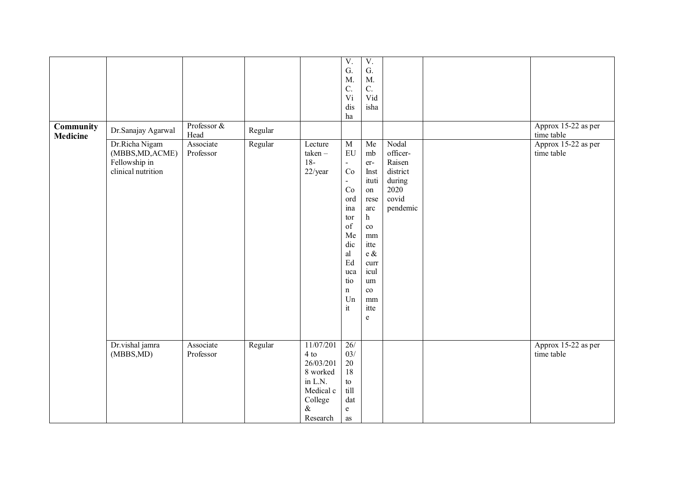| <b>Community</b><br><b>Medicine</b> | Dr.Sanajay Agarwal                                                        | Professor &<br>Head    | Regular |                                                                                                   | $\overline{V}$ .<br>${\bf G}.$<br>$M$ .<br>C.<br>Vi<br>dis<br>ha                                                                                            | $\overline{V}$ .<br>${\bf G}.$<br>M.<br>$\mathcal{C}$ .<br>Vid<br>isha                                                                                |                                                                                | Approx 15-22 as per<br>time table |
|-------------------------------------|---------------------------------------------------------------------------|------------------------|---------|---------------------------------------------------------------------------------------------------|-------------------------------------------------------------------------------------------------------------------------------------------------------------|-------------------------------------------------------------------------------------------------------------------------------------------------------|--------------------------------------------------------------------------------|-----------------------------------|
|                                     | Dr.Richa Nigam<br>(MBBS, MD, ACME)<br>Fellowship in<br>clinical nutrition | Associate<br>Professor | Regular | Lecture<br>taken-<br>$18-$<br>22/year                                                             | $\overline{M}$<br>EU<br>$\omega$<br>Co<br>$\blacksquare$<br>Co<br>ord<br>ina<br>tor<br>of<br>Me<br>dic<br>al<br>Ed<br>uca<br>tio<br>$\mathbf n$<br>Un<br>it | Me<br>mb<br>er-<br>Inst<br>ituti<br>on<br>rese<br>arc<br>h<br>$\rm{co}$<br>mm<br>itte<br>e $\&$<br>curr<br>icul<br>um<br>$\rm{co}$<br>mm<br>itte<br>e | Nodal<br>officer-<br>Raisen<br>district<br>during<br>2020<br>covid<br>pendemic | Approx 15-22 as per<br>time table |
|                                     | Dr.vishal jamra<br>(MBBS,MD)                                              | Associate<br>Professor | Regular | 11/07/201<br>4 to<br>26/03/201<br>8 worked<br>in L.N.<br>Medical c<br>College<br>$\&$<br>Research | 26/<br>03/<br>$20\,$<br>18<br>${\rm to}$<br>till<br>$\mathrm{dat}$<br>$\mathbf{e}$<br>as                                                                    |                                                                                                                                                       |                                                                                | Approx 15-22 as per<br>time table |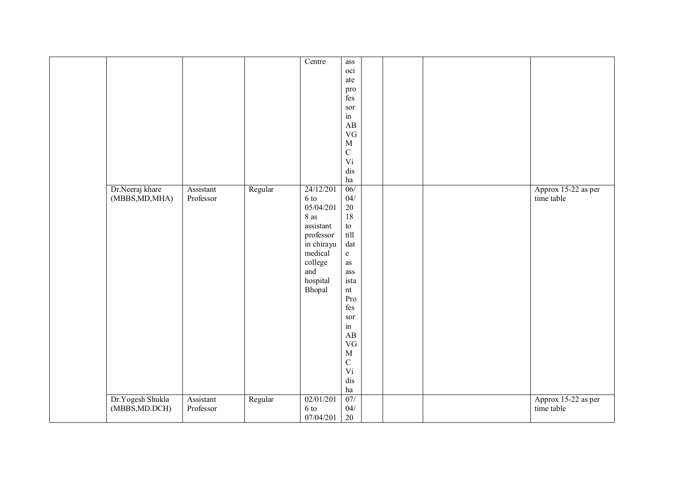|                  |           |         | Centre     | $\operatorname{ass}$              |  |                     |
|------------------|-----------|---------|------------|-----------------------------------|--|---------------------|
|                  |           |         |            | oci                               |  |                     |
|                  |           |         |            | ate                               |  |                     |
|                  |           |         |            |                                   |  |                     |
|                  |           |         |            | pro                               |  |                     |
|                  |           |         |            | $\mathrm{f}\mathrm{e}\mathrm{s}$  |  |                     |
|                  |           |         |            | sor                               |  |                     |
|                  |           |         |            | in                                |  |                     |
|                  |           |         |            | AB                                |  |                     |
|                  |           |         |            | <b>VG</b>                         |  |                     |
|                  |           |         |            | $\mathbf M$                       |  |                     |
|                  |           |         |            |                                   |  |                     |
|                  |           |         |            | $\mathbf C$                       |  |                     |
|                  |           |         |            | Vi                                |  |                     |
|                  |           |         |            | dis                               |  |                     |
|                  |           |         |            | $\,$ ha                           |  |                     |
| Dr.Neeraj khare  | Assistant | Regular | 24/12/201  | 06/                               |  | Approx 15-22 as per |
| (MBBS, MD, MHA)  | Professor |         | 6 to       | $04/$                             |  | time table          |
|                  |           |         |            |                                   |  |                     |
|                  |           |         | 05/04/201  | $20\,$                            |  |                     |
|                  |           |         | 8 as       | 18                                |  |                     |
|                  |           |         | assistant  | ${\rm to}$                        |  |                     |
|                  |           |         | professor  | till                              |  |                     |
|                  |           |         | in chirayu | dat                               |  |                     |
|                  |           |         | medical    | $\mathbf{e}% _{t}\left( t\right)$ |  |                     |
|                  |           |         |            |                                   |  |                     |
|                  |           |         | college    | as                                |  |                     |
|                  |           |         | and        | ass                               |  |                     |
|                  |           |         | hospital   | ista                              |  |                     |
|                  |           |         | Bhopal     | nt                                |  |                     |
|                  |           |         |            | Pro                               |  |                     |
|                  |           |         |            | fes                               |  |                     |
|                  |           |         |            | sor                               |  |                     |
|                  |           |         |            | $\operatorname{in}$               |  |                     |
|                  |           |         |            |                                   |  |                     |
|                  |           |         |            | AB                                |  |                     |
|                  |           |         |            | <b>VG</b>                         |  |                     |
|                  |           |         |            | $\mathbf M$                       |  |                     |
|                  |           |         |            | $\mathbf C$                       |  |                     |
|                  |           |         |            | Vi                                |  |                     |
|                  |           |         |            | dis                               |  |                     |
|                  |           |         |            |                                   |  |                     |
|                  |           |         |            | $\,$ ha                           |  |                     |
| Dr.Yogesh Shukla | Assistant | Regular | 02/01/201  | 07/                               |  | Approx 15-22 as per |
| (MBBS, MD.DCH)   | Professor |         | 6 to       | 04/                               |  | time table          |
|                  |           |         | 07/04/201  | 20                                |  |                     |
|                  |           |         |            |                                   |  |                     |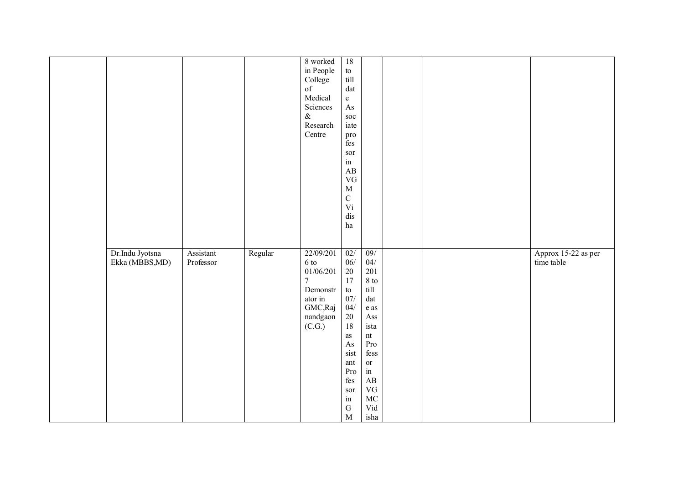|                 |           |         | 8 worked       | $\overline{18}$        |                                                                                                    |  |                     |
|-----------------|-----------|---------|----------------|------------------------|----------------------------------------------------------------------------------------------------|--|---------------------|
|                 |           |         | in People      | to<br>till             |                                                                                                    |  |                     |
|                 |           |         | College        |                        |                                                                                                    |  |                     |
|                 |           |         | of             | $\mathrm{dat}$         |                                                                                                    |  |                     |
|                 |           |         | Medical        | $\mathbf{e}$           |                                                                                                    |  |                     |
|                 |           |         | Sciences       | $\mathbf{A}\mathbf{s}$ |                                                                                                    |  |                     |
|                 |           |         |                |                        |                                                                                                    |  |                     |
|                 |           |         | $\&$           | $\operatorname{soc}$   |                                                                                                    |  |                     |
|                 |           |         | Research       | iate                   |                                                                                                    |  |                     |
|                 |           |         | Centre         | pro                    |                                                                                                    |  |                     |
|                 |           |         |                | fes                    |                                                                                                    |  |                     |
|                 |           |         |                | $\operatorname{sor}$   |                                                                                                    |  |                     |
|                 |           |         |                | in                     |                                                                                                    |  |                     |
|                 |           |         |                | $\mathbf{A}\mathbf{B}$ |                                                                                                    |  |                     |
|                 |           |         |                | $\rm V G$              |                                                                                                    |  |                     |
|                 |           |         |                | $\mathbf M$            |                                                                                                    |  |                     |
|                 |           |         |                | $\mathbf C$            |                                                                                                    |  |                     |
|                 |           |         |                | Vi                     |                                                                                                    |  |                     |
|                 |           |         |                |                        |                                                                                                    |  |                     |
|                 |           |         |                | dis                    |                                                                                                    |  |                     |
|                 |           |         |                | ha                     |                                                                                                    |  |                     |
|                 |           |         |                |                        |                                                                                                    |  |                     |
|                 |           |         |                |                        |                                                                                                    |  |                     |
| Dr.Indu Jyotsna | Assistant | Regular | 22/09/201      | 02/                    | 09/                                                                                                |  | Approx 15-22 as per |
| Ekka (MBBS,MD)  | Professor |         | 6 to           | $06/$                  | $04/$                                                                                              |  | time table          |
|                 |           |         | 01/06/201      | $20\,$                 | 201                                                                                                |  |                     |
|                 |           |         | $\overline{7}$ | 17                     | 8 to                                                                                               |  |                     |
|                 |           |         | Demonstr       | ${\rm to}$             | till                                                                                               |  |                     |
|                 |           |         | ator in        | $07/$                  | $\mathrm{dat}$                                                                                     |  |                     |
|                 |           |         | GMC,Raj        | 04/                    | $\rm e$ as                                                                                         |  |                     |
|                 |           |         | nandgaon       | 20                     | Ass                                                                                                |  |                     |
|                 |           |         | (C.G.)         | 18                     | ista                                                                                               |  |                     |
|                 |           |         |                |                        |                                                                                                    |  |                     |
|                 |           |         |                | $\rm as$               | nt                                                                                                 |  |                     |
|                 |           |         |                | $\mathbf{A}\mathbf{s}$ | $\mathbf{Pro}$                                                                                     |  |                     |
|                 |           |         |                | sist                   | $\mathrm{fess}% \left\vert \mathcal{G}\right\vert =\mathrm{fess}\left\vert \mathcal{G}\right\vert$ |  |                     |
|                 |           |         |                | ant                    | $\hbox{or}\hskip2pt$                                                                               |  |                     |
|                 |           |         |                | Pro                    | $\operatorname{in}$                                                                                |  |                     |
|                 |           |         |                | fes                    | $\mathbf{A}\mathbf{B}$                                                                             |  |                     |
|                 |           |         |                | sor                    | $\rm{VG}$                                                                                          |  |                     |
|                 |           |         |                | in                     | $\rm MC$                                                                                           |  |                     |
|                 |           |         |                | ${\bf G}$              | Vid                                                                                                |  |                     |
|                 |           |         |                | $\mathbf M$            | isha                                                                                               |  |                     |
|                 |           |         |                |                        |                                                                                                    |  |                     |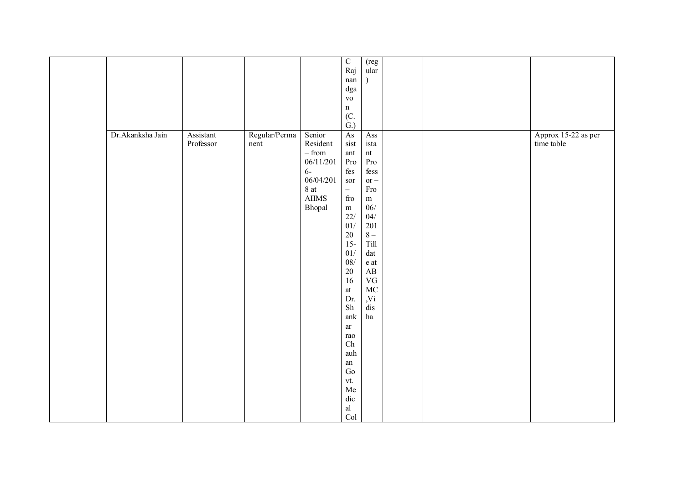|                  |           |               |               | $\overline{C}$                   | (reg                   |  |                     |
|------------------|-----------|---------------|---------------|----------------------------------|------------------------|--|---------------------|
|                  |           |               |               | Raj                              | ular                   |  |                     |
|                  |           |               |               | $\operatorname{nan}$             |                        |  |                     |
|                  |           |               |               | $\mathrm{dga}$                   |                        |  |                     |
|                  |           |               |               | ${\bf v}{\bf o}$                 |                        |  |                     |
|                  |           |               |               | $\mathbf n$                      |                        |  |                     |
|                  |           |               |               | (C.                              |                        |  |                     |
|                  |           |               |               | $\ddot{G}$ .                     |                        |  |                     |
| Dr.Akanksha Jain | Assistant | Regular/Perma | Senior        | As                               | Ass                    |  | Approx 15-22 as per |
|                  | Professor | nent          | Resident      | sist                             | ista                   |  | time table          |
|                  |           |               |               |                                  |                        |  |                     |
|                  |           |               | – from        | $\quad$ ant                      | $\mathop{\mathsf{nt}}$ |  |                     |
|                  |           |               | 06/11/201     | Pro                              | $\mathbf{Pro}$         |  |                     |
|                  |           |               | $6-$          | $\mathrm{f}\mathrm{e}\mathrm{s}$ | fess                   |  |                     |
|                  |           |               | 06/04/201     | sor                              | $or -$                 |  |                     |
|                  |           |               | 8 at          | $\frac{1}{2}$                    | Fro                    |  |                     |
|                  |           |               | ${\rm AIIMS}$ | $\operatorname{fro}$             | ${\bf m}$              |  |                     |
|                  |           |               | Bhopal        | ${\rm m}$                        | $06/$                  |  |                     |
|                  |           |               |               | $22/$                            | 04/                    |  |                     |
|                  |           |               |               | 01/                              | 201                    |  |                     |
|                  |           |               |               | 20                               | $8-$                   |  |                     |
|                  |           |               |               | $15 -$                           | Till                   |  |                     |
|                  |           |               |               | $01/$                            | $\mathrm{dat}$         |  |                     |
|                  |           |               |               | $08/$                            | e at                   |  |                     |
|                  |           |               |               | $20\,$                           | $\mathbf{A}\mathbf{B}$ |  |                     |
|                  |           |               |               | 16                               | ${\rm VG}$             |  |                     |
|                  |           |               |               | $\,$ at                          | $\rm MC$               |  |                     |
|                  |           |               |               | Dr.                              |                        |  |                     |
|                  |           |               |               | ${\rm Sh}$                       | ,Vi                    |  |                     |
|                  |           |               |               |                                  | dis                    |  |                     |
|                  |           |               |               | ank                              | $\,\mathrm{ha}$        |  |                     |
|                  |           |               |               | $\operatorname{ar}$              |                        |  |                     |
|                  |           |               |               | $_{\rm{rao}}$                    |                        |  |                     |
|                  |           |               |               | ${\rm Ch}$                       |                        |  |                     |
|                  |           |               |               | auh                              |                        |  |                     |
|                  |           |               |               | ${\rm an}$                       |                        |  |                     |
|                  |           |               |               | $\rm{Go}$                        |                        |  |                     |
|                  |           |               |               | vt.                              |                        |  |                     |
|                  |           |               |               | ${\rm Me}$                       |                        |  |                     |
|                  |           |               |               | $\rm{dic}$                       |                        |  |                     |
|                  |           |               |               | $\operatorname{al}$              |                        |  |                     |
|                  |           |               |               | Col                              |                        |  |                     |
|                  |           |               |               |                                  |                        |  |                     |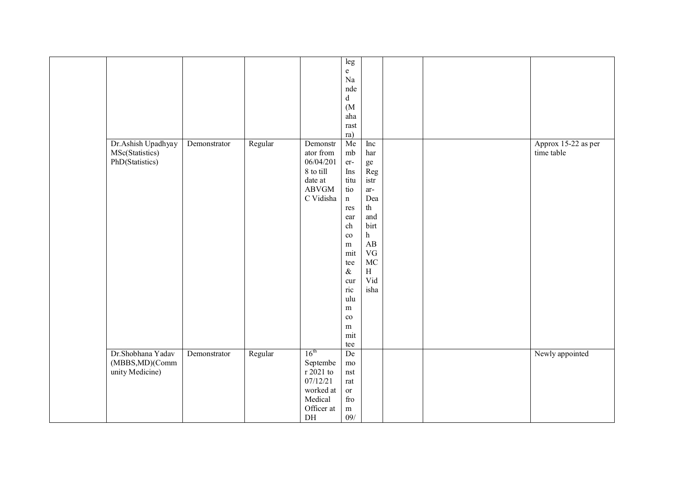|                    |              |         |                  | leg                       |                        |  |                     |
|--------------------|--------------|---------|------------------|---------------------------|------------------------|--|---------------------|
|                    |              |         |                  | e                         |                        |  |                     |
|                    |              |         |                  | $\rm Na$                  |                        |  |                     |
|                    |              |         |                  | nde                       |                        |  |                     |
|                    |              |         |                  | $\rm d$                   |                        |  |                     |
|                    |              |         |                  |                           |                        |  |                     |
|                    |              |         |                  | (M <sup>2</sup> )         |                        |  |                     |
|                    |              |         |                  | aha                       |                        |  |                     |
|                    |              |         |                  | rast                      |                        |  |                     |
|                    |              |         |                  | ra)                       |                        |  |                     |
| Dr.Ashish Upadhyay | Demonstrator | Regular | Demonstr         | Me                        | Inc                    |  | Approx 15-22 as per |
| MSc(Statistics)    |              |         | ator from        | $\rm mb$                  | har                    |  | time table          |
| PhD(Statistics)    |              |         | 06/04/201        | er-                       | ${\rm ge}$             |  |                     |
|                    |              |         | 8 to till        | Ins                       | $\mbox{Reg}$           |  |                     |
|                    |              |         | date at          | titu                      | istr                   |  |                     |
|                    |              |         | ABVGM            | tio                       | ar-                    |  |                     |
|                    |              |         | C Vidisha        | $\mathbf n$               | Dea                    |  |                     |
|                    |              |         |                  | res                       | th                     |  |                     |
|                    |              |         |                  | ear                       | and                    |  |                     |
|                    |              |         |                  | ch                        | birt                   |  |                     |
|                    |              |         |                  | $_{\rm co}$               | h                      |  |                     |
|                    |              |         |                  | ${\bf m}$                 | $\mathbf{A}\mathbf{B}$ |  |                     |
|                    |              |         |                  | mit                       | $\rm{VG}$              |  |                     |
|                    |              |         |                  | tee                       | $\rm MC$               |  |                     |
|                    |              |         |                  | $\&$                      | $\,$ H                 |  |                     |
|                    |              |         |                  | cur                       | Vid                    |  |                     |
|                    |              |         |                  | ric                       | isha                   |  |                     |
|                    |              |         |                  | ulu                       |                        |  |                     |
|                    |              |         |                  | m                         |                        |  |                     |
|                    |              |         |                  | $_{\rm co}$               |                        |  |                     |
|                    |              |         |                  | m                         |                        |  |                     |
|                    |              |         |                  | mit                       |                        |  |                     |
|                    |              |         |                  | tee                       |                        |  |                     |
| Dr.Shobhana Yadav  | Demonstrator | Regular | $16^{\text{th}}$ | De                        |                        |  | Newly appointed     |
| (MBBS,MD)(Comm     |              |         | Septembe         | $_{\rm{mo}}$              |                        |  |                     |
| unity Medicine)    |              |         | r 2021 to        | $\operatorname{nst}$      |                        |  |                     |
|                    |              |         | 07/12/21         |                           |                        |  |                     |
|                    |              |         |                  | $\ensuremath{\text{rat}}$ |                        |  |                     |
|                    |              |         | worked at        | <b>or</b>                 |                        |  |                     |
|                    |              |         | Medical          | $\operatorname{fro}$      |                        |  |                     |
|                    |              |         | Officer at       | ${\bf m}$                 |                        |  |                     |
|                    |              |         | $\rm{DH}$        | 09/                       |                        |  |                     |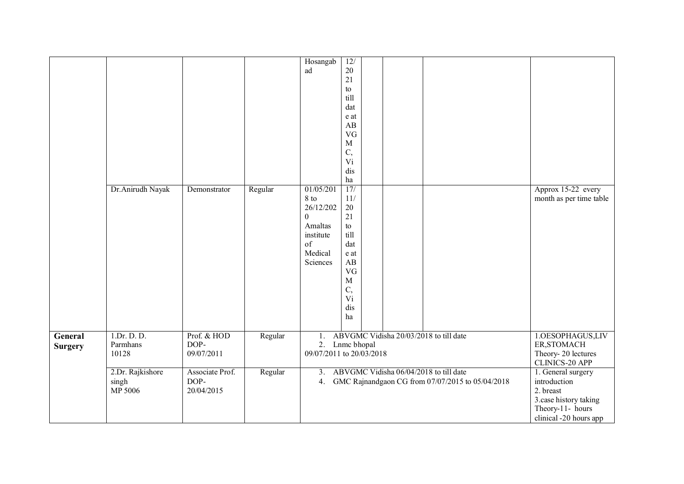|                |                  |                 |         | Hosangab                 | 12/                    |  |                                                  |                         |
|----------------|------------------|-----------------|---------|--------------------------|------------------------|--|--------------------------------------------------|-------------------------|
|                |                  |                 |         | ad                       | 20                     |  |                                                  |                         |
|                |                  |                 |         |                          | 21                     |  |                                                  |                         |
|                |                  |                 |         |                          | to                     |  |                                                  |                         |
|                |                  |                 |         |                          | till                   |  |                                                  |                         |
|                |                  |                 |         |                          | dat                    |  |                                                  |                         |
|                |                  |                 |         |                          | e at                   |  |                                                  |                         |
|                |                  |                 |         |                          | $\mathbf{A}\mathbf{B}$ |  |                                                  |                         |
|                |                  |                 |         |                          | VG                     |  |                                                  |                         |
|                |                  |                 |         |                          | $\mathbf M$            |  |                                                  |                         |
|                |                  |                 |         |                          |                        |  |                                                  |                         |
|                |                  |                 |         |                          | C,                     |  |                                                  |                         |
|                |                  |                 |         |                          | Vi                     |  |                                                  |                         |
|                |                  |                 |         |                          | dis                    |  |                                                  |                         |
|                |                  |                 |         |                          | ha                     |  |                                                  |                         |
|                | Dr.Anirudh Nayak | Demonstrator    | Regular | 01/05/201                | 17/                    |  |                                                  | Approx 15-22 every      |
|                |                  |                 |         | 8 to                     | 11/                    |  |                                                  | month as per time table |
|                |                  |                 |         | 26/12/202                | $20\,$                 |  |                                                  |                         |
|                |                  |                 |         | $\mathbf{0}$             | 21                     |  |                                                  |                         |
|                |                  |                 |         | Amaltas                  | to                     |  |                                                  |                         |
|                |                  |                 |         | institute                | till                   |  |                                                  |                         |
|                |                  |                 |         | of                       | dat                    |  |                                                  |                         |
|                |                  |                 |         |                          |                        |  |                                                  |                         |
|                |                  |                 |         | Medical                  | e at                   |  |                                                  |                         |
|                |                  |                 |         | Sciences                 | AB                     |  |                                                  |                         |
|                |                  |                 |         |                          | <b>VG</b>              |  |                                                  |                         |
|                |                  |                 |         |                          | $\mathbf M$            |  |                                                  |                         |
|                |                  |                 |         |                          | C,                     |  |                                                  |                         |
|                |                  |                 |         |                          | Vi                     |  |                                                  |                         |
|                |                  |                 |         |                          | dis                    |  |                                                  |                         |
|                |                  |                 |         |                          | ha                     |  |                                                  |                         |
|                |                  |                 |         |                          |                        |  |                                                  |                         |
| General        | 1.Dr. D. D.      | Prof. & HOD     | Regular | $1_{\cdot}$              |                        |  | ABVGMC Vidisha 20/03/2018 to till date           | 1.OESOPHAGUS,LIV        |
|                | Parmhans         | DOP-            |         |                          | 2. Lnmc bhopal         |  |                                                  | ER, STOMACH             |
| <b>Surgery</b> |                  |                 |         |                          |                        |  |                                                  |                         |
|                | 10128            | 09/07/2011      |         | 09/07/2011 to 20/03/2018 |                        |  |                                                  | Theory-20 lectures      |
|                |                  |                 |         |                          |                        |  |                                                  | CLINICS-20 APP          |
|                | 2.Dr. Rajkishore | Associate Prof. | Regular | 3.                       |                        |  | ABVGMC Vidisha 06/04/2018 to till date           | 1. General surgery      |
|                | singh            | DOP-            |         | 4.                       |                        |  | GMC Rajnandgaon CG from 07/07/2015 to 05/04/2018 | introduction            |
|                | MP 5006          | 20/04/2015      |         |                          |                        |  |                                                  | 2. breast               |
|                |                  |                 |         |                          |                        |  |                                                  | 3.case history taking   |
|                |                  |                 |         |                          |                        |  |                                                  | Theory-11- hours        |
|                |                  |                 |         |                          |                        |  |                                                  |                         |
|                |                  |                 |         |                          |                        |  |                                                  | clinical -20 hours app  |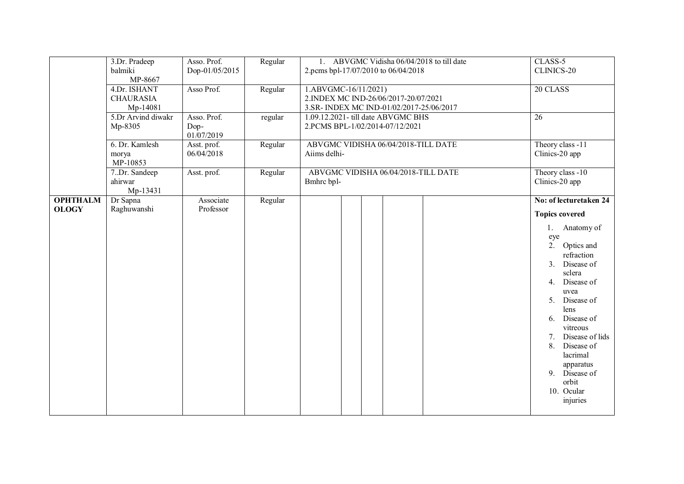|                                 | 3.Dr. Pradeep<br>balmiki<br>MP-8667          | Asso. Prof.<br>Dop-01/05/2015     | Regular | 1. ABVGMC Vidisha 06/04/2018 to till date<br>2.pcms bpl-17/07/2010 to 06/04/2018                        | CLASS-5<br>CLINICS-20                                                                                                                                                                                                                                                                                                                                  |
|---------------------------------|----------------------------------------------|-----------------------------------|---------|---------------------------------------------------------------------------------------------------------|--------------------------------------------------------------------------------------------------------------------------------------------------------------------------------------------------------------------------------------------------------------------------------------------------------------------------------------------------------|
|                                 | 4.Dr. ISHANT<br><b>CHAURASIA</b><br>Mp-14081 | Asso Prof.                        | Regular | 1.ABVGMC-16/11/2021)<br>2.INDEX MC IND-26/06/2017-20/07/2021<br>3.SR-INDEX MC IND-01/02/2017-25/06/2017 | 20 CLASS                                                                                                                                                                                                                                                                                                                                               |
|                                 | 5.Dr Arvind diwakr<br>Mp-8305                | Asso. Prof.<br>Dop-<br>01/07/2019 | regular | 1.09.12.2021- till date ABVGMC BHS<br>2.PCMS BPL-1/02/2014-07/12/2021                                   | 26                                                                                                                                                                                                                                                                                                                                                     |
|                                 | 6. Dr. Kamlesh<br>morya<br>MP-10853          | Asst. prof.<br>06/04/2018         | Regular | ABVGMC VIDISHA 06/04/2018-TILL DATE<br>Aiims delhi-                                                     | Theory class -11<br>Clinics-20 app                                                                                                                                                                                                                                                                                                                     |
|                                 | 7.Dr. Sandeep<br>ahirwar<br>Mp-13431         | Asst. prof.                       | Regular | ABVGMC VIDISHA 06/04/2018-TILL DATE<br>Bmhrc bpl-                                                       | Theory class -10<br>Clinics-20 app                                                                                                                                                                                                                                                                                                                     |
| <b>OPHTHALM</b><br><b>OLOGY</b> | Dr Sapna<br>Raghuwanshi                      | Associate<br>Professor            | Regular |                                                                                                         | No: of lecturetaken 24<br><b>Topics covered</b><br>1. Anatomy of<br>eye<br>2. Optics and<br>refraction<br>3. Disease of<br>sclera<br>4. Disease of<br>uvea<br>5. Disease of<br>lens<br>6. Disease of<br>vitreous<br>Disease of lids<br>7 <sub>1</sub><br>Disease of<br>8.<br>lacrimal<br>apparatus<br>9. Disease of<br>orbit<br>10. Ocular<br>injuries |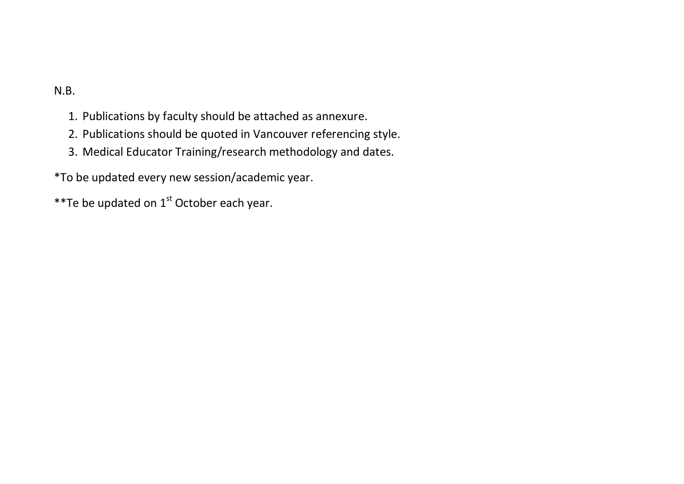## N.B.

- 1. Publications by faculty should be attached as annexure.
- 2. Publications should be quoted in Vancouver referencing style.
- 3. Medical Educator Training/research methodology and dates.

\*To be updated every new session/academic year.

\*\*Te be updated on  $1<sup>st</sup>$  October each year.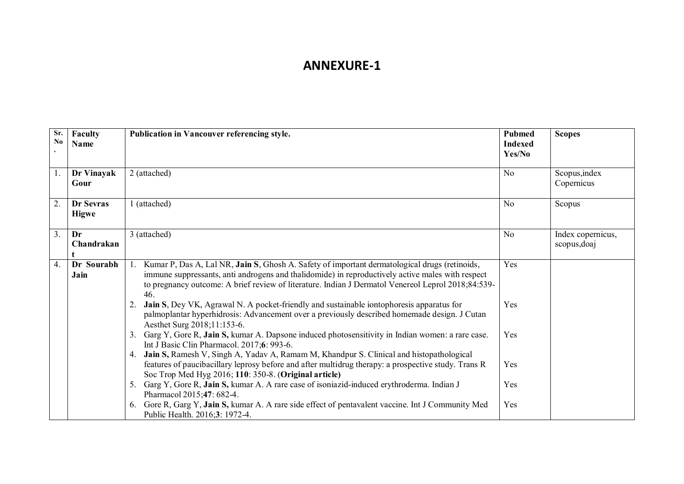## **ANNEXURE-1**

| Sr.<br>No        | Faculty<br>Name           | Publication in Vancouver referencing style.                                                                                                                                                                                                                                                                    | <b>Pubmed</b><br><b>Indexed</b><br>Yes/No | <b>Scopes</b>                     |
|------------------|---------------------------|----------------------------------------------------------------------------------------------------------------------------------------------------------------------------------------------------------------------------------------------------------------------------------------------------------------|-------------------------------------------|-----------------------------------|
| $\overline{1}$ . |                           |                                                                                                                                                                                                                                                                                                                | N <sub>0</sub>                            |                                   |
|                  | Dr Vinayak<br>Gour        | 2 (attached)                                                                                                                                                                                                                                                                                                   |                                           | Scopus, index<br>Copernicus       |
| $\overline{2}$ . | Dr Sevras<br><b>Higwe</b> | 1 (attached)                                                                                                                                                                                                                                                                                                   | N <sub>o</sub>                            | Scopus                            |
| $\overline{3}$ . | Dr<br>Chandrakan          | 3 (attached)                                                                                                                                                                                                                                                                                                   | No                                        | Index copernicus,<br>scopus, doaj |
| $\overline{4}$ . | Dr Sourabh<br>Jain        | Kumar P, Das A, Lal NR, Jain S, Ghosh A. Safety of important dermatological drugs (retinoids,<br>immune suppressants, anti androgens and thalidomide) in reproductively active males with respect<br>to pregnancy outcome: A brief review of literature. Indian J Dermatol Venereol Leprol 2018;84:539-<br>46. | Yes                                       |                                   |
|                  |                           | <b>Jain S</b> , Dey VK, Agrawal N. A pocket-friendly and sustainable iontophoresis apparatus for<br>2.<br>palmoplantar hyperhidrosis: Advancement over a previously described homemade design. J Cutan<br>Aesthet Surg 2018;11:153-6.                                                                          | Yes                                       |                                   |
|                  |                           | Garg Y, Gore R, Jain S, kumar A. Dapsone induced photosensitivity in Indian women: a rare case.<br>3.<br>Int J Basic Clin Pharmacol. 2017;6: 993-6.                                                                                                                                                            | Yes                                       |                                   |
|                  |                           | Jain S, Ramesh V, Singh A, Yadav A, Ramam M, Khandpur S. Clinical and histopathological<br>4.<br>features of paucibacillary leprosy before and after multidrug therapy: a prospective study. Trans R<br>Soc Trop Med Hyg 2016; 110: 350-8. (Original article)                                                  | Yes                                       |                                   |
|                  |                           | Garg Y, Gore R, Jain S, kumar A. A rare case of isoniazid-induced erythroderma. Indian J<br>Pharmacol 2015;47: 682-4.                                                                                                                                                                                          | Yes                                       |                                   |
|                  |                           | Gore R, Garg Y, Jain S, kumar A. A rare side effect of pentavalent vaccine. Int J Community Med<br>6.<br>Public Health. 2016;3: 1972-4.                                                                                                                                                                        | Yes                                       |                                   |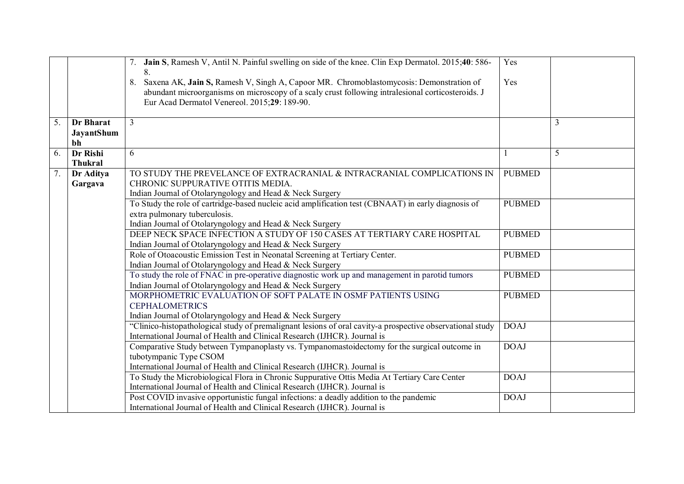|    |                | 7. Jain S, Ramesh V, Antil N. Painful swelling on side of the knee. Clin Exp Dermatol. 2015;40: 586-                                    | Yes           |   |
|----|----------------|-----------------------------------------------------------------------------------------------------------------------------------------|---------------|---|
|    |                | 8.                                                                                                                                      |               |   |
|    |                | Saxena AK, Jain S, Ramesh V, Singh A, Capoor MR. Chromoblastomycosis: Demonstration of<br>8.                                            | Yes           |   |
|    |                | abundant microorganisms on microscopy of a scaly crust following intralesional corticosteroids. J                                       |               |   |
|    |                | Eur Acad Dermatol Venereol. 2015;29: 189-90.                                                                                            |               |   |
|    |                |                                                                                                                                         |               |   |
| 5. | Dr Bharat      | 3                                                                                                                                       |               | 3 |
|    | JayantShum     |                                                                                                                                         |               |   |
|    | bh             |                                                                                                                                         |               |   |
| 6. | Dr Rishi       | 6                                                                                                                                       |               | 5 |
|    | <b>Thukral</b> |                                                                                                                                         |               |   |
| 7. | Dr Aditya      | TO STUDY THE PREVELANCE OF EXTRACRANIAL & INTRACRANIAL COMPLICATIONS IN                                                                 | <b>PUBMED</b> |   |
|    | Gargava        | CHRONIC SUPPURATIVE OTITIS MEDIA.                                                                                                       |               |   |
|    |                | Indian Journal of Otolaryngology and Head & Neck Surgery                                                                                |               |   |
|    |                | To Study the role of cartridge-based nucleic acid amplification test (CBNAAT) in early diagnosis of                                     | <b>PUBMED</b> |   |
|    |                | extra pulmonary tuberculosis.                                                                                                           |               |   |
|    |                | Indian Journal of Otolaryngology and Head & Neck Surgery<br>DEEP NECK SPACE INFECTION A STUDY OF 150 CASES AT TERTIARY CARE HOSPITAL    |               |   |
|    |                |                                                                                                                                         | <b>PUBMED</b> |   |
|    |                | Indian Journal of Otolaryngology and Head & Neck Surgery<br>Role of Otoacoustic Emission Test in Neonatal Screening at Tertiary Center. | <b>PUBMED</b> |   |
|    |                | Indian Journal of Otolaryngology and Head & Neck Surgery                                                                                |               |   |
|    |                | To study the role of FNAC in pre-operative diagnostic work up and management in parotid tumors                                          | <b>PUBMED</b> |   |
|    |                | Indian Journal of Otolaryngology and Head & Neck Surgery                                                                                |               |   |
|    |                | MORPHOMETRIC EVALUATION OF SOFT PALATE IN OSMF PATIENTS USING                                                                           | <b>PUBMED</b> |   |
|    |                | <b>CEPHALOMETRICS</b>                                                                                                                   |               |   |
|    |                | Indian Journal of Otolaryngology and Head & Neck Surgery                                                                                |               |   |
|    |                | "Clinico-histopathological study of premalignant lesions of oral cavity-a prospective observational study                               | <b>DOAJ</b>   |   |
|    |                | International Journal of Health and Clinical Research (IJHCR). Journal is                                                               |               |   |
|    |                | Comparative Study between Tympanoplasty vs. Tympanomastoidectomy for the surgical outcome in                                            | <b>DOAJ</b>   |   |
|    |                | tubotympanic Type CSOM                                                                                                                  |               |   |
|    |                | International Journal of Health and Clinical Research (IJHCR). Journal is                                                               |               |   |
|    |                | To Study the Microbiological Flora in Chronic Suppurative Ottis Media At Tertiary Care Center                                           | <b>DOAJ</b>   |   |
|    |                | International Journal of Health and Clinical Research (IJHCR). Journal is                                                               |               |   |
|    |                | Post COVID invasive opportunistic fungal infections: a deadly addition to the pandemic                                                  | <b>DOAJ</b>   |   |
|    |                | International Journal of Health and Clinical Research (IJHCR). Journal is                                                               |               |   |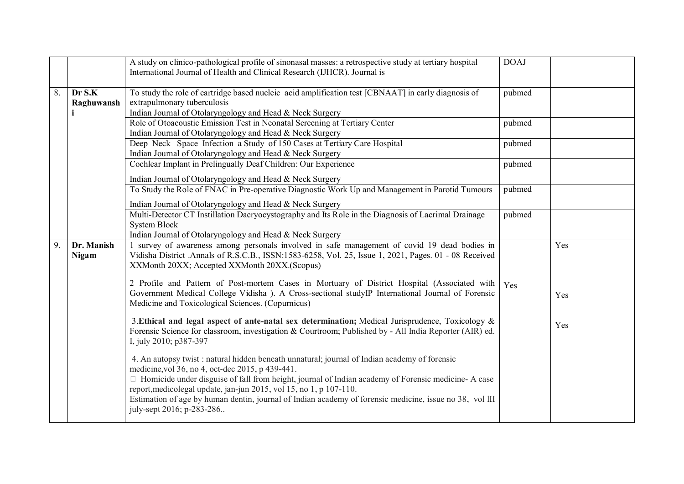|                  |            | A study on clinico-pathological profile of sinonasal masses: a retrospective study at tertiary hospital | <b>DOAJ</b> |     |
|------------------|------------|---------------------------------------------------------------------------------------------------------|-------------|-----|
|                  |            | International Journal of Health and Clinical Research (IJHCR). Journal is                               |             |     |
|                  |            |                                                                                                         |             |     |
| $\overline{8}$ . | Dr S.K     | To study the role of cartridge based nucleic acid amplification test [CBNAAT] in early diagnosis of     | pubmed      |     |
|                  | Raghuwansh | extrapulmonary tuberculosis                                                                             |             |     |
|                  |            | Indian Journal of Otolaryngology and Head & Neck Surgery                                                |             |     |
|                  |            | Role of Otoacoustic Emission Test in Neonatal Screening at Tertiary Center                              | pubmed      |     |
|                  |            | Indian Journal of Otolaryngology and Head & Neck Surgery                                                |             |     |
|                  |            | Deep Neck Space Infection a Study of 150 Cases at Tertiary Care Hospital                                | pubmed      |     |
|                  |            | Indian Journal of Otolaryngology and Head & Neck Surgery                                                |             |     |
|                  |            | Cochlear Implant in Prelingually Deaf Children: Our Experience                                          | pubmed      |     |
|                  |            | Indian Journal of Otolaryngology and Head & Neck Surgery                                                |             |     |
|                  |            | To Study the Role of FNAC in Pre-operative Diagnostic Work Up and Management in Parotid Tumours         | pubmed      |     |
|                  |            | Indian Journal of Otolaryngology and Head & Neck Surgery                                                |             |     |
|                  |            | Multi-Detector CT Instillation Dacryocystography and Its Role in the Diagnosis of Lacrimal Drainage     | pubmed      |     |
|                  |            | <b>System Block</b>                                                                                     |             |     |
|                  |            | Indian Journal of Otolaryngology and Head & Neck Surgery                                                |             |     |
| 9.               | Dr. Manish | 1 survey of awareness among personals involved in safe management of covid 19 dead bodies in            |             | Yes |
|                  | Nigam      | Vidisha District .Annals of R.S.C.B., ISSN:1583-6258, Vol. 25, Issue 1, 2021, Pages. 01 - 08 Received   |             |     |
|                  |            | XXMonth 20XX; Accepted XXMonth 20XX.(Scopus)                                                            |             |     |
|                  |            | 2 Profile and Pattern of Post-mortem Cases in Mortuary of District Hospital (Associated with            | Yes         |     |
|                  |            | Government Medical College Vidisha ). A Cross-sectional studyIP International Journal of Forensic       |             | Yes |
|                  |            | Medicine and Toxicological Sciences. (Copurnicus)                                                       |             |     |
|                  |            |                                                                                                         |             |     |
|                  |            | 3. Ethical and legal aspect of ante-natal sex determination; Medical Jurisprudence, Toxicology $\&$     |             | Yes |
|                  |            | Forensic Science for classroom, investigation & Courtroom; Published by - All India Reporter (AIR) ed.  |             |     |
|                  |            | I, july 2010; p387-397                                                                                  |             |     |
|                  |            | 4. An autopsy twist : natural hidden beneath unnatural; journal of Indian academy of forensic           |             |     |
|                  |            | medicine, vol 36, no 4, oct-dec 2015, p 439-441.                                                        |             |     |
|                  |            | □ Homicide under disguise of fall from height, journal of Indian academy of Forensic medicine- A case   |             |     |
|                  |            | report, medicolegal update, jan-jun 2015, vol 15, no 1, p 107-110.                                      |             |     |
|                  |            | Estimation of age by human dentin, journal of Indian academy of forensic medicine, issue no 38, vol III |             |     |
|                  |            | july-sept 2016; p-283-286                                                                               |             |     |
|                  |            |                                                                                                         |             |     |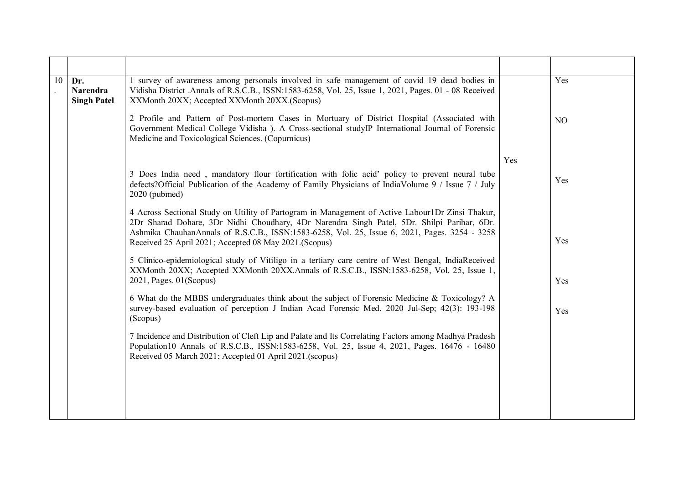| 10 | Dr.<br><b>Narendra</b><br><b>Singh Patel</b> | 1 survey of awareness among personals involved in safe management of covid 19 dead bodies in<br>Vidisha District Annals of R.S.C.B., ISSN:1583-6258, Vol. 25, Issue 1, 2021, Pages. 01 - 08 Received<br>XXMonth 20XX; Accepted XXMonth 20XX.(Scopus)                                                                                                      |     | Yes |
|----|----------------------------------------------|-----------------------------------------------------------------------------------------------------------------------------------------------------------------------------------------------------------------------------------------------------------------------------------------------------------------------------------------------------------|-----|-----|
|    |                                              | 2 Profile and Pattern of Post-mortem Cases in Mortuary of District Hospital (Associated with<br>Government Medical College Vidisha ). A Cross-sectional study P International Journal of Forensic<br>Medicine and Toxicological Sciences. (Copurnicus)                                                                                                    |     | NO  |
|    |                                              |                                                                                                                                                                                                                                                                                                                                                           | Yes |     |
|    |                                              | 3 Does India need, mandatory flour fortification with folic acid' policy to prevent neural tube<br>defects?Official Publication of the Academy of Family Physicians of IndiaVolume 9 / Issue 7 / July<br>2020 (pubmed)                                                                                                                                    |     | Yes |
|    |                                              | 4 Across Sectional Study on Utility of Partogram in Management of Active Labour1Dr Zinsi Thakur,<br>2Dr Sharad Dohare, 3Dr Nidhi Choudhary, 4Dr Narendra Singh Patel, 5Dr. Shilpi Parihar, 6Dr.<br>Ashmika ChauhanAnnals of R.S.C.B., ISSN:1583-6258, Vol. 25, Issue 6, 2021, Pages. 3254 - 3258<br>Received 25 April 2021; Accepted 08 May 2021.(Scopus) |     | Yes |
|    |                                              | 5 Clinico-epidemiological study of Vitiligo in a tertiary care centre of West Bengal, IndiaReceived<br>XXMonth 20XX; Accepted XXMonth 20XX.Annals of R.S.C.B., ISSN:1583-6258, Vol. 25, Issue 1,<br>$2021$ , Pages. $01$ (Scopus)                                                                                                                         |     | Yes |
|    |                                              | 6 What do the MBBS undergraduates think about the subject of Forensic Medicine & Toxicology? A<br>survey-based evaluation of perception J Indian Acad Forensic Med. 2020 Jul-Sep; 42(3): 193-198<br>(Scopus)                                                                                                                                              |     | Yes |
|    |                                              | 7 Incidence and Distribution of Cleft Lip and Palate and Its Correlating Factors among Madhya Pradesh<br>Population 10 Annals of R.S.C.B., ISSN:1583-6258, Vol. 25, Issue 4, 2021, Pages. 16476 - 16480<br>Received 05 March 2021; Accepted 01 April 2021.(scopus)                                                                                        |     |     |
|    |                                              |                                                                                                                                                                                                                                                                                                                                                           |     |     |
|    |                                              |                                                                                                                                                                                                                                                                                                                                                           |     |     |
|    |                                              |                                                                                                                                                                                                                                                                                                                                                           |     |     |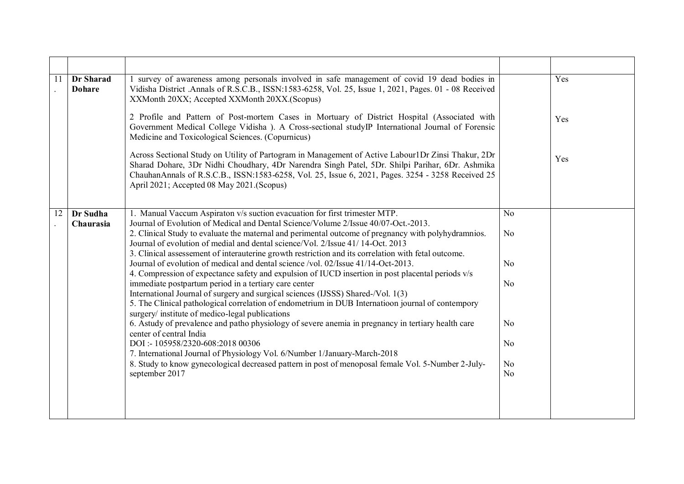| 11 | Dr Sharad<br><b>Dohare</b> | 1 survey of awareness among personals involved in safe management of covid 19 dead bodies in<br>Vidisha District .Annals of R.S.C.B., ISSN:1583-6258, Vol. 25, Issue 1, 2021, Pages. 01 - 08 Received<br>XXMonth 20XX; Accepted XXMonth 20XX.(Scopus)                                                                                                    |                | Yes |
|----|----------------------------|----------------------------------------------------------------------------------------------------------------------------------------------------------------------------------------------------------------------------------------------------------------------------------------------------------------------------------------------------------|----------------|-----|
|    |                            | 2 Profile and Pattern of Post-mortem Cases in Mortuary of District Hospital (Associated with<br>Government Medical College Vidisha ). A Cross-sectional study P International Journal of Forensic<br>Medicine and Toxicological Sciences. (Copurnicus)                                                                                                   |                | Yes |
|    |                            | Across Sectional Study on Utility of Partogram in Management of Active Labour1Dr Zinsi Thakur, 2Dr<br>Sharad Dohare, 3Dr Nidhi Choudhary, 4Dr Narendra Singh Patel, 5Dr. Shilpi Parihar, 6Dr. Ashmika<br>ChauhanAnnals of R.S.C.B., ISSN:1583-6258, Vol. 25, Issue 6, 2021, Pages. 3254 - 3258 Received 25<br>April 2021; Accepted 08 May 2021. (Scopus) |                | Yes |
| 12 | Dr Sudha                   | 1. Manual Vaccum Aspiraton v/s suction evacuation for first trimester MTP.                                                                                                                                                                                                                                                                               | N <sub>o</sub> |     |
|    | Chaurasia                  | Journal of Evolution of Medical and Dental Science/Volume 2/Issue 40/07-Oct.-2013.                                                                                                                                                                                                                                                                       |                |     |
|    |                            | 2. Clinical Study to evaluate the maternal and perimental outcome of pregnancy with polyhydramnios.<br>Journal of evolution of medial and dental science/Vol. 2/Issue 41/14-Oct. 2013                                                                                                                                                                    | N <sub>0</sub> |     |
|    |                            | 3. Clinical assessement of interauterine growth restriction and its correlation with fetal outcome.                                                                                                                                                                                                                                                      |                |     |
|    |                            | Journal of evolution of medical and dental science /vol. 02/Issue 41/14-Oct-2013.                                                                                                                                                                                                                                                                        | N <sub>0</sub> |     |
|    |                            | 4. Compression of expectance safety and expulsion of IUCD insertion in post placental periods v/s<br>immediate postpartum period in a tertiary care center                                                                                                                                                                                               | N <sub>0</sub> |     |
|    |                            | International Journal of surgery and surgical sciences (IJSSS) Shared-/Vol. 1(3)                                                                                                                                                                                                                                                                         |                |     |
|    |                            | 5. The Clinical pathological correlation of endometrium in DUB Internation journal of contempory                                                                                                                                                                                                                                                         |                |     |
|    |                            | surgery/ institute of medico-legal publications<br>6. Astudy of prevalence and patho physiology of severe anemia in pregnancy in tertiary health care                                                                                                                                                                                                    | N <sub>o</sub> |     |
|    |                            | center of central India                                                                                                                                                                                                                                                                                                                                  |                |     |
|    |                            | DOI:-105958/2320-608:2018 00306                                                                                                                                                                                                                                                                                                                          | N <sub>0</sub> |     |
|    |                            | 7. International Journal of Physiology Vol. 6/Number 1/January-March-2018<br>8. Study to know gynecological decreased pattern in post of menoposal female Vol. 5-Number 2-July-                                                                                                                                                                          | No             |     |
|    |                            | september 2017                                                                                                                                                                                                                                                                                                                                           | N <sub>o</sub> |     |
|    |                            |                                                                                                                                                                                                                                                                                                                                                          |                |     |
|    |                            |                                                                                                                                                                                                                                                                                                                                                          |                |     |
|    |                            |                                                                                                                                                                                                                                                                                                                                                          |                |     |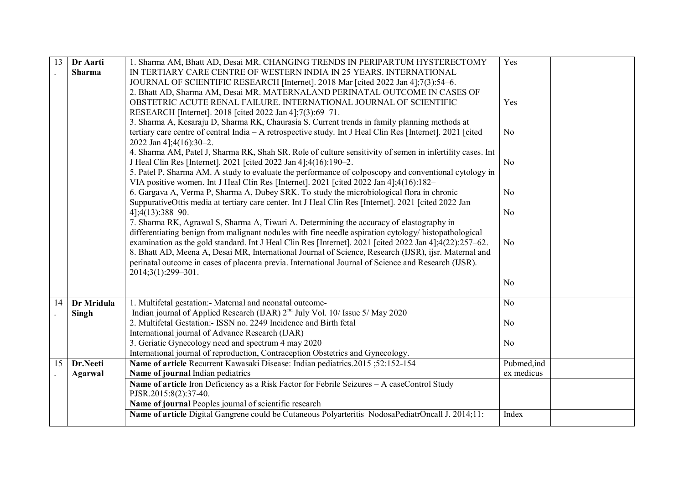| 13 | Dr Aarti      | 1. Sharma AM, Bhatt AD, Desai MR. CHANGING TRENDS IN PERIPARTUM HYSTERECTOMY                                                                                                                                     | Yes            |
|----|---------------|------------------------------------------------------------------------------------------------------------------------------------------------------------------------------------------------------------------|----------------|
|    | <b>Sharma</b> | IN TERTIARY CARE CENTRE OF WESTERN INDIA IN 25 YEARS. INTERNATIONAL                                                                                                                                              |                |
|    |               | JOURNAL OF SCIENTIFIC RESEARCH [Internet]. 2018 Mar [cited 2022 Jan 4];7(3):54-6.                                                                                                                                |                |
|    |               | 2. Bhatt AD, Sharma AM, Desai MR. MATERNALAND PERINATAL OUTCOME IN CASES OF                                                                                                                                      |                |
|    |               | OBSTETRIC ACUTE RENAL FAILURE. INTERNATIONAL JOURNAL OF SCIENTIFIC                                                                                                                                               | Yes            |
|    |               | RESEARCH [Internet]. 2018 [cited 2022 Jan 4];7(3):69-71.                                                                                                                                                         |                |
|    |               | 3. Sharma A, Kesaraju D, Sharma RK, Chaurasia S. Current trends in family planning methods at                                                                                                                    |                |
|    |               | tertiary care centre of central India - A retrospective study. Int J Heal Clin Res [Internet]. 2021 [cited]                                                                                                      | N <sub>0</sub> |
|    |               | 2022 Jan 4];4(16):30-2.                                                                                                                                                                                          |                |
|    |               | 4. Sharma AM, Patel J, Sharma RK, Shah SR. Role of culture sensitivity of semen in infertility cases. Int                                                                                                        |                |
|    |               | J Heal Clin Res [Internet]. 2021 [cited 2022 Jan 4];4(16):190-2.                                                                                                                                                 | N <sub>o</sub> |
|    |               | 5. Patel P, Sharma AM. A study to evaluate the performance of colposcopy and conventional cytology in                                                                                                            |                |
|    |               | VIA positive women. Int J Heal Clin Res [Internet]. 2021 [cited 2022 Jan 4]; $4(16):182-$                                                                                                                        |                |
|    |               | 6. Gargava A, Verma P, Sharma A, Dubey SRK. To study the microbiological flora in chronic                                                                                                                        | No             |
|    |               | SuppurativeOttis media at tertiary care center. Int J Heal Clin Res [Internet]. 2021 [cited 2022 Jan                                                                                                             |                |
|    |               | $4$ ]; $4(13)$ : $388 - 90$ .                                                                                                                                                                                    | N <sub>o</sub> |
|    |               | 7. Sharma RK, Agrawal S, Sharma A, Tiwari A. Determining the accuracy of elastography in                                                                                                                         |                |
|    |               | differentiating benign from malignant nodules with fine needle aspiration cytology/ histopathological                                                                                                            |                |
|    |               | examination as the gold standard. Int J Heal Clin Res [Internet]. 2021 [cited 2022 Jan 4];4(22):257-62.<br>8. Bhatt AD, Meena A, Desai MR, International Journal of Science, Research (IJSR), ijsr. Maternal and | N <sub>o</sub> |
|    |               | perinatal outcome in cases of placenta previa. International Journal of Science and Research (IJSR).                                                                                                             |                |
|    |               | 2014;3(1):299-301.                                                                                                                                                                                               |                |
|    |               |                                                                                                                                                                                                                  | N <sub>o</sub> |
|    |               |                                                                                                                                                                                                                  |                |
| 14 | Dr Mridula    | 1. Multifetal gestation: - Maternal and neonatal outcome-                                                                                                                                                        | N <sub>o</sub> |
|    | Singh         | Indian journal of Applied Research (IJAR) $2nd$ July Vol. 10/ Issue 5/ May 2020                                                                                                                                  |                |
|    |               | 2. Multifetal Gestation: ISSN no. 2249 Incidence and Birth fetal                                                                                                                                                 | N <sub>0</sub> |
|    |               | International journal of Advance Research (IJAR)                                                                                                                                                                 |                |
|    |               | 3. Geriatic Gynecology need and spectrum 4 may 2020                                                                                                                                                              | N <sub>o</sub> |
|    |               | International journal of reproduction, Contraception Obstetrics and Gynecology.                                                                                                                                  |                |
| 15 | Dr.Neeti      | Name of article Recurrent Kawasaki Disease: Indian pediatrics.2015;52:152-154                                                                                                                                    | Pubmed, ind    |
|    | Agarwal       | Name of journal Indian pediatrics                                                                                                                                                                                | ex medicus     |
|    |               | Name of article Iron Deficiency as a Risk Factor for Febrile Seizures - A caseControl Study                                                                                                                      |                |
|    |               | PJSR.2015:8(2):37-40.                                                                                                                                                                                            |                |
|    |               | Name of journal Peoples journal of scientific research                                                                                                                                                           |                |
|    |               | Name of article Digital Gangrene could be Cutaneous Polyarteritis NodosaPediatrOncall J. 2014;11:                                                                                                                | Index          |
|    |               |                                                                                                                                                                                                                  |                |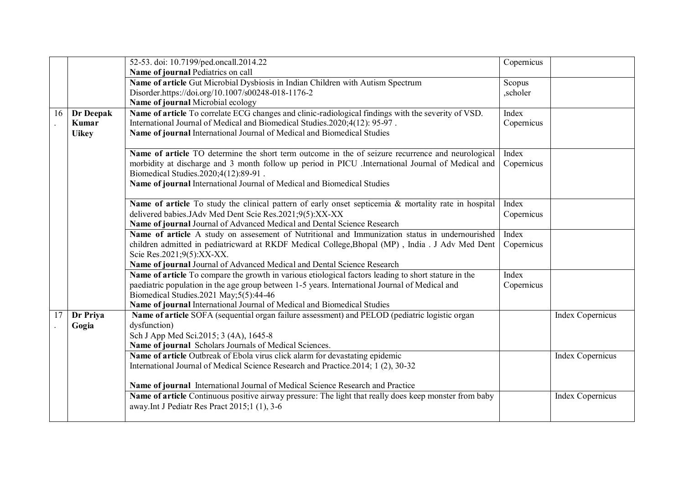|    |              | 52-53. doi: 10.7199/ped.oncall.2014.22                                                                 | Copernicus |                         |
|----|--------------|--------------------------------------------------------------------------------------------------------|------------|-------------------------|
|    |              | Name of journal Pediatrics on call                                                                     |            |                         |
|    |              | Name of article Gut Microbial Dysbiosis in Indian Children with Autism Spectrum                        | Scopus     |                         |
|    |              | Disorder.https://doi.org/10.1007/s00248-018-1176-2                                                     | ,scholer   |                         |
|    |              | Name of journal Microbial ecology                                                                      |            |                         |
| 16 | Dr Deepak    | Name of article To correlate ECG changes and clinic-radiological findings with the severity of VSD.    | Index      |                         |
|    | Kumar        | International Journal of Medical and Biomedical Studies.2020;4(12): 95-97.                             | Copernicus |                         |
|    | <b>Uikey</b> | Name of journal International Journal of Medical and Biomedical Studies                                |            |                         |
|    |              | Name of article TO determine the short term outcome in the of seizure recurrence and neurological      | Index      |                         |
|    |              | morbidity at discharge and 3 month follow up period in PICU. International Journal of Medical and      | Copernicus |                         |
|    |              | Biomedical Studies.2020;4(12):89-91.                                                                   |            |                         |
|    |              | Name of journal International Journal of Medical and Biomedical Studies                                |            |                         |
|    |              | Name of article To study the clinical pattern of early onset septicemia & mortality rate in hospital   | Index      |                         |
|    |              | delivered babies. JAdv Med Dent Scie Res. 2021;9(5): XX-XX                                             | Copernicus |                         |
|    |              | Name of journal Journal of Advanced Medical and Dental Science Research                                |            |                         |
|    |              | Name of article A study on assessment of Nutritional and Immunization status in undernourished         | Index      |                         |
|    |              | children admitted in pediatricward at RKDF Medical College, Bhopal (MP), India . J Adv Med Dent        | Copernicus |                         |
|    |              | Scie Res.2021;9(5):XX-XX.                                                                              |            |                         |
|    |              | Name of journal Journal of Advanced Medical and Dental Science Research                                |            |                         |
|    |              | Name of article To compare the growth in various etiological factors leading to short stature in the   | Index      |                         |
|    |              | paediatric population in the age group between 1-5 years. International Journal of Medical and         | Copernicus |                         |
|    |              | Biomedical Studies.2021 May;5(5):44-46                                                                 |            |                         |
|    |              | Name of journal International Journal of Medical and Biomedical Studies                                |            |                         |
| 17 | Dr Priya     | Name of article SOFA (sequential organ failure assessment) and PELOD (pediatric logistic organ         |            | <b>Index Copernicus</b> |
|    | Gogia        | dysfunction)                                                                                           |            |                         |
|    |              | Sch J App Med Sci.2015; 3 (4A), 1645-8                                                                 |            |                         |
|    |              | Name of journal Scholars Journals of Medical Sciences.                                                 |            |                         |
|    |              | Name of article Outbreak of Ebola virus click alarm for devastating epidemic                           |            | <b>Index Copernicus</b> |
|    |              | International Journal of Medical Science Research and Practice. 2014; 1 (2), 30-32                     |            |                         |
|    |              | Name of journal International Journal of Medical Science Research and Practice                         |            |                         |
|    |              | Name of article Continuous positive airway pressure: The light that really does keep monster from baby |            | <b>Index Copernicus</b> |
|    |              | away. Int J Pediatr Res Pract 2015;1 (1), 3-6                                                          |            |                         |
|    |              |                                                                                                        |            |                         |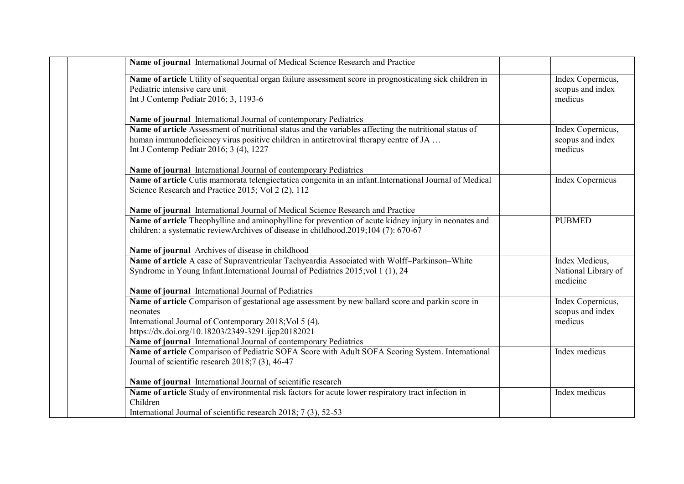| Name of journal International Journal of Medical Science Research and Practice                                                                                                                                                                                                                    |                                                   |
|---------------------------------------------------------------------------------------------------------------------------------------------------------------------------------------------------------------------------------------------------------------------------------------------------|---------------------------------------------------|
| Name of article Utility of sequential organ failure assessment score in prognosticating sick children in<br>Pediatric intensive care unit<br>Int J Contemp Pediatr 2016; 3, 1193-6                                                                                                                | Index Copernicus,<br>scopus and index<br>medicus  |
| Name of journal International Journal of contemporary Pediatrics                                                                                                                                                                                                                                  |                                                   |
| Name of article Assessment of nutritional status and the variables affecting the nutritional status of<br>human immunodeficiency virus positive children in antiretroviral therapy centre of JA<br>Int J Contemp Pediatr 2016; 3 (4), 1227                                                        | Index Copernicus,<br>scopus and index<br>medicus  |
| Name of journal International Journal of contemporary Pediatrics                                                                                                                                                                                                                                  |                                                   |
| Name of article Cutis marmorata telengiectatica congenita in an infant. International Journal of Medical<br>Science Research and Practice 2015; Vol 2 (2), 112                                                                                                                                    | <b>Index Copernicus</b>                           |
| Name of journal International Journal of Medical Science Research and Practice                                                                                                                                                                                                                    |                                                   |
| Name of article Theophylline and aminophylline for prevention of acute kidney injury in neonates and<br>children: a systematic reviewArchives of disease in childhood.2019;104 (7): 670-67                                                                                                        | <b>PUBMED</b>                                     |
| Name of journal Archives of disease in childhood                                                                                                                                                                                                                                                  |                                                   |
| Name of article A case of Supraventricular Tachycardia Associated with Wolff-Parkinson-White<br>Syndrome in Young Infant.International Journal of Pediatrics 2015; vol 1 (1), 24                                                                                                                  | Index Medicus,<br>National Library of<br>medicine |
| Name of journal International Journal of Pediatrics                                                                                                                                                                                                                                               |                                                   |
| Name of article Comparison of gestational age assessment by new ballard score and parkin score in<br>neonates<br>International Journal of Contemporary 2018; Vol 5 (4).<br>https://dx.doi.org/10.18203/2349-3291.ijcp20182021<br>Name of journal International Journal of contemporary Pediatrics | Index Copernicus,<br>scopus and index<br>medicus  |
| Name of article Comparison of Pediatric SOFA Score with Adult SOFA Scoring System. International<br>Journal of scientific research 2018;7 (3), 46-47                                                                                                                                              | Index medicus                                     |
| Name of journal International Journal of scientific research                                                                                                                                                                                                                                      |                                                   |
| Name of article Study of environmental risk factors for acute lower respiratory tract infection in<br>Children<br>International Journal of scientific research 2018; 7 (3), 52-53                                                                                                                 | Index medicus                                     |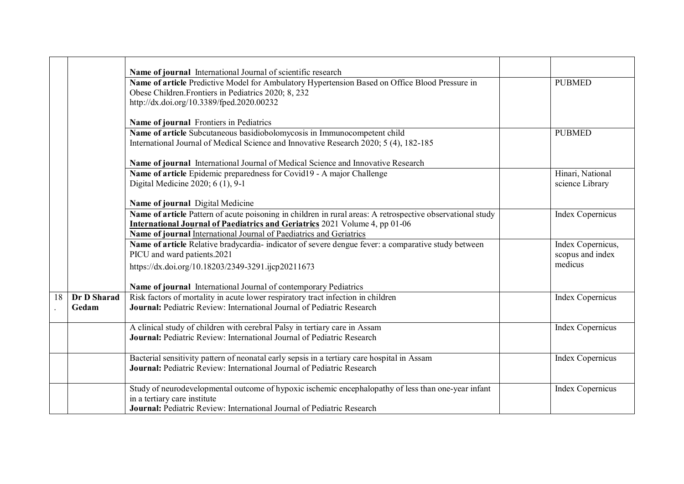|    |             | Name of journal International Journal of scientific research                                               |                         |
|----|-------------|------------------------------------------------------------------------------------------------------------|-------------------------|
|    |             | Name of article Predictive Model for Ambulatory Hypertension Based on Office Blood Pressure in             | <b>PUBMED</b>           |
|    |             | Obese Children. Frontiers in Pediatrics 2020; 8, 232<br>http://dx.doi.org/10.3389/fped.2020.00232          |                         |
|    |             |                                                                                                            |                         |
|    |             | Name of journal Frontiers in Pediatrics                                                                    |                         |
|    |             | Name of article Subcutaneous basidiobolomycosis in Immunocompetent child                                   | <b>PUBMED</b>           |
|    |             | International Journal of Medical Science and Innovative Research 2020; 5 (4), 182-185                      |                         |
|    |             | Name of journal International Journal of Medical Science and Innovative Research                           |                         |
|    |             | Name of article Epidemic preparedness for Covid19 - A major Challenge                                      | Hinari, National        |
|    |             | Digital Medicine 2020; 6 (1), 9-1                                                                          | science Library         |
|    |             |                                                                                                            |                         |
|    |             | Name of journal Digital Medicine                                                                           |                         |
|    |             | Name of article Pattern of acute poisoning in children in rural areas: A retrospective observational study | <b>Index Copernicus</b> |
|    |             | International Journal of Paediatrics and Geriatrics 2021 Volume 4, pp 01-06                                |                         |
|    |             | Name of journal International Journal of Paediatrics and Geriatrics                                        |                         |
|    |             | Name of article Relative bradycardia-indicator of severe dengue fever: a comparative study between         | Index Copernicus,       |
|    |             | PICU and ward patients.2021                                                                                | scopus and index        |
|    |             | https://dx.doi.org/10.18203/2349-3291.ijcp20211673                                                         | medicus                 |
|    |             | Name of journal International Journal of contemporary Pediatrics                                           |                         |
|    |             |                                                                                                            |                         |
| 18 | Dr D Sharad | Risk factors of mortality in acute lower respiratory tract infection in children                           | <b>Index Copernicus</b> |
|    | Gedam       | <b>Journal:</b> Pediatric Review: International Journal of Pediatric Research                              |                         |
|    |             | A clinical study of children with cerebral Palsy in tertiary care in Assam                                 | <b>Index Copernicus</b> |
|    |             | <b>Journal:</b> Pediatric Review: International Journal of Pediatric Research                              |                         |
|    |             | Bacterial sensitivity pattern of neonatal early sepsis in a tertiary care hospital in Assam                | <b>Index Copernicus</b> |
|    |             | <b>Journal:</b> Pediatric Review: International Journal of Pediatric Research                              |                         |
|    |             |                                                                                                            |                         |
|    |             | Study of neurodevelopmental outcome of hypoxic ischemic encephalopathy of less than one-year infant        | <b>Index Copernicus</b> |
|    |             | in a tertiary care institute                                                                               |                         |
|    |             | Journal: Pediatric Review: International Journal of Pediatric Research                                     |                         |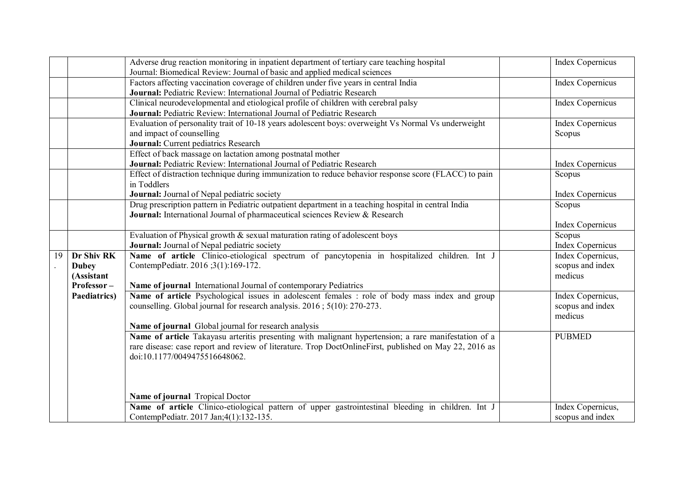|    |              | Adverse drug reaction monitoring in inpatient department of tertiary care teaching hospital                                             | <b>Index Copernicus</b> |
|----|--------------|-----------------------------------------------------------------------------------------------------------------------------------------|-------------------------|
|    |              | Journal: Biomedical Review: Journal of basic and applied medical sciences                                                               |                         |
|    |              | Factors affecting vaccination coverage of children under five years in central India                                                    | <b>Index Copernicus</b> |
|    |              | Journal: Pediatric Review: International Journal of Pediatric Research                                                                  |                         |
|    |              | Clinical neurodevelopmental and etiological profile of children with cerebral palsy                                                     | <b>Index Copernicus</b> |
|    |              | Journal: Pediatric Review: International Journal of Pediatric Research                                                                  |                         |
|    |              | Evaluation of personality trait of 10-18 years adolescent boys: overweight Vs Normal Vs underweight                                     | Index Copernicus        |
|    |              | and impact of counselling                                                                                                               | Scopus                  |
|    |              | Journal: Current pediatrics Research                                                                                                    |                         |
|    |              | Effect of back massage on lactation among postnatal mother                                                                              |                         |
|    |              | <b>Journal:</b> Pediatric Review: International Journal of Pediatric Research                                                           | Index Copernicus        |
|    |              | Effect of distraction technique during immunization to reduce behavior response score (FLACC) to pain                                   | Scopus                  |
|    |              | in Toddlers                                                                                                                             |                         |
|    |              | Journal: Journal of Nepal pediatric society                                                                                             | Index Copernicus        |
|    |              | Drug prescription pattern in Pediatric outpatient department in a teaching hospital in central India                                    | Scopus                  |
|    |              | Journal: International Journal of pharmaceutical sciences Review & Research                                                             |                         |
|    |              |                                                                                                                                         | Index Copernicus        |
|    |              | Evaluation of Physical growth $\&$ sexual maturation rating of adolescent boys                                                          | Scopus                  |
|    |              | Journal: Journal of Nepal pediatric society                                                                                             | <b>Index Copernicus</b> |
| 19 | Dr Shiv RK   | Name of article Clinico-etiological spectrum of pancytopenia in hospitalized children. Int J                                            | Index Copernicus,       |
|    | <b>Dubey</b> | ContempPediatr. 2016 ;3(1):169-172.                                                                                                     | scopus and index        |
|    | (Assistant   |                                                                                                                                         | medicus                 |
|    | Professor-   | Name of journal International Journal of contemporary Pediatrics                                                                        |                         |
|    | Paediatrics) | Name of article Psychological issues in adolescent females : role of body mass index and group                                          | Index Copernicus,       |
|    |              | counselling. Global journal for research analysis. 2016; 5(10): 270-273.                                                                | scopus and index        |
|    |              |                                                                                                                                         | medicus                 |
|    |              | Name of journal Global journal for research analysis                                                                                    |                         |
|    |              | Name of article Takayasu arteritis presenting with malignant hypertension; a rare manifestation of a                                    | <b>PUBMED</b>           |
|    |              | rare disease: case report and review of literature. Trop DoctOnlineFirst, published on May 22, 2016 as<br>doi:10.1177/0049475516648062. |                         |
|    |              |                                                                                                                                         |                         |
|    |              |                                                                                                                                         |                         |
|    |              |                                                                                                                                         |                         |
|    |              | Name of journal Tropical Doctor                                                                                                         |                         |
|    |              | Name of article Clinico-etiological pattern of upper gastrointestinal bleeding in children. Int J                                       | Index Copernicus,       |
|    |              | ContempPediatr. 2017 Jan;4(1):132-135.                                                                                                  | scopus and index        |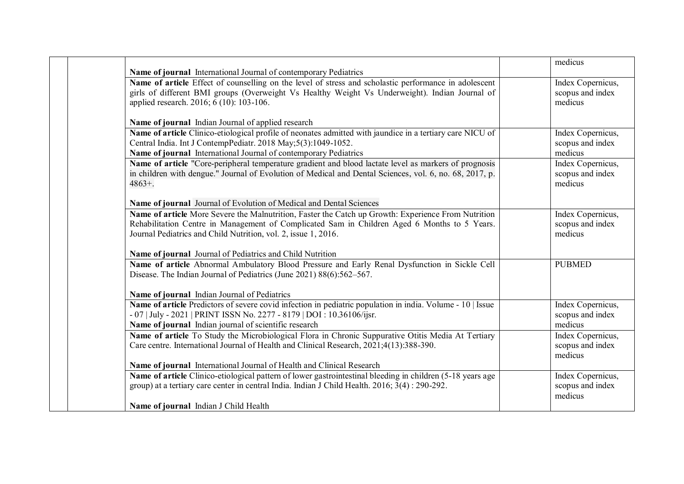|                                                                                                            | medicus           |
|------------------------------------------------------------------------------------------------------------|-------------------|
| Name of journal International Journal of contemporary Pediatrics                                           |                   |
| Name of article Effect of counselling on the level of stress and scholastic performance in adolescent      | Index Copernicus, |
| girls of different BMI groups (Overweight Vs Healthy Weight Vs Underweight). Indian Journal of             | scopus and index  |
| applied research. 2016; 6 (10): 103-106.                                                                   | medicus           |
| Name of journal Indian Journal of applied research                                                         |                   |
| Name of article Clinico-etiological profile of neonates admitted with jaundice in a tertiary care NICU of  | Index Copernicus, |
| Central India. Int J ContempPediatr. 2018 May;5(3):1049-1052.                                              | scopus and index  |
| Name of journal International Journal of contemporary Pediatrics                                           | medicus           |
| Name of article "Core-peripheral temperature gradient and blood lactate level as markers of prognosis      | Index Copernicus, |
| in children with dengue." Journal of Evolution of Medical and Dental Sciences, vol. 6, no. 68, 2017, p.    | scopus and index  |
| $4863+$ .                                                                                                  | medicus           |
|                                                                                                            |                   |
| Name of journal Journal of Evolution of Medical and Dental Sciences                                        |                   |
| Name of article More Severe the Malnutrition, Faster the Catch up Growth: Experience From Nutrition        | Index Copernicus, |
| Rehabilitation Centre in Management of Complicated Sam in Children Aged 6 Months to 5 Years.               | scopus and index  |
| Journal Pediatrics and Child Nutrition, vol. 2, issue 1, 2016.                                             | medicus           |
|                                                                                                            |                   |
| Name of journal Journal of Pediatrics and Child Nutrition                                                  |                   |
| Name of article Abnormal Ambulatory Blood Pressure and Early Renal Dysfunction in Sickle Cell              | <b>PUBMED</b>     |
| Disease. The Indian Journal of Pediatrics (June 2021) 88(6):562-567.                                       |                   |
| Name of journal Indian Journal of Pediatrics                                                               |                   |
| Name of article Predictors of severe covid infection in pediatric population in india. Volume - 10   Issue | Index Copernicus, |
| - 07   July - 2021   PRINT ISSN No. 2277 - 8179   DOI : 10.36106/ijsr.                                     | scopus and index  |
| Name of journal Indian journal of scientific research                                                      | medicus           |
| Name of article To Study the Microbiological Flora in Chronic Suppurative Otitis Media At Tertiary         | Index Copernicus, |
| Care centre. International Journal of Health and Clinical Research, 2021;4(13):388-390.                    | scopus and index  |
|                                                                                                            | medicus           |
| Name of journal International Journal of Health and Clinical Research                                      |                   |
| Name of article Clinico-etiological pattern of lower gastrointestinal bleeding in children (5-18 years age | Index Copernicus, |
| group) at a tertiary care center in central India. Indian J Child Health. 2016; 3(4): 290-292.             | scopus and index  |
|                                                                                                            | medicus           |
| Name of journal Indian J Child Health                                                                      |                   |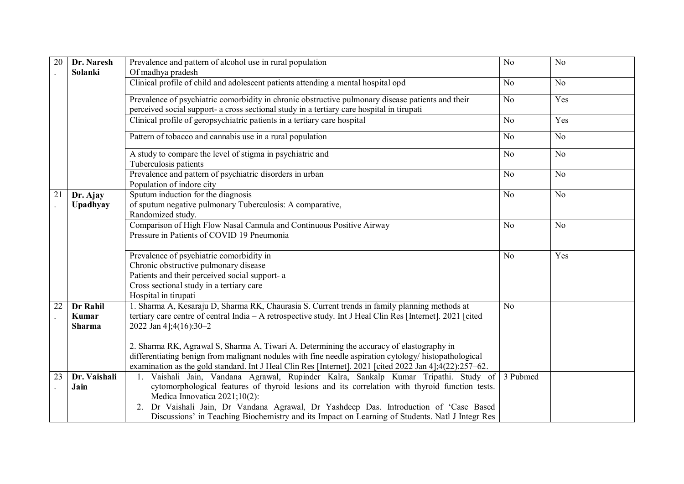| 20 | Dr. Naresh                                | Prevalence and pattern of alcohol use in rural population                                                                                                                                                                                                                                                                                                                                                          | N <sub>o</sub> | N <sub>0</sub> |
|----|-------------------------------------------|--------------------------------------------------------------------------------------------------------------------------------------------------------------------------------------------------------------------------------------------------------------------------------------------------------------------------------------------------------------------------------------------------------------------|----------------|----------------|
|    | Solanki                                   | Of madhya pradesh                                                                                                                                                                                                                                                                                                                                                                                                  |                |                |
|    |                                           | Clinical profile of child and adolescent patients attending a mental hospital opd                                                                                                                                                                                                                                                                                                                                  | N <sub>0</sub> | N <sub>o</sub> |
|    |                                           | Prevalence of psychiatric comorbidity in chronic obstructive pulmonary disease patients and their<br>perceived social support- a cross sectional study in a tertiary care hospital in tirupati                                                                                                                                                                                                                     | N <sub>o</sub> | Yes            |
|    |                                           | Clinical profile of geropsychiatric patients in a tertiary care hospital                                                                                                                                                                                                                                                                                                                                           | N <sub>0</sub> | Yes            |
|    |                                           | Pattern of tobacco and cannabis use in a rural population                                                                                                                                                                                                                                                                                                                                                          | N <sub>0</sub> | N <sub>o</sub> |
|    |                                           | A study to compare the level of stigma in psychiatric and<br>Tuberculosis patients                                                                                                                                                                                                                                                                                                                                 | N <sub>0</sub> | N <sub>0</sub> |
|    |                                           | Prevalence and pattern of psychiatric disorders in urban<br>Population of indore city                                                                                                                                                                                                                                                                                                                              | N <sub>0</sub> | N <sub>0</sub> |
| 21 | Dr. Ajay<br>Upadhyay                      | Sputum induction for the diagnosis<br>of sputum negative pulmonary Tuberculosis: A comparative,<br>Randomized study.                                                                                                                                                                                                                                                                                               | N <sub>0</sub> | N <sub>0</sub> |
|    |                                           | Comparison of High Flow Nasal Cannula and Continuous Positive Airway<br>Pressure in Patients of COVID 19 Pneumonia                                                                                                                                                                                                                                                                                                 | N <sub>0</sub> | N <sub>0</sub> |
|    |                                           | Prevalence of psychiatric comorbidity in<br>Chronic obstructive pulmonary disease<br>Patients and their perceived social support- a<br>Cross sectional study in a tertiary care<br>Hospital in tirupati                                                                                                                                                                                                            | N <sub>o</sub> | Yes            |
| 22 | Dr Rahil<br><b>Kumar</b><br><b>Sharma</b> | 1. Sharma A, Kesaraju D, Sharma RK, Chaurasia S. Current trends in family planning methods at<br>tertiary care centre of central India - A retrospective study. Int J Heal Clin Res [Internet]. 2021 [cited]<br>2022 Jan 4];4(16):30-2                                                                                                                                                                             | N <sub>0</sub> |                |
|    |                                           | 2. Sharma RK, Agrawal S, Sharma A, Tiwari A. Determining the accuracy of elastography in<br>differentiating benign from malignant nodules with fine needle aspiration cytology/ histopathological<br>examination as the gold standard. Int J Heal Clin Res [Internet]. 2021 [cited 2022 Jan 4];4(22):257–62.                                                                                                       |                |                |
| 23 | Dr. Vaishali<br>Jain                      | 1. Vaishali Jain, Vandana Agrawal, Rupinder Kalra, Sankalp Kumar Tripathi. Study of<br>cytomorphological features of thyroid lesions and its correlation with thyroid function tests.<br>Medica Innovatica 2021;10(2):<br>2. Dr Vaishali Jain, Dr Vandana Agrawal, Dr Yashdeep Das. Introduction of 'Case Based<br>Discussions' in Teaching Biochemistry and its Impact on Learning of Students. Natl J Integr Res | 3 Pubmed       |                |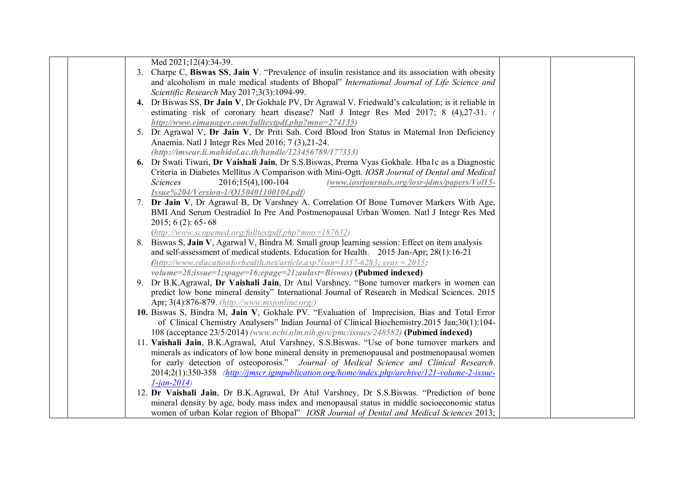| Med 2021;12(4):34-39.                                                                                                                                                                        |  |
|----------------------------------------------------------------------------------------------------------------------------------------------------------------------------------------------|--|
| 3. Charpe C, Biswas SS, Jain V. "Prevalence of insulin resistance and its association with obesity                                                                                           |  |
| and alcoholism in male medical students of Bhopal" International Journal of Life Science and                                                                                                 |  |
| Scientific Research May 2017;3(3):1094-99.                                                                                                                                                   |  |
| 4. Dr Biswas SS, Dr Jain V, Dr Gokhale PV, Dr Agrawal V. Friedwald's calculation; is it reliable in                                                                                          |  |
| estimating risk of coronary heart disease? Natl J Integr Res Med 2017; 8 (4),27-31.                                                                                                          |  |
| http://www.ejmanager.com/fulltextpdf.php?mno=274135)                                                                                                                                         |  |
| 5. Dr Agrawal V, Dr Jain V, Dr Priti Sah. Cord Blood Iron Status in Maternal Iron Deficiency                                                                                                 |  |
| Anaemia. Natl J Integr Res Med 2016; 7 (3), 21-24.                                                                                                                                           |  |
| $(http://imsear. li.mahidol.ac.th/handle/123456789/177333)$                                                                                                                                  |  |
| 6. Dr Swati Tiwari, Dr Vaishali Jain, Dr S.S.Biswas, Prerna Vyas Gokhale. Hba1c as a Diagnostic                                                                                              |  |
| Criteria in Diabetes Mellitus A Comparison with Mini-Ogtt. IOSR Journal of Dental and Medical                                                                                                |  |
| Sciences<br>2016;15(4),100-104<br>(www.iosrjournals.org/iosr-jdms/papers/Vol15-                                                                                                              |  |
| Issue%204/Version-1/Q150401100104.pdf)                                                                                                                                                       |  |
| 7. Dr Jain V, Dr Agrawal B, Dr Varshney A. Correlation Of Bone Turnover Markers With Age,                                                                                                    |  |
| BMI And Serum Oestradiol In Pre And Postmenopausal Urban Women. Natl J Integr Res Med                                                                                                        |  |
| $2015$ ; 6 (2): 65-68                                                                                                                                                                        |  |
| $(http://www.scopemed.org/fulltextpdf.php?mno=187632)$                                                                                                                                       |  |
| 8. Biswas S, Jain V, Agarwal V, Bindra M. Small group learning session: Effect on item analysis                                                                                              |  |
| and self-assessment of medical students. Education for Health. 2015 Jan-Apr; 28(1):16-21                                                                                                     |  |
| $http://www.educationforhealth.net/article.asp?issn=1357-6283; year=2015;$                                                                                                                   |  |
| volume=28;issue=1;spage=16;epage=21;aulast=Biswas) (Pubmed indexed)                                                                                                                          |  |
| 9. Dr B.K.Agrawal, Dr Vaishali Jain, Dr Atul Varshney. "Bone turnover markers in women can                                                                                                   |  |
| predict low bone mineral density" International Journal of Research in Medical Sciences. 2015                                                                                                |  |
| Apr; 3(4):876-879. (http://www.msjonline.org/)                                                                                                                                               |  |
| 10. Biswas S, Bindra M, Jain V, Gokhale PV. "Evaluation of Imprecision, Bias and Total Error<br>of Clinical Chemistry Analysers" Indian Journal of Clinical Biochemistry.2015 Jan;30(1):104- |  |
| 108 (acceptance 23/5/2014) (www.ncbi.nlm.nih.gov/pmc/issues/248582) (Pubmed indexed)                                                                                                         |  |
| 11. Vaishali Jain, B.K.Agrawal, Atul Varshney, S.S.Biswas. "Use of bone turnover markers and                                                                                                 |  |
| minerals as indicators of low bone mineral density in premenopausal and postmenopausal women                                                                                                 |  |
| for early detection of osteoporosis." Journal of Medical Science and Clinical Research.                                                                                                      |  |
| 2014;2(1):350-358 <i>(http://jmscr.igmpublication.org/home/index.php/archive/121-volume-2-issue-</i>                                                                                         |  |
| $1$ -jan-2014)                                                                                                                                                                               |  |
| 12. Dr Vaishali Jain, Dr B.K.Agrawal, Dr Atul Varshney, Dr S.S.Biswas. "Prediction of bone                                                                                                   |  |
| mineral density by age, body mass index and menopausal status in middle socioeconomic status                                                                                                 |  |
| women of urban Kolar region of Bhopal" IOSR Journal of Dental and Medical Sciences 2013;                                                                                                     |  |
|                                                                                                                                                                                              |  |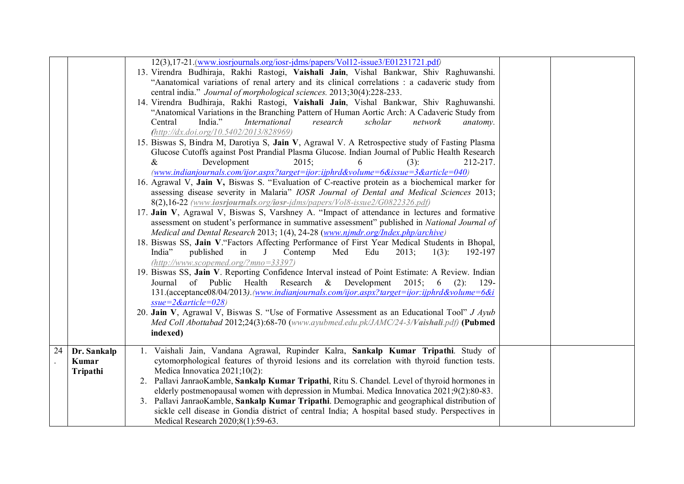|    |             | 12(3),17-21.(www.iosrjournals.org/iosr-jdms/papers/Vol12-issue3/E01231721.pdf)<br>13. Virendra Budhiraja, Rakhi Rastogi, Vaishali Jain, Vishal Bankwar, Shiv Raghuwanshi.               |  |
|----|-------------|-----------------------------------------------------------------------------------------------------------------------------------------------------------------------------------------|--|
|    |             | "Aanatomical variations of renal artery and its clinical correlations : a cadaveric study from                                                                                          |  |
|    |             | central india." Journal of morphological sciences. 2013;30(4):228-233.                                                                                                                  |  |
|    |             | 14. Virendra Budhiraja, Rakhi Rastogi, Vaishali Jain, Vishal Bankwar, Shiv Raghuwanshi.                                                                                                 |  |
|    |             | "Anatomical Variations in the Branching Pattern of Human Aortic Arch: A Cadaveric Study from                                                                                            |  |
|    |             | India."<br>International<br>research<br>scholar<br>Central<br>network<br>anatomy.                                                                                                       |  |
|    |             | (http://dx.doi.org/10.5402/2013/828969)<br>15. Biswas S, Bindra M, Darotiya S, Jain V, Agrawal V. A Retrospective study of Fasting Plasma                                               |  |
|    |             | Glucose Cutoffs against Post Prandial Plasma Glucose. Indian Journal of Public Health Research                                                                                          |  |
|    |             | Development<br>$2015$ ;<br>(3):<br>212-217.<br>&<br>6                                                                                                                                   |  |
|    |             | (www.indianjournals.com/ijor.aspx?target=ijor:ijphrd&volume=6&issue=3&article=040)                                                                                                      |  |
|    |             | 16. Agrawal V, Jain V, Biswas S. "Evaluation of C-reactive protein as a biochemical marker for                                                                                          |  |
|    |             | assessing disease severity in Malaria" IOSR Journal of Dental and Medical Sciences 2013;                                                                                                |  |
|    |             | 8(2),16-22 (www.iosrjournals.org/iosr-jdms/papers/Vol8-issue2/G0822326.pdf)                                                                                                             |  |
|    |             | 17. Jain V, Agrawal V, Biswas S, Varshney A. "Impact of attendance in lectures and formative                                                                                            |  |
|    |             | assessment on student's performance in summative assessment'' published in National Journal of<br>Medical and Dental Research 2013; 1(4), 24-28 (www.njmdr.org/Index.php/archive)       |  |
|    |             | 18. Biswas SS, Jain V. "Factors Affecting Performance of First Year Medical Students in Bhopal,                                                                                         |  |
|    |             | India"<br>published<br>Contemp<br>Med<br>Edu<br>2013;<br>$1(3)$ :<br>in<br>192-197<br>$\perp$                                                                                           |  |
|    |             | $(http://www.scopemed.org/?mno=33397)$                                                                                                                                                  |  |
|    |             | 19. Biswas SS, Jain V. Reporting Confidence Interval instead of Point Estimate: A Review. Indian                                                                                        |  |
|    |             | Research & Development<br>Journal of Public<br>Health<br>2015; 6<br>$(2)$ :<br>129-                                                                                                     |  |
|    |             | 131.(acceptance08/04/2013).(www.indianjournals.com/ijor.aspx?target=ijor.ijphrd&volume=6&i                                                                                              |  |
|    |             | $ssue = 2\&$ article=028)                                                                                                                                                               |  |
|    |             | 20. Jain V, Agrawal V, Biswas S. "Use of Formative Assessment as an Educational Tool" J Ayub<br>Med Coll Abottabad 2012;24(3):68-70 (www.ayubmed.edu.pk/JAMC/24-3/Vaishali.pdf) (Pubmed |  |
|    |             | indexed)                                                                                                                                                                                |  |
|    |             |                                                                                                                                                                                         |  |
| 24 | Dr. Sankalp | 1. Vaishali Jain, Vandana Agrawal, Rupinder Kalra, Sankalp Kumar Tripathi. Study of                                                                                                     |  |
|    | Kumar       | cytomorphological features of thyroid lesions and its correlation with thyroid function tests.<br>Medica Innovatica 2021;10(2):                                                         |  |
|    | Tripathi    | 2. Pallavi JanraoKamble, Sankalp Kumar Tripathi, Ritu S. Chandel. Level of thyroid hormones in                                                                                          |  |
|    |             | elderly postmenopausal women with depression in Mumbai. Medica Innovatica 2021;9(2):80-83.                                                                                              |  |
|    |             | 3. Pallavi JanraoKamble, Sankalp Kumar Tripathi. Demographic and geographical distribution of                                                                                           |  |
|    |             | sickle cell disease in Gondia district of central India; A hospital based study. Perspectives in                                                                                        |  |
|    |             | Medical Research 2020;8(1):59-63.                                                                                                                                                       |  |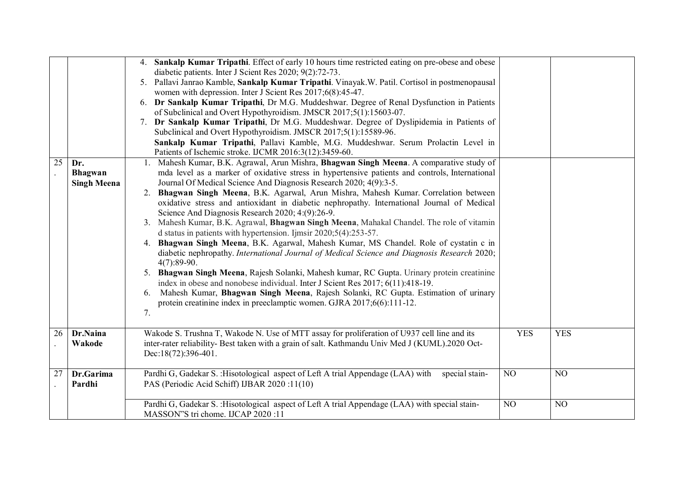|    |                                             | 4. Sankalp Kumar Tripathi. Effect of early 10 hours time restricted eating on pre-obese and obese<br>diabetic patients. Inter J Scient Res 2020; 9(2):72-73.<br>Pallavi Janrao Kamble, Sankalp Kumar Tripathi. Vinayak. W. Patil. Cortisol in postmenopausal<br>5.<br>women with depression. Inter J Scient Res 2017;6(8):45-47.<br>6. Dr Sankalp Kumar Tripathi, Dr M.G. Muddeshwar. Degree of Renal Dysfunction in Patients<br>of Subclinical and Overt Hypothyroidism. JMSCR 2017;5(1):15603-07.<br>Dr Sankalp Kumar Tripathi, Dr M.G. Muddeshwar. Degree of Dyslipidemia in Patients of<br>7.<br>Subclinical and Overt Hypothyroidism. JMSCR 2017;5(1):15589-96.<br>Sankalp Kumar Tripathi, Pallavi Kamble, M.G. Muddeshwar. Serum Prolactin Level in<br>Patients of Ischemic stroke. IJCMR 2016:3(12):3459-60.                                                                                                                                                                                                                                                                                                                                                                                                                           |            |            |
|----|---------------------------------------------|-----------------------------------------------------------------------------------------------------------------------------------------------------------------------------------------------------------------------------------------------------------------------------------------------------------------------------------------------------------------------------------------------------------------------------------------------------------------------------------------------------------------------------------------------------------------------------------------------------------------------------------------------------------------------------------------------------------------------------------------------------------------------------------------------------------------------------------------------------------------------------------------------------------------------------------------------------------------------------------------------------------------------------------------------------------------------------------------------------------------------------------------------------------------------------------------------------------------------------------------------|------------|------------|
| 25 | Dr.<br><b>Bhagwan</b><br><b>Singh Meena</b> | 1. Mahesh Kumar, B.K. Agrawal, Arun Mishra, Bhagwan Singh Meena. A comparative study of<br>mda level as a marker of oxidative stress in hypertensive patients and controls, International<br>Journal Of Medical Science And Diagnosis Research 2020; 4(9):3-5.<br>2. Bhagwan Singh Meena, B.K. Agarwal, Arun Mishra, Mahesh Kumar. Correlation between<br>oxidative stress and antioxidant in diabetic nephropathy. International Journal of Medical<br>Science And Diagnosis Research 2020; 4:(9):26-9.<br>3. Mahesh Kumar, B.K. Agrawal, Bhagwan Singh Meena, Mahakal Chandel. The role of vitamin<br>d status in patients with hypertension. Ijmsir $2020;5(4):253-57$ .<br>4. Bhagwan Singh Meena, B.K. Agarwal, Mahesh Kumar, MS Chandel. Role of cystatin c in<br>diabetic nephropathy. International Journal of Medical Science and Diagnosis Research 2020;<br>$4(7):89-90.$<br>5. Bhagwan Singh Meena, Rajesh Solanki, Mahesh kumar, RC Gupta. Urinary protein creatinine<br>index in obese and nonobese individual. Inter J Scient Res 2017; 6(11):418-19.<br>6. Mahesh Kumar, Bhagwan Singh Meena, Rajesh Solanki, RC Gupta. Estimation of urinary<br>protein creatinine index in preeclamptic women. GJRA 2017;6(6):111-12.<br>7. |            |            |
| 26 | Dr.Naina<br>Wakode                          | Wakode S. Trushna T, Wakode N. Use of MTT assay for proliferation of U937 cell line and its<br>inter-rater reliability- Best taken with a grain of salt. Kathmandu Univ Med J (KUML).2020 Oct-<br>Dec:18(72):396-401.                                                                                                                                                                                                                                                                                                                                                                                                                                                                                                                                                                                                                                                                                                                                                                                                                                                                                                                                                                                                                         | <b>YES</b> | <b>YES</b> |
| 27 | Dr.Garima<br>Pardhi                         | Pardhi G, Gadekar S. : Hisotological aspect of Left A trial Appendage (LAA) with<br>special stain-<br>PAS (Periodic Acid Schiff) IJBAR 2020 :11(10)                                                                                                                                                                                                                                                                                                                                                                                                                                                                                                                                                                                                                                                                                                                                                                                                                                                                                                                                                                                                                                                                                           | NO         | NO         |
|    |                                             | Pardhi G, Gadekar S. : Hisotological aspect of Left A trial Appendage (LAA) with special stain-<br>MASSON"S tri chome. IJCAP 2020 :11                                                                                                                                                                                                                                                                                                                                                                                                                                                                                                                                                                                                                                                                                                                                                                                                                                                                                                                                                                                                                                                                                                         | NO         | NO         |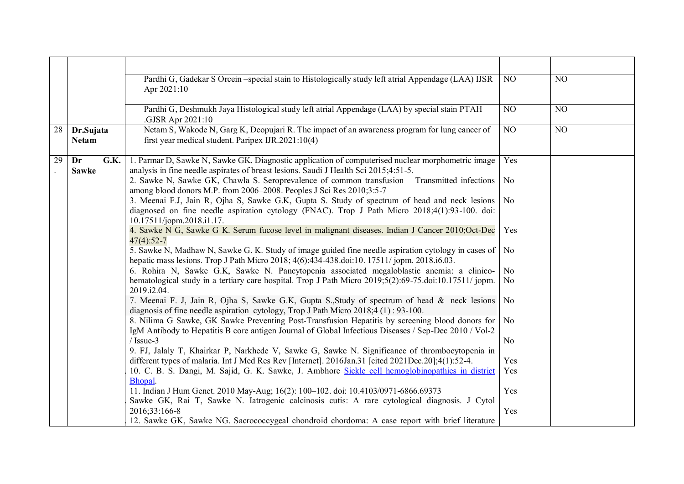|    |                            | Pardhi G, Gadekar S Orcein – special stain to Histologically study left atrial Appendage (LAA) IJSR<br>Apr 2021:10                                                                                                          | NO             | NO |
|----|----------------------------|-----------------------------------------------------------------------------------------------------------------------------------------------------------------------------------------------------------------------------|----------------|----|
|    |                            | Pardhi G, Deshmukh Jaya Histological study left atrial Appendage (LAA) by special stain PTAH<br>.GJSR Apr 2021:10                                                                                                           | NO             | NO |
| 28 | Dr.Sujata<br><b>Netam</b>  | Netam S, Wakode N, Garg K, Deopujari R. The impact of an awareness program for lung cancer of<br>first year medical student. Paripex IJR.2021:10(4)                                                                         | NO             | NO |
| 29 | Dr<br>G.K.<br><b>Sawke</b> | 1. Parmar D, Sawke N, Sawke GK. Diagnostic application of computerised nuclear morphometric image<br>analysis in fine needle aspirates of breast lesions. Saudi J Health Sci 2015;4:51-5.                                   | Yes            |    |
|    |                            | 2. Sawke N, Sawke GK, Chawla S. Seroprevalence of common transfusion - Transmitted infections<br>among blood donors M.P. from 2006-2008. Peoples J Sci Res 2010;3:5-7                                                       | No             |    |
|    |                            | 3. Meenai F.J, Jain R, Ojha S, Sawke G.K, Gupta S. Study of spectrum of head and neck lesions<br>diagnosed on fine needle aspiration cytology (FNAC). Trop J Path Micro 2018;4(1):93-100. doi:<br>10.17511/jopm.2018.i1.17. | No             |    |
|    |                            | 4. Sawke N G, Sawke G K. Serum fucose level in malignant diseases. Indian J Cancer 2010;Oct-Dec<br>$47(4):52-7$                                                                                                             | Yes            |    |
|    |                            | 5. Sawke N, Madhaw N, Sawke G. K. Study of image guided fine needle aspiration cytology in cases of<br>hepatic mass lesions. Trop J Path Micro 2018; 4(6):434-438.doi:10. 17511/ jopm. 2018.i6.03.                          | No.            |    |
|    |                            | 6. Rohira N, Sawke G.K, Sawke N. Pancytopenia associated megaloblastic anemia: a clinico-                                                                                                                                   | No             |    |
|    |                            | hematological study in a tertiary care hospital. Trop J Path Micro 2019;5(2):69-75.doi:10.17511/jopm.<br>2019.i2.04.                                                                                                        | No             |    |
|    |                            | 7. Meenai F. J, Jain R, Ojha S, Sawke G.K, Gupta S., Study of spectrum of head & neck lesions<br>diagnosis of fine needle aspiration cytology, Trop J Path Micro $2018.4(1)$ : 93-100.                                      | No             |    |
|    |                            | 8. Nilima G Sawke, GK Sawke Preventing Post-Transfusion Hepatitis by screening blood donors for<br>IgM Antibody to Hepatitis B core antigen Journal of Global Infectious Diseases / Sep-Dec 2010 / Vol-2                    | No.            |    |
|    |                            | $/$ Issue-3<br>9. FJ, Jalaly T, Khairkar P, Narkhede V, Sawke G, Sawke N. Significance of thrombocytopenia in                                                                                                               | N <sub>0</sub> |    |
|    |                            | different types of malaria. Int J Med Res Rev [Internet]. 2016Jan.31 [cited 2021Dec.20];4(1):52-4.                                                                                                                          | Yes            |    |
|    |                            | 10. C. B. S. Dangi, M. Sajid, G. K. Sawke, J. Ambhore Sickle cell hemoglobinopathies in district<br>Bhopal.                                                                                                                 | Yes            |    |
|    |                            | 11. Indian J Hum Genet. 2010 May-Aug; 16(2): 100-102. doi: 10.4103/0971-6866.69373                                                                                                                                          | Yes            |    |
|    |                            | Sawke GK, Rai T, Sawke N. Iatrogenic calcinosis cutis: A rare cytological diagnosis. J Cytol                                                                                                                                |                |    |
|    |                            | 2016;33:166-8                                                                                                                                                                                                               | Yes            |    |
|    |                            | 12. Sawke GK, Sawke NG. Sacrococcygeal chondroid chordoma: A case report with brief literature                                                                                                                              |                |    |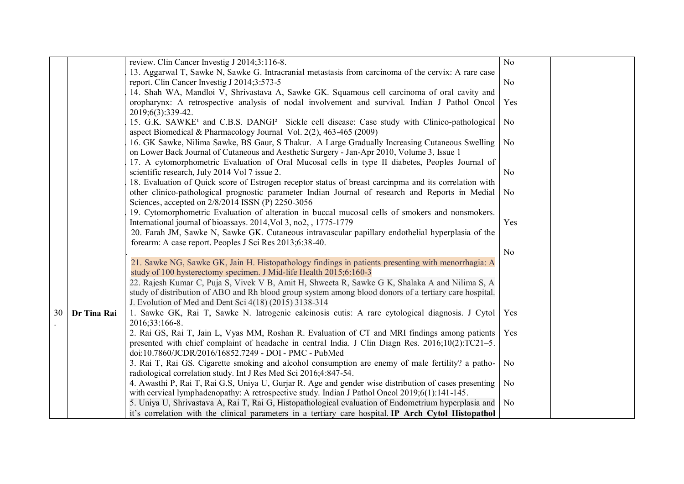|    |             | review. Clin Cancer Investig J 2014;3:116-8.                                                                                                                                                            | N <sub>0</sub> |  |
|----|-------------|---------------------------------------------------------------------------------------------------------------------------------------------------------------------------------------------------------|----------------|--|
|    |             | 13. Aggarwal T, Sawke N, Sawke G. Intracranial metastasis from carcinoma of the cervix: A rare case                                                                                                     |                |  |
|    |             | report. Clin Cancer Investig J 2014;3:573-5                                                                                                                                                             | N <sub>o</sub> |  |
|    |             | 14. Shah WA, Mandloi V, Shrivastava A, Sawke GK. Squamous cell carcinoma of oral cavity and                                                                                                             |                |  |
|    |             | oropharynx: A retrospective analysis of nodal involvement and survival. Indian J Pathol Oncol                                                                                                           | Yes            |  |
|    |             | 2019;6(3):339-42.                                                                                                                                                                                       |                |  |
|    |             | 15. G.K. SAWKE <sup>1</sup> and C.B.S. DANGI <sup>2</sup> Sickle cell disease: Case study with Clinico-pathological                                                                                     | N <sub>0</sub> |  |
|    |             | aspect Biomedical & Pharmacology Journal Vol. 2(2), 463-465 (2009)                                                                                                                                      |                |  |
|    |             | 16. GK Sawke, Nilima Sawke, BS Gaur, S Thakur. A Large Gradually Increasing Cutaneous Swelling                                                                                                          | N <sub>0</sub> |  |
|    |             | on Lower Back Journal of Cutaneous and Aesthetic Surgery - Jan-Apr 2010, Volume 3, Issue 1                                                                                                              |                |  |
|    |             | 17. A cytomorphometric Evaluation of Oral Mucosal cells in type II diabetes, Peoples Journal of                                                                                                         |                |  |
|    |             | scientific research, July 2014 Vol 7 issue 2.                                                                                                                                                           | N <sub>0</sub> |  |
|    |             | 18. Evaluation of Quick score of Estrogen receptor status of breast carcinpma and its correlation with                                                                                                  |                |  |
|    |             | other clinico-pathological prognostic parameter Indian Journal of research and Reports in Medial                                                                                                        | N <sub>0</sub> |  |
|    |             | Sciences, accepted on 2/8/2014 ISSN (P) 2250-3056                                                                                                                                                       |                |  |
|    |             | 19. Cytomorphometric Evaluation of alteration in buccal mucosal cells of smokers and nonsmokers.                                                                                                        |                |  |
|    |             | International journal of bioassays. 2014, Vol 3, no2, 1775-1779                                                                                                                                         | Yes            |  |
|    |             | 20. Farah JM, Sawke N, Sawke GK. Cutaneous intravascular papillary endothelial hyperplasia of the                                                                                                       |                |  |
|    |             | forearm: A case report. Peoples J Sci Res 2013;6:38-40.                                                                                                                                                 |                |  |
|    |             |                                                                                                                                                                                                         | N <sub>0</sub> |  |
|    |             | 21. Sawke NG, Sawke GK, Jain H. Histopathology findings in patients presenting with menorrhagia: A                                                                                                      |                |  |
|    |             | study of 100 hysterectomy specimen. J Mid-life Health 2015;6:160-3                                                                                                                                      |                |  |
|    |             | 22. Rajesh Kumar C, Puja S, Vivek V B, Amit H, Shweeta R, Sawke G K, Shalaka A and Nilima S, A                                                                                                          |                |  |
|    |             | study of distribution of ABO and Rh blood group system among blood donors of a tertiary care hospital.                                                                                                  |                |  |
|    |             | J. Evolution of Med and Dent Sci 4(18) (2015) 3138-314                                                                                                                                                  |                |  |
| 30 | Dr Tina Rai | 1. Sawke GK, Rai T, Sawke N. Iatrogenic calcinosis cutis: A rare cytological diagnosis. J Cytol   Yes                                                                                                   |                |  |
|    |             | 2016;33:166-8.                                                                                                                                                                                          |                |  |
|    |             | 2. Rai GS, Rai T, Jain L, Vyas MM, Roshan R. Evaluation of CT and MRI findings among patients                                                                                                           | Yes            |  |
|    |             | presented with chief complaint of headache in central India. J Clin Diagn Res. $2016;10(2)$ :TC21-5.<br>doi:10.7860/JCDR/2016/16852.7249 - DOI - PMC - PubMed                                           |                |  |
|    |             |                                                                                                                                                                                                         |                |  |
|    |             | 3. Rai T, Rai GS. Cigarette smoking and alcohol consumption are enemy of male fertility? a patho-<br>radiological correlation study. Int J Res Med Sci 2016;4:847-54.                                   | N <sub>0</sub> |  |
|    |             |                                                                                                                                                                                                         |                |  |
|    |             | 4. Awasthi P, Rai T, Rai G.S, Uniya U, Gurjar R. Age and gender wise distribution of cases presenting<br>with cervical lymphadenopathy: A retrospective study. Indian J Pathol Oncol 2019;6(1):141-145. | N <sub>0</sub> |  |
|    |             | 5. Uniya U, Shrivastava A, Rai T, Rai G, Histopathological evaluation of Endometrium hyperplasia and                                                                                                    | N <sub>0</sub> |  |
|    |             | it's correlation with the clinical parameters in a tertiary care hospital. IP Arch Cytol Histopathol                                                                                                    |                |  |
|    |             |                                                                                                                                                                                                         |                |  |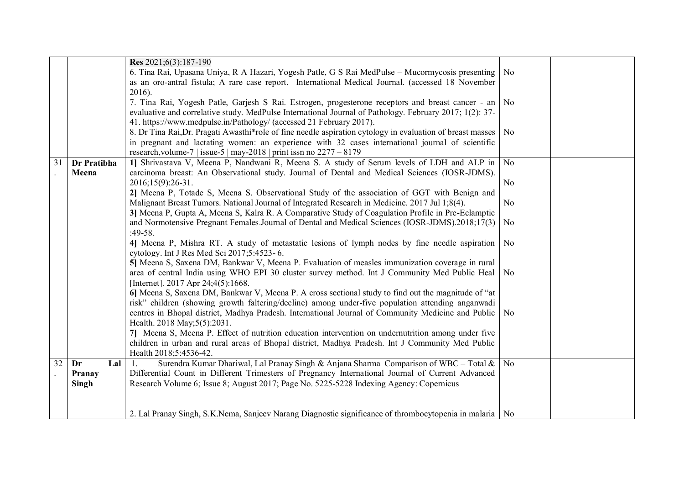|                 |             | Res 2021;6(3):187-190                                                                                                                                                                                                                                                                                                                                          |                             |  |
|-----------------|-------------|----------------------------------------------------------------------------------------------------------------------------------------------------------------------------------------------------------------------------------------------------------------------------------------------------------------------------------------------------------------|-----------------------------|--|
|                 |             | 6. Tina Rai, Upasana Uniya, R A Hazari, Yogesh Patle, G S Rai MedPulse - Mucormycosis presenting<br>as an oro-antral fistula; A rare case report. International Medical Journal. (accessed 18 November                                                                                                                                                         | No                          |  |
|                 |             | $2016$ ).<br>7. Tina Rai, Yogesh Patle, Garjesh S Rai. Estrogen, progesterone receptors and breast cancer - an   No<br>evaluative and correlative study. MedPulse International Journal of Pathology. February 2017; 1(2): 37-                                                                                                                                 |                             |  |
|                 |             | 41. https://www.medpulse.in/Pathology/ (accessed 21 February 2017).<br>8. Dr Tina Rai, Dr. Pragati Awasthi*role of fine needle aspiration cytology in evaluation of breast masses<br>in pregnant and lactating women: an experience with 32 cases international journal of scientific<br>research, volume-7   issue-5   may-2018   print issn no $2277 - 8179$ | $\overline{\phantom{a}}$ No |  |
| $\overline{31}$ | Dr Pratibha | 1] Shrivastava V, Meena P, Nandwani R, Meena S. A study of Serum levels of LDH and ALP in                                                                                                                                                                                                                                                                      | N <sub>0</sub>              |  |
|                 | Meena       | carcinoma breast: An Observational study. Journal of Dental and Medical Sciences (IOSR-JDMS).                                                                                                                                                                                                                                                                  |                             |  |
|                 |             | $2016;15(9):26-31.$                                                                                                                                                                                                                                                                                                                                            | No                          |  |
|                 |             | 2] Meena P, Totade S, Meena S. Observational Study of the association of GGT with Benign and                                                                                                                                                                                                                                                                   |                             |  |
|                 |             | Malignant Breast Tumors. National Journal of Integrated Research in Medicine. 2017 Jul 1;8(4).                                                                                                                                                                                                                                                                 | N <sub>o</sub>              |  |
|                 |             | 3] Meena P, Gupta A, Meena S, Kalra R. A Comparative Study of Coagulation Profile in Pre-Eclamptic                                                                                                                                                                                                                                                             |                             |  |
|                 |             | and Normotensive Pregnant Females. Journal of Dental and Medical Sciences (IOSR-JDMS). 2018;17(3)                                                                                                                                                                                                                                                              | No                          |  |
|                 |             | $:49-58.$                                                                                                                                                                                                                                                                                                                                                      |                             |  |
|                 |             | 4] Meena P, Mishra RT. A study of metastatic lesions of lymph nodes by fine needle aspiration<br>cytology. Int J Res Med Sci 2017;5:4523-6.                                                                                                                                                                                                                    | No                          |  |
|                 |             | 5] Meena S, Saxena DM, Bankwar V, Meena P. Evaluation of measles immunization coverage in rural                                                                                                                                                                                                                                                                |                             |  |
|                 |             | area of central India using WHO EPI 30 cluster survey method. Int J Community Med Public Heal                                                                                                                                                                                                                                                                  | No                          |  |
|                 |             | [Internet]. 2017 Apr 24;4(5):1668.                                                                                                                                                                                                                                                                                                                             |                             |  |
|                 |             | 6] Meena S, Saxena DM, Bankwar V, Meena P. A cross sectional study to find out the magnitude of "at                                                                                                                                                                                                                                                            |                             |  |
|                 |             | risk" children (showing growth faltering/decline) among under-five population attending anganwadi                                                                                                                                                                                                                                                              |                             |  |
|                 |             | centres in Bhopal district, Madhya Pradesh. International Journal of Community Medicine and Public                                                                                                                                                                                                                                                             | No.                         |  |
|                 |             | Health. 2018 May; 5(5): 2031.                                                                                                                                                                                                                                                                                                                                  |                             |  |
|                 |             | 7] Meena S, Meena P. Effect of nutrition education intervention on undernutrition among under five                                                                                                                                                                                                                                                             |                             |  |
|                 |             | children in urban and rural areas of Bhopal district, Madhya Pradesh. Int J Community Med Public                                                                                                                                                                                                                                                               |                             |  |
| 32              | Dr<br>Lal   | Health 2018;5:4536-42.<br>Surendra Kumar Dhariwal, Lal Pranay Singh & Anjana Sharma Comparison of WBC – Total $\&\ $ No                                                                                                                                                                                                                                        |                             |  |
|                 | Pranay      | Differential Count in Different Trimesters of Pregnancy International Journal of Current Advanced                                                                                                                                                                                                                                                              |                             |  |
|                 | Singh       | Research Volume 6; Issue 8; August 2017; Page No. 5225-5228 Indexing Agency: Copernicus                                                                                                                                                                                                                                                                        |                             |  |
|                 |             |                                                                                                                                                                                                                                                                                                                                                                |                             |  |
|                 |             |                                                                                                                                                                                                                                                                                                                                                                |                             |  |
|                 |             | 2. Lal Pranay Singh, S.K.Nema, Sanjeev Narang Diagnostic significance of thrombocytopenia in malaria   No                                                                                                                                                                                                                                                      |                             |  |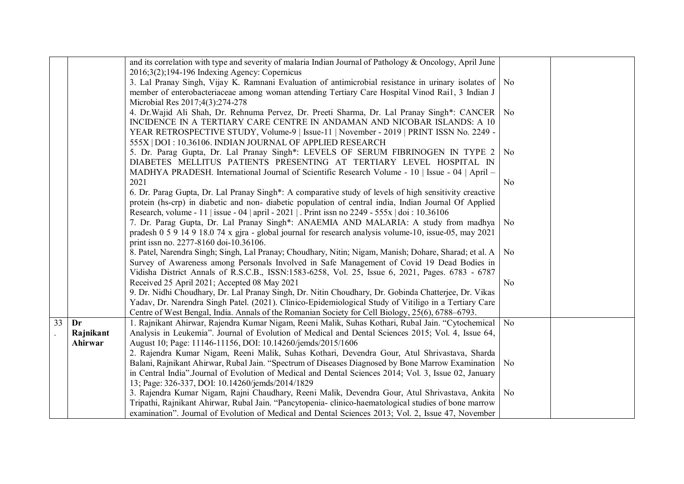|                 |           | and its correlation with type and severity of malaria Indian Journal of Pathology & Oncology, April June                                                                                                  |                |  |
|-----------------|-----------|-----------------------------------------------------------------------------------------------------------------------------------------------------------------------------------------------------------|----------------|--|
|                 |           | $2016;3(2);194-196$ Indexing Agency: Copernicus                                                                                                                                                           |                |  |
|                 |           | 3. Lal Pranay Singh, Vijay K. Ramnani Evaluation of antimicrobial resistance in urinary isolates of                                                                                                       | No             |  |
|                 |           | member of enterobacteriaceae among woman attending Tertiary Care Hospital Vinod Rai1, 3 Indian J                                                                                                          |                |  |
|                 |           | Microbial Res 2017;4(3):274-278                                                                                                                                                                           |                |  |
|                 |           | 4. Dr. Wajid Ali Shah, Dr. Rehnuma Pervez, Dr. Preeti Sharma, Dr. Lal Pranay Singh*: CANCER                                                                                                               | No.            |  |
|                 |           | INCIDENCE IN A TERTIARY CARE CENTRE IN ANDAMAN AND NICOBAR ISLANDS: A 10                                                                                                                                  |                |  |
|                 |           | YEAR RETROSPECTIVE STUDY, Volume-9   Issue-11   November - 2019   PRINT ISSN No. 2249 -                                                                                                                   |                |  |
|                 |           | 555X   DOI : 10.36106. INDIAN JOURNAL OF APPLIED RESEARCH                                                                                                                                                 |                |  |
|                 |           | 5. Dr. Parag Gupta, Dr. Lal Pranay Singh*: LEVELS OF SERUM FIBRINOGEN IN TYPE 2                                                                                                                           | No.            |  |
|                 |           | DIABETES MELLITUS PATIENTS PRESENTING AT TERTIARY LEVEL HOSPITAL IN                                                                                                                                       |                |  |
|                 |           | MADHYA PRADESH. International Journal of Scientific Research Volume - 10   Issue - 04   April -                                                                                                           |                |  |
|                 |           | 2021                                                                                                                                                                                                      | No             |  |
|                 |           | 6. Dr. Parag Gupta, Dr. Lal Pranay Singh*: A comparative study of levels of high sensitivity creactive                                                                                                    |                |  |
|                 |           | protein (hs-crp) in diabetic and non-diabetic population of central india, Indian Journal Of Applied                                                                                                      |                |  |
|                 |           | Research, volume - 11   issue - 04   april - 2021   . Print issn no 2249 - 555x   doi : 10.36106                                                                                                          |                |  |
|                 |           | 7. Dr. Parag Gupta, Dr. Lal Pranay Singh*: ANAEMIA AND MALARIA: A study from madhya                                                                                                                       | No.            |  |
|                 |           | pradesh 0 5 9 14 9 18.0 74 x gira - global journal for research analysis volume-10, issue-05, may 2021                                                                                                    |                |  |
|                 |           | print issn no. 2277-8160 doi-10.36106.                                                                                                                                                                    |                |  |
|                 |           | 8. Patel, Narendra Singh; Singh, Lal Pranay; Choudhary, Nitin; Nigam, Manish; Dohare, Sharad; et al. A                                                                                                    | No.            |  |
|                 |           | Survey of Awareness among Personals Involved in Safe Management of Covid 19 Dead Bodies in                                                                                                                |                |  |
|                 |           | Vidisha District Annals of R.S.C.B., ISSN:1583-6258, Vol. 25, Issue 6, 2021, Pages. 6783 - 6787                                                                                                           |                |  |
|                 |           | Received 25 April 2021; Accepted 08 May 2021                                                                                                                                                              | N <sub>0</sub> |  |
|                 |           | 9. Dr. Nidhi Choudhary, Dr. Lal Pranay Singh, Dr. Nitin Choudhary, Dr. Gobinda Chatterjee, Dr. Vikas                                                                                                      |                |  |
|                 |           | Yadav, Dr. Narendra Singh Patel. (2021). Clinico-Epidemiological Study of Vitiligo in a Tertiary Care<br>Centre of West Bengal, India. Annals of the Romanian Society for Cell Biology, 25(6), 6788–6793. |                |  |
| $\overline{33}$ | Dr        | 1. Rajnikant Ahirwar, Rajendra Kumar Nigam, Reeni Malik, Suhas Kothari, Rubal Jain. "Cytochemical   No                                                                                                    |                |  |
|                 | Rajnikant | Analysis in Leukemia". Journal of Evolution of Medical and Dental Sciences 2015; Vol. 4, Issue 64,                                                                                                        |                |  |
|                 | Ahirwar   | August 10; Page: 11146-11156, DOI: 10.14260/jemds/2015/1606                                                                                                                                               |                |  |
|                 |           | 2. Rajendra Kumar Nigam, Reeni Malik, Suhas Kothari, Devendra Gour, Atul Shrivastava, Sharda                                                                                                              |                |  |
|                 |           | Balani, Rajnikant Ahirwar, Rubal Jain. "Spectrum of Diseases Diagnosed by Bone Marrow Examination                                                                                                         | No             |  |
|                 |           | in Central India". Journal of Evolution of Medical and Dental Sciences 2014; Vol. 3, Issue 02, January                                                                                                    |                |  |
|                 |           | 13; Page: 326-337, DOI: 10.14260/jemds/2014/1829                                                                                                                                                          |                |  |
|                 |           | 3. Rajendra Kumar Nigam, Rajni Chaudhary, Reeni Malik, Devendra Gour, Atul Shrivastava, Ankita   No                                                                                                       |                |  |
|                 |           | Tripathi, Rajnikant Ahirwar, Rubal Jain. "Pancytopenia-clinico-haematological studies of bone marrow                                                                                                      |                |  |
|                 |           | examination". Journal of Evolution of Medical and Dental Sciences 2013; Vol. 2, Issue 47, November                                                                                                        |                |  |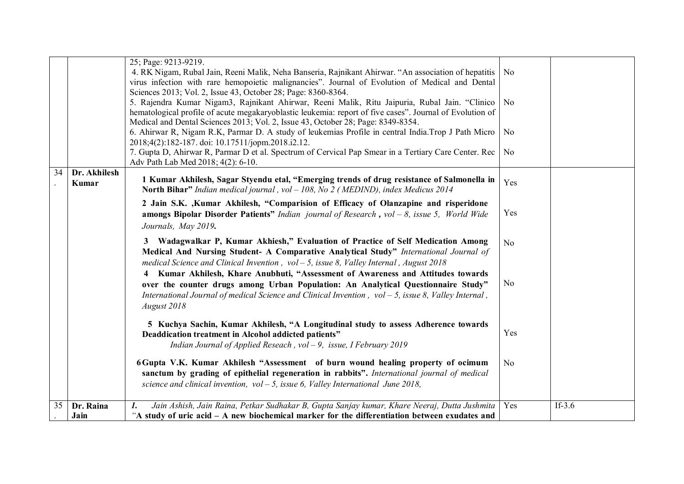|    |                       | 25; Page: 9213-9219.                                                                                                                                                                                                                                                                           |                |           |
|----|-----------------------|------------------------------------------------------------------------------------------------------------------------------------------------------------------------------------------------------------------------------------------------------------------------------------------------|----------------|-----------|
|    |                       | 4. RK Nigam, Rubal Jain, Reeni Malik, Neha Banseria, Rajnikant Ahirwar. "An association of hepatitis<br>virus infection with rare hemopoietic malignancies". Journal of Evolution of Medical and Dental                                                                                        | N <sub>0</sub> |           |
|    |                       | Sciences 2013; Vol. 2, Issue 43, October 28; Page: 8360-8364.<br>5. Rajendra Kumar Nigam3, Rajnikant Ahirwar, Reeni Malik, Ritu Jaipuria, Rubal Jain. "Clinico   No<br>hematological profile of acute megakaryoblastic leukemia: report of five cases". Journal of Evolution of                |                |           |
|    |                       | Medical and Dental Sciences 2013; Vol. 2, Issue 43, October 28; Page: 8349-8354.<br>6. Ahirwar R, Nigam R.K, Parmar D. A study of leukemias Profile in central India. Trop J Path Micro<br>2018;4(2):182-187. doi: 10.17511/jopm.2018.i2.12.                                                   | N <sub>0</sub> |           |
|    |                       | 7. Gupta D, Ahirwar R, Parmar D et al. Spectrum of Cervical Pap Smear in a Tertiary Care Center. Rec<br>Adv Path Lab Med 2018; 4(2): 6-10.                                                                                                                                                     | N <sub>0</sub> |           |
| 34 | Dr. Akhilesh<br>Kumar | 1 Kumar Akhilesh, Sagar Styendu etal, "Emerging trends of drug resistance of Salmonella in<br><b>North Bihar"</b> Indian medical journal, vol $-108$ , No 2 (MEDIND), index Medicus 2014                                                                                                       | Yes            |           |
|    |                       | 2 Jain S.K. , Kumar Akhilesh, "Comparision of Efficacy of Olanzapine and risperidone<br><b>amongs Bipolar Disorder Patients</b> " Indian journal of Research, vol – 8, issue 5, World Wide<br>Journals, May 2019.                                                                              | Yes            |           |
|    |                       | 3 Wadagwalkar P, Kumar Akhiesh," Evaluation of Practice of Self Medication Among<br>Medical And Nursing Student- A Comparative Analytical Study" International Journal of<br>medical Science and Clinical Invention, $vol - 5$ , issue 8, Valley Internal, August 2018                         | No             |           |
|    |                       | 4 Kumar Akhilesh, Khare Anubhuti, "Assessment of Awareness and Attitudes towards<br>over the counter drugs among Urban Population: An Analytical Questionnaire Study"<br>International Journal of medical Science and Clinical Invention, $vol - 5$ , issue 8, Valley Internal,<br>August 2018 | N <sub>0</sub> |           |
|    |                       | 5 Kuchya Sachin, Kumar Akhilesh, "A Longitudinal study to assess Adherence towards<br>Deaddication treatment in Alcohol addicted patients"<br>Indian Journal of Applied Reseach, $vol - 9$ , issue, I February 2019                                                                            | Yes            |           |
|    |                       | 6 Gupta V.K. Kumar Akhilesh "Assessment of burn wound healing property of ocimum<br>sanctum by grading of epithelial regeneration in rabbits". International journal of medical<br>science and clinical invention, $vol - 5$ , issue 6, Valley International June 2018,                        | N <sub>0</sub> |           |
| 35 | Dr. Raina             | Jain Ashish, Jain Raina, Petkar Sudhakar B, Gupta Sanjay kumar, Khare Neeraj, Dutta Jushmita<br>1.                                                                                                                                                                                             | Yes            | If- $3.6$ |
|    | Jain                  | "A study of uric acid $-$ A new biochemical marker for the differentiation between exudates and                                                                                                                                                                                                |                |           |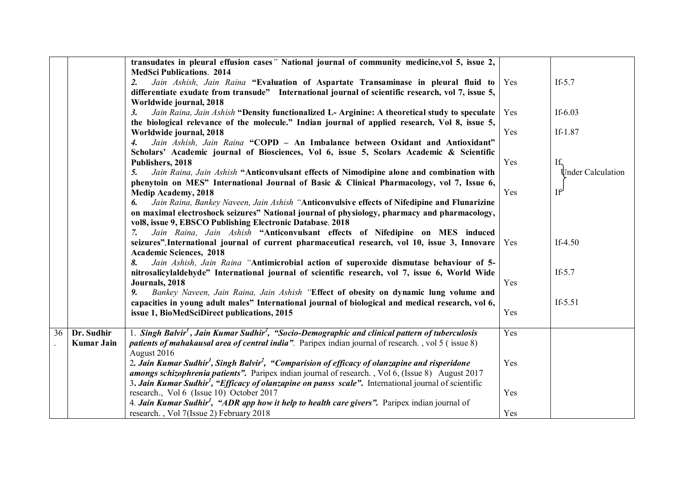|    |                   | transudates in pleural effusion cases" National journal of community medicine, vol 5, issue 2,                             |     |                   |
|----|-------------------|----------------------------------------------------------------------------------------------------------------------------|-----|-------------------|
|    |                   | <b>MedSci Publications. 2014</b>                                                                                           |     |                   |
|    |                   | Jain Ashish, Jain Raina "Evaluation of Aspartate Transaminase in pleural fluid to<br>2.                                    | Yes | If- $5.7$         |
|    |                   | differentiate exudate from transude" International journal of scientific research, vol 7, issue 5,                         |     |                   |
|    |                   | Worldwide journal, 2018                                                                                                    |     |                   |
|    |                   | Jain Raina, Jain Ashish "Density functionalized L- Arginine: A theoretical study to speculate<br>3.                        | Yes | If- $6.03$        |
|    |                   | the biological relevance of the molecule." Indian journal of applied research, Vol 8, issue 5,                             |     |                   |
|    |                   | Worldwide journal, 2018                                                                                                    | Yes | If-1.87           |
|    |                   | Jain Ashish, Jain Raina "COPD - An Imbalance between Oxidant and Antioxidant"<br>4.                                        |     |                   |
|    |                   | Scholars' Academic journal of Biosciences, Vol 6, issue 5, Scolars Academic & Scientific                                   |     |                   |
|    |                   | Publishers, 2018                                                                                                           | Yes | If,               |
|    |                   | Jain Raina, Jain Ashish "Anticonvulsant effects of Nimodipine alone and combination with<br>5.                             |     | Under Calculation |
|    |                   | phenytoin on MES" International Journal of Basic & Clinical Pharmacology, vol 7, Issue 6,                                  | Yes | If'               |
|    |                   | <b>Medip Academy, 2018</b><br>Jain Raina, Bankey Naveen, Jain Ashish "Anticonvulsive effects of Nifedipine and Flunarizine |     |                   |
|    |                   | 6.<br>on maximal electroshock seizures" National journal of physiology, pharmacy and pharmacology,                         |     |                   |
|    |                   | vol8, issue 9, EBSCO Publishing Electronic Database. 2018                                                                  |     |                   |
|    |                   | Jain Raina, Jain Ashish "Anticonvulsant effects of Nifedipine on MES induced<br>7.                                         |     |                   |
|    |                   | seizures", International journal of current pharmaceutical research, vol 10, issue 3, Innovare                             | Yes | If- $4.50$        |
|    |                   | <b>Academic Sciences, 2018</b>                                                                                             |     |                   |
|    |                   | Jain Ashish, Jain Raina "Antimicrobial action of superoxide dismutase behaviour of 5-<br>8.                                |     |                   |
|    |                   | nitrosalicylaldehyde" International journal of scientific research, vol 7, issue 6, World Wide                             |     | If- $5.7$         |
|    |                   | Journals, 2018                                                                                                             | Yes |                   |
|    |                   | Bankey Naveen, Jain Raina, Jain Ashish "Effect of obesity on dynamic lung volume and<br>9.                                 |     |                   |
|    |                   | capacities in young adult males" International journal of biological and medical research, vol 6,                          |     | If- $5.51$        |
|    |                   | issue 1, BioMedSciDirect publications, 2015                                                                                | Yes |                   |
| 36 | Dr. Sudhir        | 1. Singh Balvir <sup>1</sup> , Jain Kumar Sudhir <sup>2</sup> , "Socio-Demographic and clinical pattern of tuberculosis    | Yes |                   |
|    | <b>Kumar Jain</b> | <i>patients of mahakausal area of central india</i> ". Paripex indian journal of research., vol 5 (issue 8)                |     |                   |
|    |                   | August 2016                                                                                                                |     |                   |
|    |                   | 2. Jain Kumar Sudhir <sup>1</sup> , Singh Balvir <sup>2</sup> , "Comparision of efficacy of olanzapine and risperidone     | Yes |                   |
|    |                   | <i>amongs schizophrenia patients"</i> . Paripex indian journal of research., Vol 6, (Issue 8) August 2017                  |     |                   |
|    |                   | 3. Jain Kumar Sudhir <sup>1</sup> , "Efficacy of olanzapine on panss scale". International journal of scientific           |     |                   |
|    |                   | research., Vol 6 (Issue 10) October 2017                                                                                   | Yes |                   |
|    |                   | 4. Jain Kumar Sudhir <sup>1</sup> , "ADR app how it help to health care givers". Paripex indian journal of                 |     |                   |
|    |                   | research., Vol 7(Issue 2) February 2018                                                                                    | Yes |                   |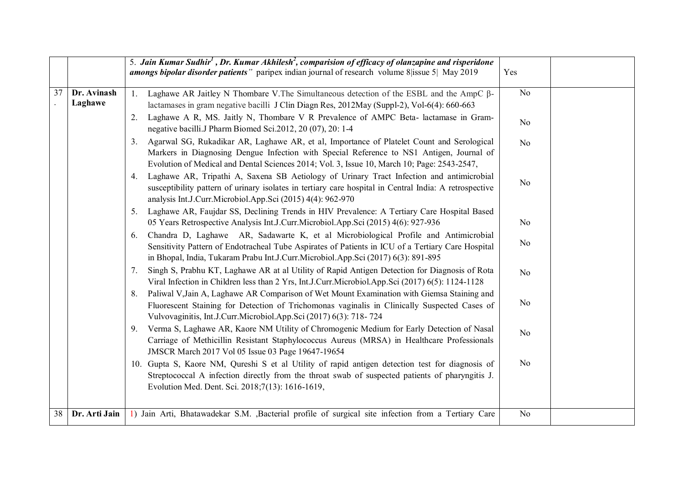|    |                        | 5. Jain Kumar Sudhir <sup>1</sup> , Dr. Kumar Akhilesh <sup>2</sup> , comparision of efficacy of olanzapine and risperidone<br><b>amongs bipolar disorder patients</b> " paripex indian journal of research volume 8 lissue 5 May 2019                                                     | Yes            |  |
|----|------------------------|--------------------------------------------------------------------------------------------------------------------------------------------------------------------------------------------------------------------------------------------------------------------------------------------|----------------|--|
| 37 | Dr. Avinash<br>Laghawe | Laghawe AR Jaitley N Thombare V. The Simultaneous detection of the ESBL and the AmpC β-<br>1.<br>lactamases in gram negative bacilli J Clin Diagn Res, 2012May (Suppl-2), Vol-6(4): 660-663                                                                                                | No             |  |
|    |                        | Laghawe A R, MS. Jaitly N, Thombare V R Prevalence of AMPC Beta-lactamase in Gram-<br>2.<br>negative bacilli.J Pharm Biomed Sci.2012, 20 (07), 20: 1-4                                                                                                                                     | No             |  |
|    |                        | Agarwal SG, Rukadikar AR, Laghawe AR, et al, Importance of Platelet Count and Serological<br>3.<br>Markers in Diagnosing Dengue Infection with Special Reference to NS1 Antigen, Journal of<br>Evolution of Medical and Dental Sciences 2014; Vol. 3, Issue 10, March 10; Page: 2543-2547, | N <sub>o</sub> |  |
|    |                        | Laghawe AR, Tripathi A, Saxena SB Aetiology of Urinary Tract Infection and antimicrobial<br>4.<br>susceptibility pattern of urinary isolates in tertiary care hospital in Central India: A retrospective<br>analysis Int.J.Curr.Microbiol.App.Sci (2015) 4(4): 962-970                     | No             |  |
|    |                        | Laghawe AR, Faujdar SS, Declining Trends in HIV Prevalence: A Tertiary Care Hospital Based<br>5.<br>05 Years Retrospective Analysis Int.J.Curr.Microbiol.App.Sci (2015) 4(6): 927-936                                                                                                      | No             |  |
|    |                        | Chandra D, Laghawe AR, Sadawarte K, et al Microbiological Profile and Antimicrobial<br>6.<br>Sensitivity Pattern of Endotracheal Tube Aspirates of Patients in ICU of a Tertiary Care Hospital<br>in Bhopal, India, Tukaram Prabu Int.J.Curr.Microbiol.App.Sci (2017) 6(3): 891-895        | No             |  |
|    |                        | Singh S, Prabhu KT, Laghawe AR at al Utility of Rapid Antigen Detection for Diagnosis of Rota<br>7.<br>Viral Infection in Children less than 2 Yrs, Int.J.Curr.Microbiol.App.Sci (2017) 6(5): 1124-1128                                                                                    | N <sub>o</sub> |  |
|    |                        | Paliwal V, Jain A, Laghawe AR Comparison of Wet Mount Examination with Giemsa Staining and<br>8.<br>Fluorescent Staining for Detection of Trichomonas vaginalis in Clinically Suspected Cases of<br>Vulvovaginitis, Int.J.Curr.Microbiol.App.Sci (2017) 6(3): 718-724                      | N <sub>o</sub> |  |
|    |                        | Verma S, Laghawe AR, Kaore NM Utility of Chromogenic Medium for Early Detection of Nasal<br>9.<br>Carriage of Methicillin Resistant Staphylococcus Aureus (MRSA) in Healthcare Professionals<br>JMSCR March 2017 Vol 05 Issue 03 Page 19647-19654                                          | N <sub>o</sub> |  |
|    |                        | 10. Gupta S, Kaore NM, Qureshi S et al Utility of rapid antigen detection test for diagnosis of<br>Streptococcal A infection directly from the throat swab of suspected patients of pharyngitis J.<br>Evolution Med. Dent. Sci. 2018;7(13): 1616-1619,                                     | N <sub>o</sub> |  |
| 38 | Dr. Arti Jain          | 1) Jain Arti, Bhatawadekar S.M. ,Bacterial profile of surgical site infection from a Tertiary Care                                                                                                                                                                                         | N <sub>o</sub> |  |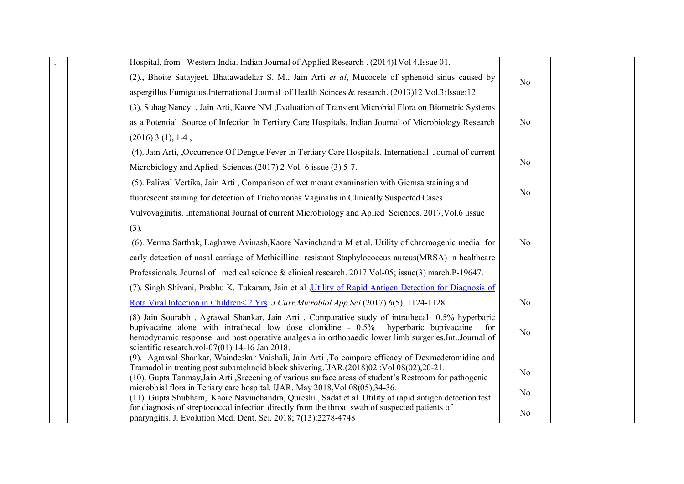| Hospital, from Western India. Indian Journal of Applied Research . (2014)1Vol 4, Issue 01.                                                                                                                                                                                                                                                                                               |                       |
|------------------------------------------------------------------------------------------------------------------------------------------------------------------------------------------------------------------------------------------------------------------------------------------------------------------------------------------------------------------------------------------|-----------------------|
| (2)., Bhoite Satayjeet, Bhatawadekar S. M., Jain Arti et al, Mucocele of sphenoid sinus caused by                                                                                                                                                                                                                                                                                        | N <sub>o</sub>        |
| aspergillus Fumigatus.International Journal of Health Scinces & research. (2013)12 Vol.3: Issue: 12.                                                                                                                                                                                                                                                                                     |                       |
| (3) Suhag Nancy, Jain Arti, Kaore NM, Evaluation of Transient Microbial Flora on Biometric Systems                                                                                                                                                                                                                                                                                       |                       |
| as a Potential Source of Infection In Tertiary Care Hospitals. Indian Journal of Microbiology Research                                                                                                                                                                                                                                                                                   | N <sub>o</sub>        |
| $(2016)$ 3 (1), 1-4,                                                                                                                                                                                                                                                                                                                                                                     |                       |
| (4). Jain Arti, Occurrence Of Dengue Fever In Tertiary Care Hospitals. International Journal of current                                                                                                                                                                                                                                                                                  |                       |
| Microbiology and Aplied Sciences. (2017) 2 Vol. -6 issue (3) 5-7.                                                                                                                                                                                                                                                                                                                        | N <sub>o</sub>        |
| (5). Paliwal Vertika, Jain Arti, Comparison of wet mount examination with Giemsa staining and                                                                                                                                                                                                                                                                                            |                       |
| fluorescent staining for detection of Trichomonas Vaginalis in Clinically Suspected Cases                                                                                                                                                                                                                                                                                                | N <sub>o</sub>        |
| Vulvovaginitis. International Journal of current Microbiology and Aplied Sciences. 2017, Vol.6, issue                                                                                                                                                                                                                                                                                    |                       |
| (3).                                                                                                                                                                                                                                                                                                                                                                                     |                       |
| (6). Verma Sarthak, Laghawe Avinash, Kaore Navinchandra M et al. Utility of chromogenic media for                                                                                                                                                                                                                                                                                        | N <sub>o</sub>        |
| early detection of nasal carriage of Methicilline resistant Staphylococcus aureus(MRSA) in healthcare                                                                                                                                                                                                                                                                                    |                       |
| Professionals. Journal of medical science & clinical research. 2017 Vol-05; issue(3) march.P-19647.                                                                                                                                                                                                                                                                                      |                       |
| (7). Singh Shivani, Prabhu K. Tukaram, Jain et al , Utility of Rapid Antigen Detection for Diagnosis of                                                                                                                                                                                                                                                                                  |                       |
| Rota Viral Infection in Children<2 YrsJ.Curr.Microbiol.App.Sci (2017) 6(5): 1124-1128                                                                                                                                                                                                                                                                                                    | N <sub>o</sub>        |
| (8) Jain Sourabh, Agrawal Shankar, Jain Arti, Comparative study of intrathecal 0.5% hyperbaric<br>bupivacaine alone with intrathecal low dose clonidine - 0.5% hyperbaric bupivacaine<br>hemodynamic response and post operative analgesia in orthopaedic lower limb surgeries.IntJournal of<br>scientific research.vol-07(01).14-16 Jan 2018.                                           | for<br>N <sub>o</sub> |
| (9). Agrawal Shankar, Waindeskar Vaishali, Jain Arti ,To compare efficacy of Dexmedetomidine and<br>Tramadol in treating post subarachnoid block shivering IJAR.(2018)02 : Vol 08(02),20-21.<br>(10). Gupta Tanmay, Jain Arti , Sreeening of various surface areas of student's Restroom for pathogenic<br>microbbial flora in Teriary care hospital. IJAR. May 2018, Vol 08(05), 34-36. | N <sub>o</sub>        |
| (11). Gupta Shubham, Kaore Navinchandra, Qureshi, Sadat et al. Utility of rapid antigen detection test<br>for diagnosis of streptococcal infection directly from the throat swab of suspected patients of                                                                                                                                                                                | N <sub>o</sub>        |
| pharyngitis. J. Evolution Med. Dent. Sci. 2018; 7(13):2278-4748                                                                                                                                                                                                                                                                                                                          | N <sub>o</sub>        |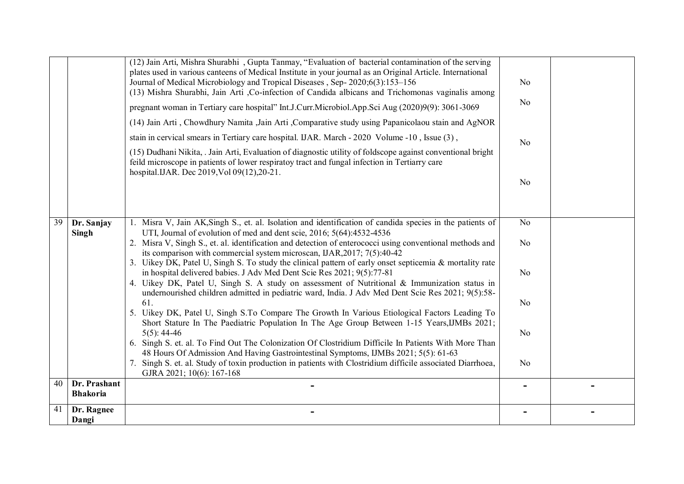|                 |                                 | (12) Jain Arti, Mishra Shurabhi, Gupta Tanmay, "Evaluation of bacterial contamination of the serving<br>plates used in various canteens of Medical Institute in your journal as an Original Article. International<br>Journal of Medical Microbiology and Tropical Diseases, Sep-2020;6(3):153-156<br>(13) Mishra Shurabhi, Jain Arti , Co-infection of Candida albicans and Trichomonas vaginalis among<br>pregnant woman in Tertiary care hospital" Int.J.Curr.Microbiol.App.Sci Aug (2020)9(9): 3061-3069 | N <sub>o</sub><br>No |  |
|-----------------|---------------------------------|--------------------------------------------------------------------------------------------------------------------------------------------------------------------------------------------------------------------------------------------------------------------------------------------------------------------------------------------------------------------------------------------------------------------------------------------------------------------------------------------------------------|----------------------|--|
|                 |                                 | (14) Jain Arti, Chowdhury Namita , Jain Arti, Comparative study using Papanicolaou stain and AgNOR                                                                                                                                                                                                                                                                                                                                                                                                           |                      |  |
|                 |                                 | stain in cervical smears in Tertiary care hospital. UAR. March - 2020 Volume -10, Issue (3),                                                                                                                                                                                                                                                                                                                                                                                                                 | N <sub>0</sub>       |  |
|                 |                                 | (15) Dudhani Nikita, . Jain Arti, Evaluation of diagnostic utility of foldscope against conventional bright<br>feild microscope in patients of lower respirator tract and fungal infection in Tertiarry care<br>hospital.IJAR. Dec 2019, Vol 09(12), 20-21.                                                                                                                                                                                                                                                  |                      |  |
|                 |                                 |                                                                                                                                                                                                                                                                                                                                                                                                                                                                                                              | No                   |  |
| $\overline{39}$ | Dr. Sanjay                      | 1. Misra V, Jain AK, Singh S., et. al. Isolation and identification of candida species in the patients of<br>UTI, Journal of evolution of med and dent scie, 2016; 5(64):4532-4536                                                                                                                                                                                                                                                                                                                           | N <sub>o</sub>       |  |
|                 | Singh                           | 2. Misra V, Singh S., et. al. identification and detection of enterococci using conventional methods and<br>its comparison with commercial system microscan, IJAR, 2017; 7(5):40-42                                                                                                                                                                                                                                                                                                                          | N <sub>0</sub>       |  |
|                 |                                 | 3. Uikey DK, Patel U, Singh S. To study the clinical pattern of early onset septicemia & mortality rate<br>in hospital delivered babies. J Adv Med Dent Scie Res 2021; 9(5):77-81<br>4. Uikey DK, Patel U, Singh S. A study on assessment of Nutritional & Immunization status in<br>undernourished children admitted in pediatric ward, India. J Adv Med Dent Scie Res 2021; 9(5):58-                                                                                                                       | N <sub>o</sub>       |  |
|                 |                                 | 61.<br>5. Uikey DK, Patel U, Singh S.To Compare The Growth In Various Etiological Factors Leading To<br>Short Stature In The Paediatric Population In The Age Group Between 1-15 Years, IJMBs 2021;                                                                                                                                                                                                                                                                                                          | No                   |  |
|                 |                                 | $5(5)$ : 44-46<br>6. Singh S. et. al. To Find Out The Colonization Of Clostridium Difficile In Patients With More Than                                                                                                                                                                                                                                                                                                                                                                                       | N <sub>o</sub>       |  |
|                 |                                 | 48 Hours Of Admission And Having Gastrointestinal Symptoms, IJMBs 2021; 5(5): 61-63<br>7. Singh S. et. al. Study of toxin production in patients with Clostridium difficile associated Diarrhoea,<br>GJRA 2021; 10(6): 167-168                                                                                                                                                                                                                                                                               | No                   |  |
| 40              | Dr. Prashant<br><b>Bhakoria</b> |                                                                                                                                                                                                                                                                                                                                                                                                                                                                                                              |                      |  |
| 41              | Dr. Ragnee<br>Dangi             |                                                                                                                                                                                                                                                                                                                                                                                                                                                                                                              |                      |  |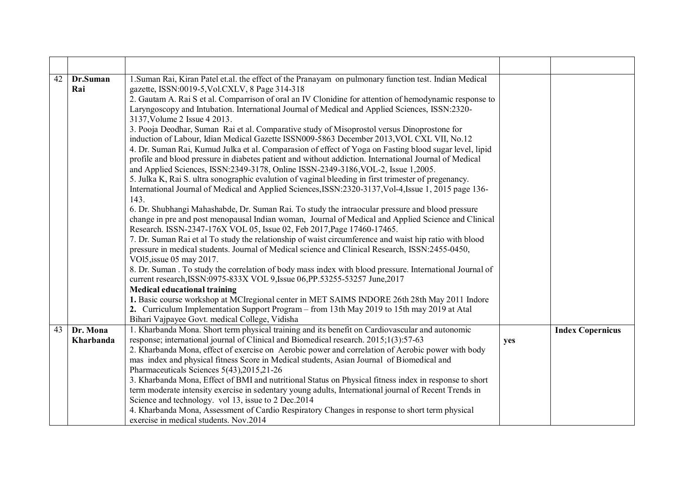| 42 | Dr.Suman  | 1. Suman Rai, Kiran Patel et.al. the effect of the Pranayam on pulmonary function test. Indian Medical                      |     |                         |
|----|-----------|-----------------------------------------------------------------------------------------------------------------------------|-----|-------------------------|
|    | Rai       | gazette, ISSN:0019-5, Vol.CXLV, 8 Page 314-318                                                                              |     |                         |
|    |           | 2. Gautam A. Rai S et al. Comparrison of oral an IV Clonidine for attention of hemodynamic response to                      |     |                         |
|    |           | Laryngoscopy and Intubation. International Journal of Medical and Applied Sciences, ISSN:2320-                              |     |                         |
|    |           | 3137, Volume 2 Issue 4 2013.                                                                                                |     |                         |
|    |           | 3. Pooja Deodhar, Suman Rai et al. Comparative study of Misoprostol versus Dinoprostone for                                 |     |                         |
|    |           | induction of Labour, Idian Medical Gazette ISSN009-5863 December 2013, VOL CXL VII, No.12                                   |     |                         |
|    |           | 4. Dr. Suman Rai, Kumud Julka et al. Comparasion of effect of Yoga on Fasting blood sugar level, lipid                      |     |                         |
|    |           | profile and blood pressure in diabetes patient and without addiction. International Journal of Medical                      |     |                         |
|    |           | and Applied Sciences, ISSN:2349-3178, Online ISSN-2349-3186, VOL-2, Issue 1,2005.                                           |     |                         |
|    |           | 5. Julka K, Rai S. ultra sonographic evalution of vaginal bleeding in first trimester of pregenancy.                        |     |                         |
|    |           | International Journal of Medical and Applied Sciences, ISSN: 2320-3137, Vol-4, Issue 1, 2015 page 136-                      |     |                         |
|    |           | 143.                                                                                                                        |     |                         |
|    |           | 6. Dr. Shubhangi Mahashabde, Dr. Suman Rai. To study the intraocular pressure and blood pressure                            |     |                         |
|    |           | change in pre and post menopausal Indian woman, Journal of Medical and Applied Science and Clinical                         |     |                         |
|    |           | Research. ISSN-2347-176X VOL 05, Issue 02, Feb 2017, Page 17460-17465.                                                      |     |                         |
|    |           | 7. Dr. Suman Rai et al To study the relationship of waist circumference and waist hip ratio with blood                      |     |                         |
|    |           | pressure in medical students. Journal of Medical science and Clinical Research, ISSN:2455-0450,<br>VO15, issue 05 may 2017. |     |                         |
|    |           | 8. Dr. Suman . To study the correlation of body mass index with blood pressure. International Journal of                    |     |                         |
|    |           | current research, ISSN:0975-833X VOL 9, Issue 06, PP.53255-53257 June, 2017                                                 |     |                         |
|    |           | <b>Medical educational training</b>                                                                                         |     |                         |
|    |           | 1. Basic course workshop at MCI regional center in MET SAIMS INDORE 26th 28th May 2011 Indore                               |     |                         |
|    |           | 2. Curriculum Implementation Support Program – from 13th May 2019 to 15th may 2019 at Atal                                  |     |                         |
|    |           | Bihari Vajpayee Govt. medical College, Vidisha                                                                              |     |                         |
| 43 | Dr. Mona  | 1. Kharbanda Mona. Short term physical training and its benefit on Cardiovascular and autonomic                             |     | <b>Index Copernicus</b> |
|    | Kharbanda | response; international journal of Clinical and Biomedical research. 2015;1(3):57-63                                        | yes |                         |
|    |           | 2. Kharbanda Mona, effect of exercise on Aerobic power and correlation of Aerobic power with body                           |     |                         |
|    |           | mas index and physical fitness Score in Medical students, Asian Journal of Biomedical and                                   |     |                         |
|    |           | Pharmaceuticals Sciences 5(43), 2015, 21-26                                                                                 |     |                         |
|    |           | 3. Kharbanda Mona, Effect of BMI and nutritional Status on Physical fitness index in response to short                      |     |                         |
|    |           | term moderate intensity exercise in sedentary young adults, International journal of Recent Trends in                       |     |                         |
|    |           | Science and technology. vol 13, issue to 2 Dec. 2014                                                                        |     |                         |
|    |           | 4. Kharbanda Mona, Assessment of Cardio Respiratory Changes in response to short term physical                              |     |                         |
|    |           | exercise in medical students. Nov.2014                                                                                      |     |                         |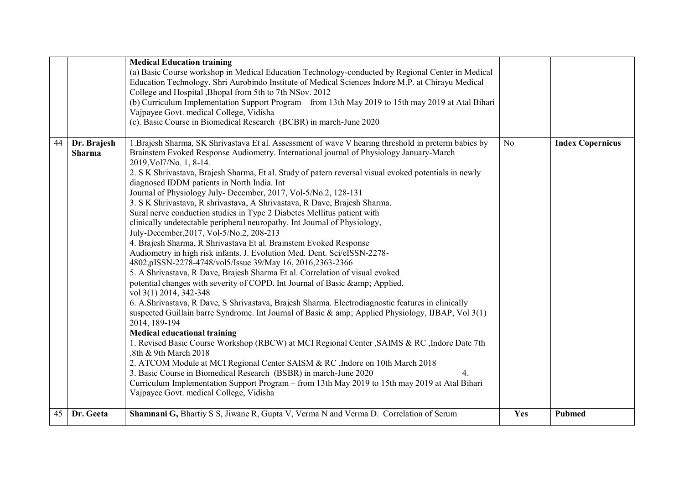|    |                              | <b>Medical Education training</b><br>(a) Basic Course workshop in Medical Education Technology-conducted by Regional Center in Medical<br>Education Technology, Shri Aurobindo Institute of Medical Sciences Indore M.P. at Chirayu Medical<br>College and Hospital , Bhopal from 5th to 7th NSov. 2012<br>(b) Curriculum Implementation Support Program - from 13th May 2019 to 15th may 2019 at Atal Bihari<br>Vajpayee Govt. medical College, Vidisha                                                                                                                                                                                                                                                                                                                                                                                                                                                                                                                                                                                                                                                                                                                                                                                                                                                                                                                                                                                                                                                                                                                                                                                                                                                                                                                                                                                                |     |                         |
|----|------------------------------|---------------------------------------------------------------------------------------------------------------------------------------------------------------------------------------------------------------------------------------------------------------------------------------------------------------------------------------------------------------------------------------------------------------------------------------------------------------------------------------------------------------------------------------------------------------------------------------------------------------------------------------------------------------------------------------------------------------------------------------------------------------------------------------------------------------------------------------------------------------------------------------------------------------------------------------------------------------------------------------------------------------------------------------------------------------------------------------------------------------------------------------------------------------------------------------------------------------------------------------------------------------------------------------------------------------------------------------------------------------------------------------------------------------------------------------------------------------------------------------------------------------------------------------------------------------------------------------------------------------------------------------------------------------------------------------------------------------------------------------------------------------------------------------------------------------------------------------------------------|-----|-------------------------|
|    |                              | (c). Basic Course in Biomedical Research (BCBR) in march-June 2020                                                                                                                                                                                                                                                                                                                                                                                                                                                                                                                                                                                                                                                                                                                                                                                                                                                                                                                                                                                                                                                                                                                                                                                                                                                                                                                                                                                                                                                                                                                                                                                                                                                                                                                                                                                      |     |                         |
| 44 | Dr. Brajesh<br><b>Sharma</b> | 1. Brajesh Sharma, SK Shrivastava Et al. Assessment of wave V hearing threshold in preterm babies by<br>Brainstem Evoked Response Audiometry. International journal of Physiology January-March<br>2019, Vol7/No. 1, 8-14.<br>2. S K Shrivastava, Brajesh Sharma, Et al. Study of patern reversal visual evoked potentials in newly<br>diagnosed IDDM patients in North India. Int<br>Journal of Physiology July- December, 2017, Vol-5/No.2, 128-131<br>3. S K Shrivastava, R shrivastava, A Shrivastava, R Dave, Brajesh Sharma.<br>Sural nerve conduction studies in Type 2 Diabetes Mellitus patient with<br>clinically undetectable peripheral neuropathy. Int Journal of Physiology,<br>July-December, 2017, Vol-5/No.2, 208-213<br>4. Brajesh Sharma, R Shrivastava Et al. Brainstem Evoked Response<br>Audiometry in high risk infants. J. Evolution Med. Dent. Sci/eISSN-2278-<br>4802,pISSN-2278-4748/vol5/Issue 39/May 16, 2016,2363-2366<br>5. A Shrivastava, R Dave, Brajesh Sharma Et al. Correlation of visual evoked<br>potential changes with severity of COPD. Int Journal of Basic & amp; Applied,<br>vol 3(1) 2014, 342-348<br>6. A.Shrivastava, R. Dave, S. Shrivastava, Brajesh Sharma. Electrodiagnostic features in clinically<br>suspected Guillain barre Syndrome. Int Journal of Basic $\&$ amp; Applied Physiology, IJBAP, Vol 3(1)<br>2014, 189-194<br><b>Medical educational training</b><br>1. Revised Basic Course Workshop (RBCW) at MCI Regional Center , SAIMS & RC, Indore Date 7th<br>,8th & 9th March 2018<br>2. ATCOM Module at MCI Regional Center SAISM & RC, Indore on 10th March 2018<br>3. Basic Course in Biomedical Research (BSBR) in march-June 2020<br>4.<br>Curriculum Implementation Support Program – from 13th May 2019 to 15th may 2019 at Atal Bihari<br>Vajpayee Govt. medical College, Vidisha | No  | <b>Index Copernicus</b> |
| 45 | Dr. Geeta                    | Shamnani G, Bhartiy S S, Jiwane R, Gupta V, Verma N and Verma D. Correlation of Serum                                                                                                                                                                                                                                                                                                                                                                                                                                                                                                                                                                                                                                                                                                                                                                                                                                                                                                                                                                                                                                                                                                                                                                                                                                                                                                                                                                                                                                                                                                                                                                                                                                                                                                                                                                   | Yes | <b>Pubmed</b>           |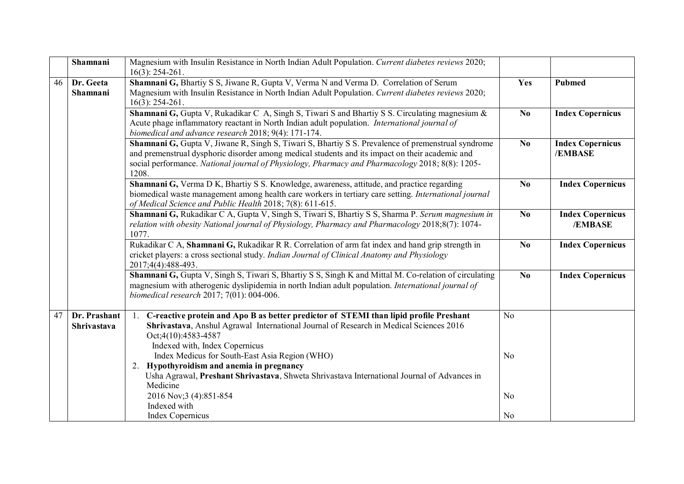|    | Shamnani                    | Magnesium with Insulin Resistance in North Indian Adult Population. Current diabetes reviews 2020;<br>$16(3)$ : 254-261.                                                                                                                                                                                          |                |                                    |
|----|-----------------------------|-------------------------------------------------------------------------------------------------------------------------------------------------------------------------------------------------------------------------------------------------------------------------------------------------------------------|----------------|------------------------------------|
| 46 | Dr. Geeta<br>Shamnani       | Shamnani G, Bhartiy S S, Jiwane R, Gupta V, Verma N and Verma D. Correlation of Serum<br>Magnesium with Insulin Resistance in North Indian Adult Population. Current diabetes reviews 2020;<br>$16(3)$ : 254-261.                                                                                                 | Yes            | <b>Pubmed</b>                      |
|    |                             | Shamnani G, Gupta V, Rukadikar C A, Singh S, Tiwari S and Bhartiy S S. Circulating magnesium &<br>Acute phage inflammatory reactant in North Indian adult population. International journal of<br>biomedical and advance research 2018; 9(4): 171-174.                                                            | N <sub>0</sub> | <b>Index Copernicus</b>            |
|    |                             | Shamnani G, Gupta V, Jiwane R, Singh S, Tiwari S, Bhartiy S S. Prevalence of premenstrual syndrome<br>and premenstrual dysphoric disorder among medical students and its impact on their academic and<br>social performance. National journal of Physiology, Pharmacy and Pharmacology 2018; 8(8): 1205-<br>1208. | N <sub>0</sub> | <b>Index Copernicus</b><br>/EMBASE |
|    |                             | Shamnani G, Verma D K, Bhartiy S S. Knowledge, awareness, attitude, and practice regarding<br>biomedical waste management among health care workers in tertiary care setting. International journal<br>of Medical Science and Public Health 2018; 7(8): 611-615.                                                  | N <sub>0</sub> | <b>Index Copernicus</b>            |
|    |                             | Shamnani G, Rukadikar C A, Gupta V, Singh S, Tiwari S, Bhartiy S S, Sharma P. Serum magnesium in<br>relation with obesity National journal of Physiology, Pharmacy and Pharmacology 2018;8(7): 1074-<br>1077.                                                                                                     | N <sub>0</sub> | <b>Index Copernicus</b><br>/EMBASE |
|    |                             | Rukadikar C A, Shamnani G, Rukadikar R R. Correlation of arm fat index and hand grip strength in<br>cricket players: a cross sectional study. Indian Journal of Clinical Anatomy and Physiology<br>2017;4(4):488-493.                                                                                             | N <sub>0</sub> | <b>Index Copernicus</b>            |
|    |                             | Shamnani G, Gupta V, Singh S, Tiwari S, Bhartiy S S, Singh K and Mittal M. Co-relation of circulating<br>magnesium with atherogenic dyslipidemia in north Indian adult population. International journal of<br>biomedical research 2017; 7(01): 004-006.                                                          | N <sub>0</sub> | <b>Index Copernicus</b>            |
| 47 | Dr. Prashant<br>Shrivastava | 1. C-reactive protein and Apo B as better predictor of STEMI than lipid profile Preshant<br>Shrivastava, Anshul Agrawal International Journal of Research in Medical Sciences 2016<br>Oct;4(10):4583-4587<br>Indexed with, Index Copernicus                                                                       | N <sub>0</sub> |                                    |
|    |                             | Index Medicus for South-East Asia Region (WHO)<br>Hypothyroidism and anemia in pregnancy<br>2.<br>Usha Agrawal, Preshant Shrivastava, Shweta Shrivastava International Journal of Advances in                                                                                                                     | N <sub>0</sub> |                                    |
|    |                             | Medicine<br>2016 Nov; 3 (4): 851-854                                                                                                                                                                                                                                                                              | N <sub>0</sub> |                                    |
|    |                             | Indexed with<br><b>Index Copernicus</b>                                                                                                                                                                                                                                                                           | N <sub>0</sub> |                                    |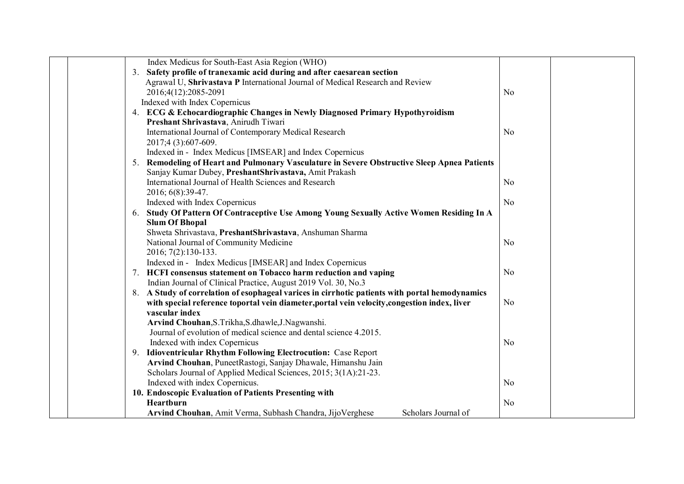| Index Medicus for South-East Asia Region (WHO)                                                 |                |  |
|------------------------------------------------------------------------------------------------|----------------|--|
| 3. Safety profile of tranexamic acid during and after caesarean section                        |                |  |
| Agrawal U, Shrivastava P International Journal of Medical Research and Review                  |                |  |
| 2016;4(12):2085-2091                                                                           | N <sub>0</sub> |  |
| Indexed with Index Copernicus                                                                  |                |  |
| 4. ECG & Echocardiographic Changes in Newly Diagnosed Primary Hypothyroidism                   |                |  |
| Preshant Shrivastava, Anirudh Tiwari                                                           |                |  |
| International Journal of Contemporary Medical Research                                         | N <sub>o</sub> |  |
| 2017;4 (3):607-609.                                                                            |                |  |
| Indexed in - Index Medicus [IMSEAR] and Index Copernicus                                       |                |  |
| 5. Remodeling of Heart and Pulmonary Vasculature in Severe Obstructive Sleep Apnea Patients    |                |  |
| Sanjay Kumar Dubey, PreshantShrivastava, Amit Prakash                                          |                |  |
| International Journal of Health Sciences and Research                                          | N <sub>0</sub> |  |
| 2016; 6(8):39-47.                                                                              |                |  |
| Indexed with Index Copernicus                                                                  | N <sub>o</sub> |  |
| 6. Study Of Pattern Of Contraceptive Use Among Young Sexually Active Women Residing In A       |                |  |
| <b>Slum Of Bhopal</b>                                                                          |                |  |
| Shweta Shrivastava, PreshantShrivastava, Anshuman Sharma                                       |                |  |
| National Journal of Community Medicine                                                         | N <sub>0</sub> |  |
| 2016; 7(2):130-133.                                                                            |                |  |
| Indexed in - Index Medicus [IMSEAR] and Index Copernicus                                       |                |  |
| 7. HCFI consensus statement on Tobacco harm reduction and vaping                               | N <sub>o</sub> |  |
| Indian Journal of Clinical Practice, August 2019 Vol. 30, No.3                                 |                |  |
| 8. A Study of correlation of esophageal varices in cirrhotic patients with portal hemodynamics |                |  |
| with special reference toportal vein diameter, portal vein velocity, congestion index, liver   | N <sub>0</sub> |  |
| vascular index                                                                                 |                |  |
| Arvind Chouhan, S.Trikha, S.dhawle, J.Nagwanshi.                                               |                |  |
| Journal of evolution of medical science and dental science 4.2015.                             |                |  |
| Indexed with index Copernicus                                                                  | N <sub>0</sub> |  |
| 9. Idioventricular Rhythm Following Electrocution: Case Report                                 |                |  |
| Arvind Chouhan, PuneetRastogi, Sanjay Dhawale, Himanshu Jain                                   |                |  |
| Scholars Journal of Applied Medical Sciences, 2015; 3(1A):21-23.                               |                |  |
| Indexed with index Copernicus.                                                                 | N <sub>0</sub> |  |
| 10. Endoscopic Evaluation of Patients Presenting with                                          |                |  |
| Heartburn                                                                                      | N <sub>0</sub> |  |
| Arvind Chouhan, Amit Verma, Subhash Chandra, JijoVerghese<br>Scholars Journal of               |                |  |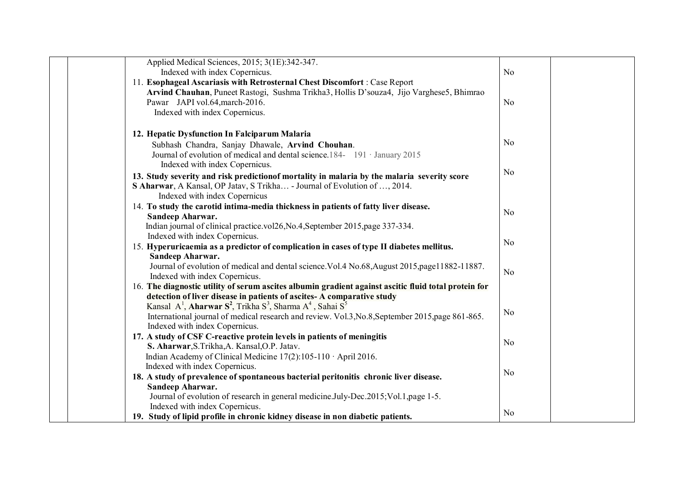| Applied Medical Sciences, 2015; 3(1E):342-347.                                                                        |                |  |
|-----------------------------------------------------------------------------------------------------------------------|----------------|--|
| Indexed with index Copernicus.                                                                                        | N <sub>0</sub> |  |
| 11. Esophageal Ascariasis with Retrosternal Chest Discomfort: Case Report                                             |                |  |
| Arvind Chauhan, Puneet Rastogi, Sushma Trikha3, Hollis D'souza4, Jijo Varghese5, Bhimrao                              |                |  |
| Pawar JAPI vol.64, march-2016.                                                                                        | N <sub>o</sub> |  |
| Indexed with index Copernicus.                                                                                        |                |  |
|                                                                                                                       |                |  |
| 12. Hepatic Dysfunction In Falciparum Malaria                                                                         |                |  |
| Subhash Chandra, Sanjay Dhawale, Arvind Chouhan.                                                                      | N <sub>o</sub> |  |
| Journal of evolution of medical and dental science. 184-191 January 2015                                              |                |  |
| Indexed with index Copernicus.                                                                                        |                |  |
| 13. Study severity and risk prediction of mortality in malaria by the malaria severity score                          | N <sub>o</sub> |  |
| S Aharwar, A Kansal, OP Jatav, S Trikha - Journal of Evolution of , 2014.                                             |                |  |
| Indexed with index Copernicus                                                                                         |                |  |
| 14. To study the carotid intima-media thickness in patients of fatty liver disease.                                   |                |  |
| Sandeep Aharwar.                                                                                                      | N <sub>o</sub> |  |
| Indian journal of clinical practice.vol26, No.4, September 2015, page 337-334.                                        |                |  |
| Indexed with index Copernicus.                                                                                        |                |  |
| 15. Hyperuricaemia as a predictor of complication in cases of type II diabetes mellitus.                              | No             |  |
| Sandeep Aharwar.                                                                                                      |                |  |
| Journal of evolution of medical and dental science. Vol.4 No.68, August 2015, page11882-11887.                        | N <sub>o</sub> |  |
| Indexed with index Copernicus.                                                                                        |                |  |
| 16. The diagnostic utility of serum ascites albumin gradient against ascitic fluid total protein for                  |                |  |
| detection of liver disease in patients of ascites- A comparative study                                                |                |  |
| Kansal A <sup>1</sup> , Aharwar S <sup>2</sup> , Trikha S <sup>3</sup> , Sharma A <sup>4</sup> , Sahai S <sup>5</sup> | N <sub>0</sub> |  |
| International journal of medical research and review. Vol.3, No.8, September 2015, page 861-865.                      |                |  |
| Indexed with index Copernicus.                                                                                        |                |  |
| 17. A study of CSF C-reactive protein levels in patients of meningitis                                                | N <sub>0</sub> |  |
| S. Aharwar, S. Trikha, A. Kansal, O.P. Jatav.                                                                         |                |  |
| Indian Academy of Clinical Medicine $17(2)$ : 105-110 April 2016.                                                     |                |  |
| Indexed with index Copernicus.                                                                                        | N <sub>o</sub> |  |
| 18. A study of prevalence of spontaneous bacterial peritonitis chronic liver disease.<br>Sandeep Aharwar.             |                |  |
| Journal of evolution of research in general medicine.July-Dec.2015; Vol.1, page 1-5.                                  |                |  |
| Indexed with index Copernicus.                                                                                        |                |  |
| 19. Study of lipid profile in chronic kidney disease in non diabetic patients.                                        | N <sub>o</sub> |  |
|                                                                                                                       |                |  |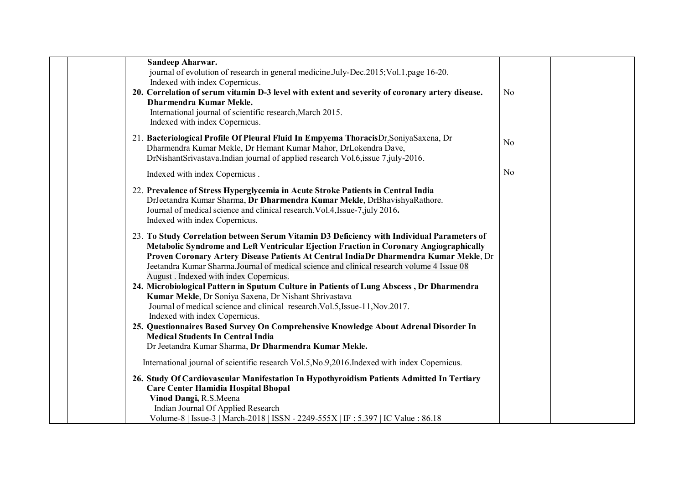| Sandeep Aharwar.<br>journal of evolution of research in general medicine.July-Dec.2015; Vol.1, page 16-20.<br>Indexed with index Copernicus.<br>20. Correlation of serum vitamin D-3 level with extent and severity of coronary artery disease.<br>Dharmendra Kumar Mekle.<br>International journal of scientific research, March 2015.<br>Indexed with index Copernicus.                                             | N <sub>0</sub> |  |
|-----------------------------------------------------------------------------------------------------------------------------------------------------------------------------------------------------------------------------------------------------------------------------------------------------------------------------------------------------------------------------------------------------------------------|----------------|--|
| 21. Bacteriological Profile Of Pleural Fluid In Empyema ThoracisDr.SoniyaSaxena, Dr<br>Dharmendra Kumar Mekle, Dr Hemant Kumar Mahor, DrLokendra Dave,<br>DrNishantSrivastava.Indian journal of applied research Vol.6, issue 7, july-2016.                                                                                                                                                                           | N <sub>0</sub> |  |
| Indexed with index Copernicus.                                                                                                                                                                                                                                                                                                                                                                                        | N <sub>0</sub> |  |
| 22. Prevalence of Stress Hyperglycemia in Acute Stroke Patients in Central India<br>DrJeetandra Kumar Sharma, Dr Dharmendra Kumar Mekle, DrBhavishyaRathore.<br>Journal of medical science and clinical research. Vol.4, Issue-7, july 2016.<br>Indexed with index Copernicus.                                                                                                                                        |                |  |
| 23. To Study Correlation between Serum Vitamin D3 Deficiency with Individual Parameters of<br>Metabolic Syndrome and Left Ventricular Ejection Fraction in Coronary Angiographically<br>Proven Coronary Artery Disease Patients At Central IndiaDr Dharmendra Kumar Mekle, Dr<br>Jeetandra Kumar Sharma.Journal of medical science and clinical research volume 4 Issue 08<br>August . Indexed with index Copernicus. |                |  |
| 24. Microbiological Pattern in Sputum Culture in Patients of Lung Abscess, Dr Dharmendra<br>Kumar Mekle, Dr Soniya Saxena, Dr Nishant Shrivastava<br>Journal of medical science and clinical research. Vol.5, Issue-11, Nov.2017.<br>Indexed with index Copernicus.                                                                                                                                                   |                |  |
| 25. Questionnaires Based Survey On Comprehensive Knowledge About Adrenal Disorder In<br><b>Medical Students In Central India</b><br>Dr Jeetandra Kumar Sharma, Dr Dharmendra Kumar Mekle.                                                                                                                                                                                                                             |                |  |
| International journal of scientific research Vol.5, No.9, 2016. Indexed with index Copernicus.                                                                                                                                                                                                                                                                                                                        |                |  |
| 26. Study Of Cardiovascular Manifestation In Hypothyroidism Patients Admitted In Tertiary<br><b>Care Center Hamidia Hospital Bhopal</b><br>Vinod Dangi, R.S.Meena<br>Indian Journal Of Applied Research                                                                                                                                                                                                               |                |  |
| Volume-8   Issue-3   March-2018   ISSN - 2249-555X   IF : 5.397   IC Value : 86.18                                                                                                                                                                                                                                                                                                                                    |                |  |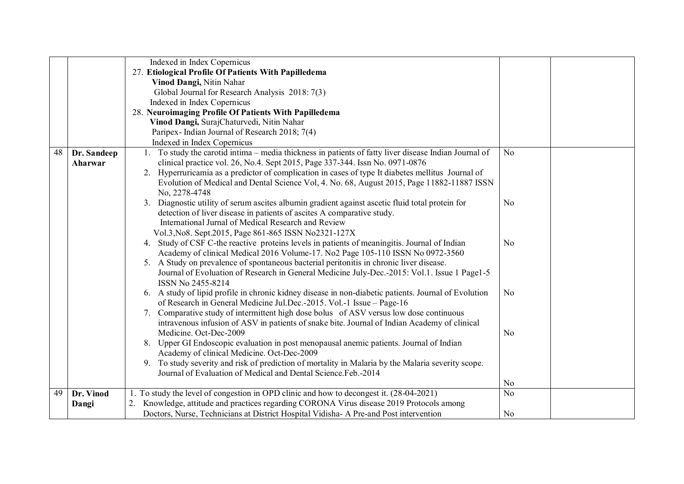|    |             | Indexed in Index Copernicus                                                                           |                |  |
|----|-------------|-------------------------------------------------------------------------------------------------------|----------------|--|
|    |             | 27. Etiological Profile Of Patients With Papilledema                                                  |                |  |
|    |             | Vinod Dangi, Nitin Nahar                                                                              |                |  |
|    |             | Global Journal for Research Analysis 2018: 7(3)                                                       |                |  |
|    |             | Indexed in Index Copernicus                                                                           |                |  |
|    |             | 28. Neuroimaging Profile Of Patients With Papilledema                                                 |                |  |
|    |             | Vinod Dangi, SurajChaturvedi, Nitin Nahar                                                             |                |  |
|    |             | Paripex-Indian Journal of Research 2018; 7(4)                                                         |                |  |
|    |             | Indexed in Index Copernicus                                                                           |                |  |
| 48 | Dr. Sandeep | 1. To study the carotid intima – media thickness in patients of fatty liver disease Indian Journal of | N <sub>o</sub> |  |
|    | Aharwar     | clinical practice vol. 26, No.4. Sept 2015, Page 337-344. Issn No. 0971-0876                          |                |  |
|    |             | 2. Hyperruricamia as a predictor of complication in cases of type It diabetes mellitus Journal of     |                |  |
|    |             | Evolution of Medical and Dental Science Vol, 4. No. 68, August 2015, Page 11882-11887 ISSN            |                |  |
|    |             | No. 2278-4748                                                                                         |                |  |
|    |             | 3. Diagnostic utility of serum ascites albumin gradient against ascetic fluid total protein for       | N <sub>o</sub> |  |
|    |             | detection of liver disease in patients of ascites A comparative study.                                |                |  |
|    |             | International Jurnal of Medical Research and Review                                                   |                |  |
|    |             | Vol.3, No8. Sept.2015, Page 861-865 ISSN No2321-127X                                                  |                |  |
|    |             | 4. Study of CSF C-the reactive proteins levels in patients of meaningitis. Journal of Indian          | N <sub>0</sub> |  |
|    |             | Academy of clinical Medical 2016 Volume-17. No2 Page 105-110 ISSN No 0972-3560                        |                |  |
|    |             | 5. A Study on prevalence of spontaneous bacterial peritonitis in chronic liver disease.               |                |  |
|    |             | Journal of Evoluation of Research in General Medicine July-Dec.-2015: Vol.1. Issue 1 Page1-5          |                |  |
|    |             | ISSN No 2455-8214                                                                                     |                |  |
|    |             | 6. A study of lipid profile in chronic kidney disease in non-diabetic patients. Journal of Evolution  | N <sub>o</sub> |  |
|    |             | of Research in General Medicine Jul.Dec.-2015. Vol.-1 Issue - Page-16                                 |                |  |
|    |             | 7. Comparative study of intermittent high dose bolus of ASV versus low dose continuous                |                |  |
|    |             | intravenous infusion of ASV in patients of snake bite. Journal of Indian Academy of clinical          |                |  |
|    |             | Medicine. Oct-Dec-2009                                                                                | N <sub>0</sub> |  |
|    |             | Upper GI Endoscopic evaluation in post menopausal anemic patients. Journal of Indian<br>8.            |                |  |
|    |             | Academy of clinical Medicine. Oct-Dec-2009                                                            |                |  |
|    |             | 9. To study severity and risk of prediction of mortality in Malaria by the Malaria severity scope.    |                |  |
|    |             | Journal of Evaluation of Medical and Dental Science Feb. - 2014                                       |                |  |
|    |             |                                                                                                       | N <sub>0</sub> |  |
| 49 | Dr. Vinod   | 1. To study the level of congestion in OPD clinic and how to decongest it. (28-04-2021)               | N <sub>o</sub> |  |
|    | Dangi       | Knowledge, attitude and practices regarding CORONA Virus disease 2019 Protocols among<br>2.           |                |  |
|    |             | Doctors, Nurse, Technicians at District Hospital Vidisha-A Pre-and Post intervention                  | N <sub>0</sub> |  |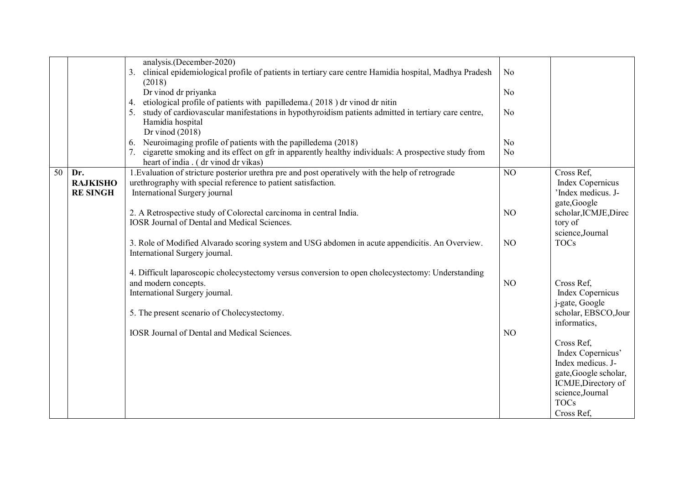|    |                 | analysis.(December-2020)                                                                                    |                |                         |
|----|-----------------|-------------------------------------------------------------------------------------------------------------|----------------|-------------------------|
|    |                 | clinical epidemiological profile of patients in tertiary care centre Hamidia hospital, Madhya Pradesh<br>3. | No             |                         |
|    |                 | (2018)                                                                                                      |                |                         |
|    |                 | Dr vinod dr priyanka                                                                                        | N <sub>0</sub> |                         |
|    |                 | etiological profile of patients with papilledema.(2018) dr vinod dr nitin<br>4.                             |                |                         |
|    |                 | study of cardiovascular manifestations in hypothyroidism patients admitted in tertiary care centre,         | N <sub>o</sub> |                         |
|    |                 | Hamidia hospital                                                                                            |                |                         |
|    |                 | Dr vinod $(2018)$                                                                                           |                |                         |
|    |                 | Neuroimaging profile of patients with the papilledema (2018)<br>6.                                          | N <sub>o</sub> |                         |
|    |                 | 7. cigarette smoking and its effect on gfr in apparently healthy individuals: A prospective study from      | No             |                         |
|    |                 | heart of india . (dr vinod dr vikas)                                                                        |                |                         |
| 50 | Dr.             | 1. Evaluation of stricture posterior urethra pre and post operatively with the help of retrograde           | NO             | Cross Ref,              |
|    | <b>RAJKISHO</b> | urethrography with special reference to patient satisfaction.                                               |                | <b>Index Copernicus</b> |
|    | <b>RE SINGH</b> | International Surgery journal                                                                               |                | Index medicus. J-       |
|    |                 |                                                                                                             |                | gate, Google            |
|    |                 | 2. A Retrospective study of Colorectal carcinoma in central India.                                          | NO             | scholar, ICMJE, Direc   |
|    |                 | <b>IOSR Journal of Dental and Medical Sciences.</b>                                                         |                | tory of                 |
|    |                 |                                                                                                             |                | science,Journal         |
|    |                 | 3. Role of Modified Alvarado scoring system and USG abdomen in acute appendicitis. An Overview.             | NO             | <b>TOCs</b>             |
|    |                 | International Surgery journal.                                                                              |                |                         |
|    |                 |                                                                                                             |                |                         |
|    |                 | 4. Difficult laparoscopic cholecystectomy versus conversion to open cholecystectomy: Understanding          |                |                         |
|    |                 | and modern concepts.                                                                                        | NO             | Cross Ref,              |
|    |                 | International Surgery journal.                                                                              |                | <b>Index Copernicus</b> |
|    |                 |                                                                                                             |                | j-gate, Google          |
|    |                 | 5. The present scenario of Cholecystectomy.                                                                 |                | scholar, EBSCO, Jour    |
|    |                 |                                                                                                             |                | informatics,            |
|    |                 | <b>IOSR Journal of Dental and Medical Sciences.</b>                                                         | N <sub>O</sub> |                         |
|    |                 |                                                                                                             |                | Cross Ref.              |
|    |                 |                                                                                                             |                | Index Copernicus'       |
|    |                 |                                                                                                             |                | Index medicus. J-       |
|    |                 |                                                                                                             |                | gate, Google scholar,   |
|    |                 |                                                                                                             |                | ICMJE, Directory of     |
|    |                 |                                                                                                             |                | science,Journal         |
|    |                 |                                                                                                             |                | <b>TOCs</b>             |
|    |                 |                                                                                                             |                | Cross Ref.              |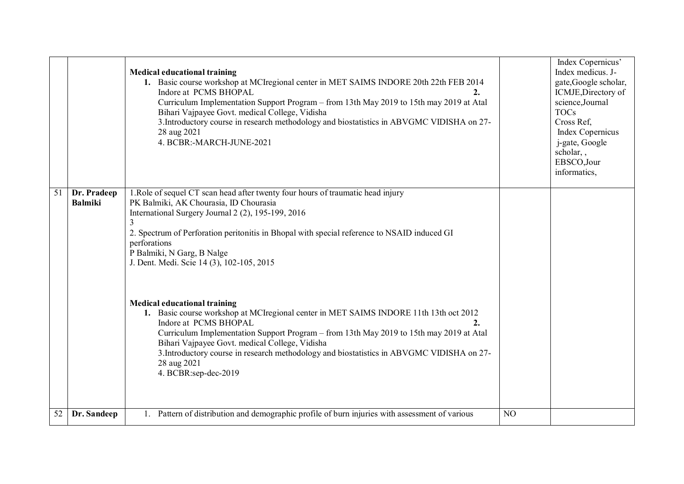|    |                               | <b>Medical educational training</b><br>1. Basic course workshop at MCI regional center in MET SAIMS INDORE 20th 22th FEB 2014<br>Indore at PCMS BHOPAL<br>2.<br>Curriculum Implementation Support Program – from 13th May 2019 to 15th may 2019 at Atal<br>Bihari Vajpayee Govt. medical College, Vidisha<br>3. Introductory course in research methodology and biostatistics in ABVGMC VIDISHA on 27-<br>28 aug 2021<br>4. BCBR:-MARCH-JUNE-2021                                                                                                                                                                                                                                                                                                                                                                                        |                | Index Copernicus'<br>Index medicus. J-<br>gate, Google scholar,<br>ICMJE, Directory of<br>science,Journal<br><b>TOCs</b><br>Cross Ref.<br>Index Copernicus<br>j-gate, Google<br>scholar, ,<br>EBSCO,Jour<br>informatics, |
|----|-------------------------------|------------------------------------------------------------------------------------------------------------------------------------------------------------------------------------------------------------------------------------------------------------------------------------------------------------------------------------------------------------------------------------------------------------------------------------------------------------------------------------------------------------------------------------------------------------------------------------------------------------------------------------------------------------------------------------------------------------------------------------------------------------------------------------------------------------------------------------------|----------------|--------------------------------------------------------------------------------------------------------------------------------------------------------------------------------------------------------------------------|
| 51 | Dr. Pradeep<br><b>Balmiki</b> | 1. Role of sequel CT scan head after twenty four hours of traumatic head injury<br>PK Balmiki, AK Chourasia, ID Chourasia<br>International Surgery Journal 2 (2), 195-199, 2016<br>2. Spectrum of Perforation peritonitis in Bhopal with special reference to NSAID induced GI<br>perforations<br>P Balmiki, N Garg, B Nalge<br>J. Dent. Medi. Scie 14 (3), 102-105, 2015<br><b>Medical educational training</b><br>1. Basic course workshop at MCI regional center in MET SAIMS INDORE 11th 13th oct 2012<br>Indore at PCMS BHOPAL<br>$\overline{2}$ .<br>Curriculum Implementation Support Program - from 13th May 2019 to 15th may 2019 at Atal<br>Bihari Vajpayee Govt. medical College, Vidisha<br>3. Introductory course in research methodology and biostatistics in ABVGMC VIDISHA on 27-<br>28 aug 2021<br>4. BCBR:sep-dec-2019 |                |                                                                                                                                                                                                                          |
| 52 | Dr. Sandeep                   | Pattern of distribution and demographic profile of burn injuries with assessment of various                                                                                                                                                                                                                                                                                                                                                                                                                                                                                                                                                                                                                                                                                                                                              | N <sub>O</sub> |                                                                                                                                                                                                                          |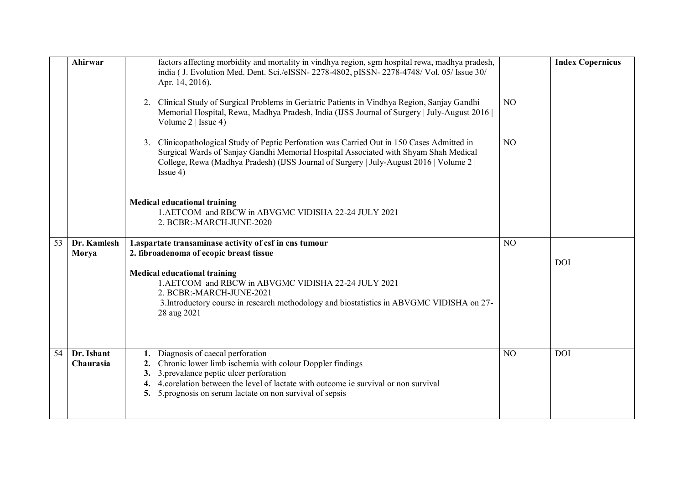|    | Ahirwar                 | factors affecting morbidity and mortality in vindhya region, sgm hospital rewa, madhya pradesh,                                                                                                                                                                                               |                | <b>Index Copernicus</b> |
|----|-------------------------|-----------------------------------------------------------------------------------------------------------------------------------------------------------------------------------------------------------------------------------------------------------------------------------------------|----------------|-------------------------|
|    |                         | india ( J. Evolution Med. Dent. Sci./eISSN-2278-4802, pISSN-2278-4748/ Vol. 05/ Issue 30/<br>Apr. 14, 2016).                                                                                                                                                                                  |                |                         |
|    |                         | 2. Clinical Study of Surgical Problems in Geriatric Patients in Vindhya Region, Sanjay Gandhi<br>Memorial Hospital, Rewa, Madhya Pradesh, India (IJSS Journal of Surgery   July-August 2016  <br>Volume $2  $ Issue 4)                                                                        | N <sub>O</sub> |                         |
|    |                         | 3. Clinicopathological Study of Peptic Perforation was Carried Out in 150 Cases Admitted in<br>Surgical Wards of Sanjay Gandhi Memorial Hospital Associated with Shyam Shah Medical<br>College, Rewa (Madhya Pradesh) (IJSS Journal of Surgery   July-August 2016   Volume 2  <br>$I$ ssue 4) | N <sub>O</sub> |                         |
|    |                         | <b>Medical educational training</b><br>1. AETCOM and RBCW in ABVGMC VIDISHA 22-24 JULY 2021<br>2. BCBR:-MARCH-JUNE-2020                                                                                                                                                                       |                |                         |
| 53 | Dr. Kamlesh             | 1.aspartate transaminase activity of csf in cns tumour                                                                                                                                                                                                                                        | N <sub>O</sub> |                         |
|    | Morya                   | 2. fibroadenoma of ecopic breast tissue                                                                                                                                                                                                                                                       |                |                         |
|    |                         | <b>Medical educational training</b>                                                                                                                                                                                                                                                           |                | <b>DOI</b>              |
|    |                         | 1.AETCOM and RBCW in ABVGMC VIDISHA 22-24 JULY 2021                                                                                                                                                                                                                                           |                |                         |
|    |                         | 2. BCBR:-MARCH-JUNE-2021                                                                                                                                                                                                                                                                      |                |                         |
|    |                         | 3. Introductory course in research methodology and biostatistics in ABVGMC VIDISHA on 27-<br>28 aug 2021                                                                                                                                                                                      |                |                         |
|    |                         |                                                                                                                                                                                                                                                                                               |                |                         |
| 54 | Dr. Ishant<br>Chaurasia | Diagnosis of caecal perforation<br>Chronic lower limb ischemia with colour Doppler findings<br>2.                                                                                                                                                                                             | NO             | <b>DOI</b>              |
|    |                         | 3.prevalance peptic ulcer perforation<br>3.                                                                                                                                                                                                                                                   |                |                         |
|    |                         | 4. corelation between the level of lactate with outcome ie survival or non survival<br>4.                                                                                                                                                                                                     |                |                         |
|    |                         | 5. 5 prognosis on serum lactate on non survival of sepsis                                                                                                                                                                                                                                     |                |                         |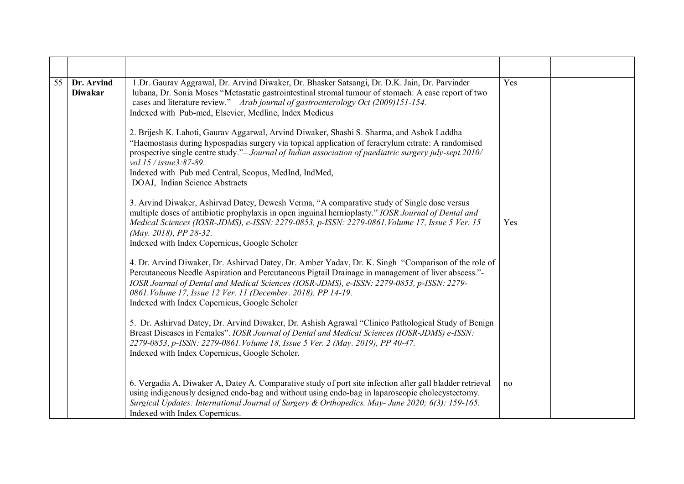| $\overline{55}$ | Dr. Arvind<br><b>Diwakar</b> | 1.Dr. Gaurav Aggrawal, Dr. Arvind Diwaker, Dr. Bhasker Satsangi, Dr. D.K. Jain, Dr. Parvinder<br>lubana, Dr. Sonia Moses "Metastatic gastrointestinal stromal tumour of stomach: A case report of two<br>cases and literature review." $-Arab$ journal of gastroenterology Oct (2009)151-154.<br>Indexed with Pub-med, Elsevier, Medline, Index Medicus                                                                         | Yes |  |
|-----------------|------------------------------|---------------------------------------------------------------------------------------------------------------------------------------------------------------------------------------------------------------------------------------------------------------------------------------------------------------------------------------------------------------------------------------------------------------------------------|-----|--|
|                 |                              | 2. Brijesh K. Lahoti, Gaurav Aggarwal, Arvind Diwaker, Shashi S. Sharma, and Ashok Laddha<br>"Haemostasis during hypospadias surgery via topical application of feracrylum citrate: A randomised<br>prospective single centre study."- Journal of Indian association of paediatric surgery july-sept.2010/<br>vol.15 / issue3:87-89.<br>Indexed with Pub med Central, Scopus, MedInd, IndMed,<br>DOAJ, Indian Science Abstracts |     |  |
|                 |                              | 3. Arvind Diwaker, Ashirvad Datey, Dewesh Verma, "A comparative study of Single dose versus<br>multiple doses of antibiotic prophylaxis in open inguinal hernioplasty." IOSR Journal of Dental and<br>Medical Sciences (IOSR-JDMS), e-ISSN: 2279-0853, p-ISSN: 2279-0861. Volume 17, Issue 5 Ver. 15<br>(May. 2018), PP 28-32.<br>Indexed with Index Copernicus, Google Scholer                                                 | Yes |  |
|                 |                              | 4. Dr. Arvind Diwaker, Dr. Ashirvad Datey, Dr. Amber Yadav, Dr. K. Singh "Comparison of the role of<br>Percutaneous Needle Aspiration and Percutaneous Pigtail Drainage in management of liver abscess."-<br>IOSR Journal of Dental and Medical Sciences (IOSR-JDMS), e-ISSN: 2279-0853, p-ISSN: 2279-<br>0861. Volume 17, Issue 12 Ver. 11 (December. 2018), PP 14-19.<br>Indexed with Index Copernicus, Google Scholer        |     |  |
|                 |                              | 5. Dr. Ashirvad Datey, Dr. Arvind Diwaker, Dr. Ashish Agrawal "Clinico Pathological Study of Benign<br>Breast Diseases in Females". IOSR Journal of Dental and Medical Sciences (IOSR-JDMS) e-ISSN:<br>2279-0853, p-ISSN: 2279-0861. Volume 18, Issue 5 Ver. 2 (May. 2019), PP 40-47.<br>Indexed with Index Copernicus, Google Scholer.                                                                                         |     |  |
|                 |                              | 6. Vergadia A, Diwaker A, Datey A. Comparative study of port site infection after gall bladder retrieval<br>using indigenously designed endo-bag and without using endo-bag in laparoscopic cholecystectomy.<br>Surgical Updates: International Journal of Surgery & Orthopedics. May-June 2020; 6(3): 159-165.<br>Indexed with Index Copernicus.                                                                               | no  |  |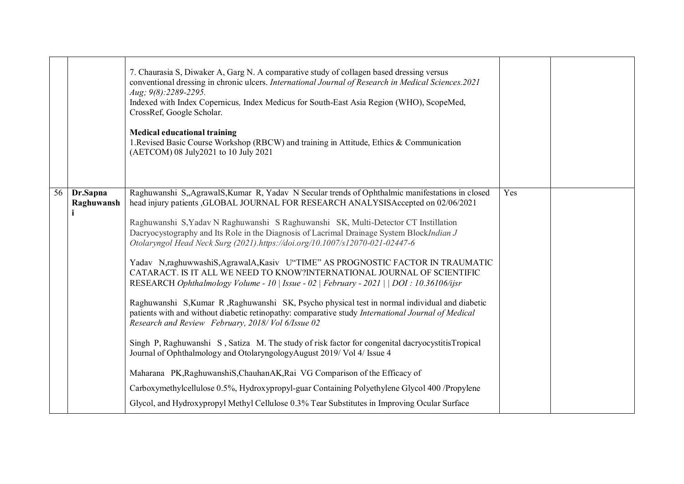|    |                              | 7. Chaurasia S, Diwaker A, Garg N. A comparative study of collagen based dressing versus<br>conventional dressing in chronic ulcers. International Journal of Research in Medical Sciences.2021<br>Aug; 9(8):2289-2295.<br>Indexed with Index Copernicus, Index Medicus for South-East Asia Region (WHO), ScopeMed,<br>CrossRef, Google Scholar.<br><b>Medical educational training</b><br>1. Revised Basic Course Workshop (RBCW) and training in Attitude, Ethics & Communication<br>(AETCOM) 08 July2021 to 10 July 2021                                                                                                                                                                                                                                                                                                                                                                                                                                                                                                                                                                                                                                                                                                                                                                                                                                                                                                                   |     |  |
|----|------------------------------|-----------------------------------------------------------------------------------------------------------------------------------------------------------------------------------------------------------------------------------------------------------------------------------------------------------------------------------------------------------------------------------------------------------------------------------------------------------------------------------------------------------------------------------------------------------------------------------------------------------------------------------------------------------------------------------------------------------------------------------------------------------------------------------------------------------------------------------------------------------------------------------------------------------------------------------------------------------------------------------------------------------------------------------------------------------------------------------------------------------------------------------------------------------------------------------------------------------------------------------------------------------------------------------------------------------------------------------------------------------------------------------------------------------------------------------------------|-----|--|
| 56 | Dr.Sapna<br>Raghuwansh<br>i. | Raghuwanshi S, Agrawal S, Kumar R, Yadav N Secular trends of Ophthalmic manifestations in closed<br>head injury patients , GLOBAL JOURNAL FOR RESEARCH ANALYSISAccepted on 02/06/2021<br>Raghuwanshi S, Yadav N Raghuwanshi S Raghuwanshi SK, Multi-Detector CT Instillation<br>Dacryocystography and Its Role in the Diagnosis of Lacrimal Drainage System BlockIndian J<br>Otolaryngol Head Neck Surg (2021).https://doi.org/10.1007/s12070-021-02447-6<br>Yadav N,raghuwwashiS, AgrawalA, Kasiv U"TIME" AS PROGNOSTIC FACTOR IN TRAUMATIC<br>CATARACT. IS IT ALL WE NEED TO KNOW?INTERNATIONAL JOURNAL OF SCIENTIFIC<br>RESEARCH Ophthalmology Volume - 10   Issue - 02   February - 2021     DOI : 10.36106/ijsr<br>Raghuwanshi S, Kumar R, Raghuwanshi SK, Psycho physical test in normal individual and diabetic<br>patients with and without diabetic retinopathy: comparative study International Journal of Medical<br>Research and Review February, 2018/Vol 6/Issue 02<br>Singh P, Raghuwanshi S, Satiza M. The study of risk factor for congenital dacryocystitisTropical<br>Journal of Ophthalmology and OtolaryngologyAugust 2019/Vol 4/ Issue 4<br>Maharana PK, RaghuwanshiS, ChauhanAK, Rai VG Comparison of the Efficacy of<br>Carboxymethylcellulose 0.5%, Hydroxypropyl-guar Containing Polyethylene Glycol 400 /Propylene<br>Glycol, and Hydroxypropyl Methyl Cellulose 0.3% Tear Substitutes in Improving Ocular Surface | Yes |  |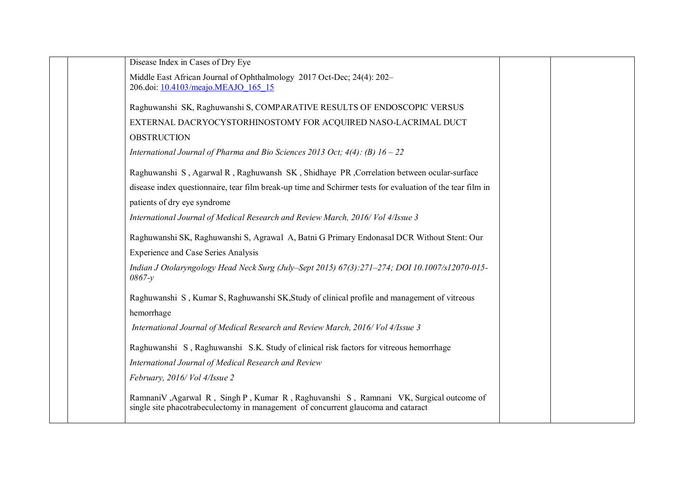| Disease Index in Cases of Dry Eye                                                                                                                                           |  |
|-----------------------------------------------------------------------------------------------------------------------------------------------------------------------------|--|
| Middle East African Journal of Ophthalmology 2017 Oct-Dec; 24(4): 202-                                                                                                      |  |
| 206.doi: 10.4103/meajo.MEAJO 165 15                                                                                                                                         |  |
| Raghuwanshi SK, Raghuwanshi S, COMPARATIVE RESULTS OF ENDOSCOPIC VERSUS                                                                                                     |  |
| EXTERNAL DACRYOCYSTORHINOSTOMY FOR ACQUIRED NASO-LACRIMAL DUCT                                                                                                              |  |
| <b>OBSTRUCTION</b>                                                                                                                                                          |  |
| International Journal of Pharma and Bio Sciences 2013 Oct; $4(4)$ : (B) $16 - 22$                                                                                           |  |
| Raghuwanshi S, Agarwal R, Raghuwansh SK, Shidhaye PR, Correlation between ocular-surface                                                                                    |  |
| disease index questionnaire, tear film break-up time and Schirmer tests for evaluation of the tear film in                                                                  |  |
| patients of dry eye syndrome                                                                                                                                                |  |
| International Journal of Medical Research and Review March, 2016/ Vol 4/Issue 3                                                                                             |  |
| Raghuwanshi SK, Raghuwanshi S, Agrawal A, Batni G Primary Endonasal DCR Without Stent: Our                                                                                  |  |
| <b>Experience and Case Series Analysis</b>                                                                                                                                  |  |
| Indian J Otolaryngology Head Neck Surg (July–Sept 2015) 67(3):271–274; DOI 10.1007/s12070-015-<br>$0867-y$                                                                  |  |
| Raghuwanshi S, Kumar S, Raghuwanshi SK, Study of clinical profile and management of vitreous                                                                                |  |
| hemorrhage                                                                                                                                                                  |  |
| International Journal of Medical Research and Review March, 2016/ Vol 4/Issue 3                                                                                             |  |
| Raghuwanshi S, Raghuwanshi S.K. Study of clinical risk factors for vitreous hemorrhage                                                                                      |  |
| International Journal of Medical Research and Review                                                                                                                        |  |
| February, 2016/ Vol 4/Issue 2                                                                                                                                               |  |
| RamnaniV , Agarwal R, Singh P, Kumar R, Raghuvanshi S, Ramnani VK, Surgical outcome of<br>single site phacotrabeculectomy in management of concurrent glaucoma and cataract |  |